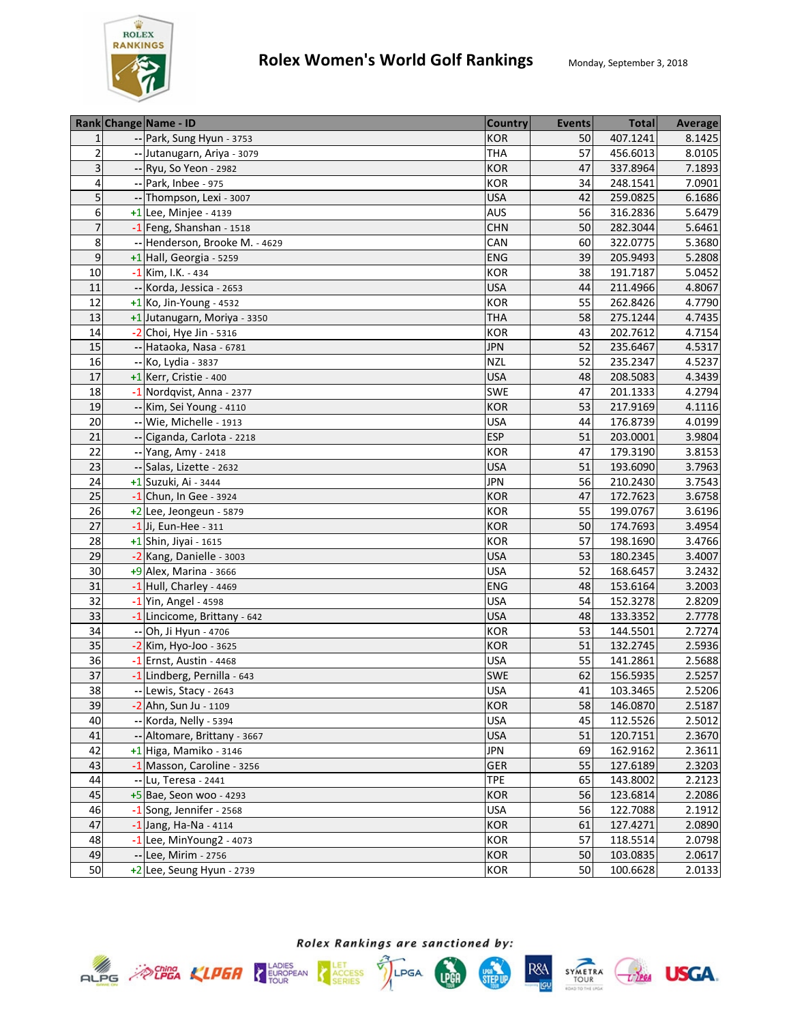

|                         | Rank Change Name - ID          | <b>Country</b> | <b>Events</b> | <b>Total</b> | <b>Average</b> |
|-------------------------|--------------------------------|----------------|---------------|--------------|----------------|
| 1                       | -- Park, Sung Hyun - 3753      | <b>KOR</b>     | 50            | 407.1241     | 8.1425         |
| $\overline{2}$          | -- Jutanugarn, Ariya - 3079    | <b>THA</b>     | 57            | 456.6013     | 8.0105         |
| 3                       | -- Ryu, So Yeon - 2982         | <b>KOR</b>     | 47            | 337.8964     | 7.1893         |
| $\overline{\mathbf{4}}$ | -- Park, Inbee - 975           | <b>KOR</b>     | 34            | 248.1541     | 7.0901         |
| 5                       | -- Thompson, Lexi - 3007       | <b>USA</b>     | 42            | 259.0825     | 6.1686         |
| 6                       | $+1$ Lee, Minjee - 4139        | AUS            | 56            | 316.2836     | 5.6479         |
| $\overline{7}$          | $-1$ Feng, Shanshan - 1518     | <b>CHN</b>     | 50            | 282.3044     | 5.6461         |
| 8                       | -- Henderson, Brooke M. - 4629 | CAN            | 60            | 322.0775     | 5.3680         |
| 9                       | $+1$ Hall, Georgia - 5259      | <b>ENG</b>     | 39            | 205.9493     | 5.2808         |
| 10                      | -1 Kim, I.K. - 434             | <b>KOR</b>     | 38            | 191.7187     | 5.0452         |
| 11                      | -- Korda, Jessica - 2653       | <b>USA</b>     | 44            | 211.4966     | 4.8067         |
| 12                      | $+1$ Ko, Jin-Young - 4532      | KOR            | 55            | 262.8426     | 4.7790         |
| 13                      | +1 Jutanugarn, Moriya - 3350   | <b>THA</b>     | 58            | 275.1244     | 4.7435         |
| 14                      | $-2$ Choi, Hye Jin - 5316      | <b>KOR</b>     | 43            | 202.7612     | 4.7154         |
| 15                      | -- Hataoka, Nasa - 6781        | <b>JPN</b>     | 52            | 235.6467     | 4.5317         |
| 16                      | -- Ko, Lydia - 3837            | <b>NZL</b>     | 52            | 235.2347     | 4.5237         |
| 17                      | +1 Kerr, Cristie - 400         | <b>USA</b>     | 48            | 208.5083     | 4.3439         |
| 18                      | -1 Nordqvist, Anna - 2377      | <b>SWE</b>     | 47            | 201.1333     | 4.2794         |
| 19                      | -- Kim, Sei Young - 4110       | <b>KOR</b>     | 53            | 217.9169     | 4.1116         |
| 20                      | -- Wie, Michelle - 1913        | <b>USA</b>     | 44            | 176.8739     | 4.0199         |
| 21                      | -- Ciganda, Carlota - 2218     | <b>ESP</b>     | 51            | 203.0001     | 3.9804         |
| 22                      | -- Yang, Amy - 2418            | <b>KOR</b>     | 47            | 179.3190     | 3.8153         |
| 23                      | -- Salas, Lizette - 2632       | <b>USA</b>     | 51            | 193.6090     | 3.7963         |
| 24                      | +1 Suzuki, Ai - 3444           | <b>JPN</b>     | 56            | 210.2430     | 3.7543         |
| 25                      | -1 Chun, In Gee - 3924         | <b>KOR</b>     | 47            | 172.7623     | 3.6758         |
| 26                      | +2 Lee, Jeongeun - 5879        | <b>KOR</b>     | 55            | 199.0767     | 3.6196         |
| 27                      | $-1$ Ji, Eun-Hee - 311         | <b>KOR</b>     | 50            | 174.7693     | 3.4954         |
| 28                      | +1 Shin, Jiyai - 1615          | <b>KOR</b>     | 57            | 198.1690     | 3.4766         |
| 29                      | -2 Kang, Danielle - 3003       | <b>USA</b>     | 53            | 180.2345     | 3.4007         |
| 30                      | +9 Alex, Marina - 3666         | <b>USA</b>     | 52            | 168.6457     | 3.2432         |
| 31                      | -1 Hull, Charley - 4469        | <b>ENG</b>     | 48            | 153.6164     | 3.2003         |
| 32                      | $-1$ Yin, Angel - 4598         | <b>USA</b>     | 54            | 152.3278     | 2.8209         |
| 33                      | -1 Lincicome, Brittany - 642   | <b>USA</b>     | 48            | 133.3352     | 2.7778         |
| 34                      | -- Oh, Ji Hyun - 4706          | <b>KOR</b>     | 53            | 144.5501     | 2.7274         |
| 35                      | -2 Kim, Hyo-Joo - 3625         | <b>KOR</b>     | 51            | 132.2745     | 2.5936         |
| 36                      | -1 Ernst, Austin - 4468        | <b>USA</b>     | 55            | 141.2861     | 2.5688         |
| 37                      | -1 Lindberg, Pernilla - 643    | <b>SWE</b>     | 62            | 156.5935     | 2.5257         |
| $\overline{38}$         | -- Lewis, Stacy - 2643         | <b>USA</b>     | 41            | 103.3465     | 2.5206         |
| 39                      | -2 Ahn, Sun Ju - 1109          | <b>KOR</b>     | 58            | 146.0870     | 2.5187         |
| 40                      | -- Korda, Nelly - 5394         | <b>USA</b>     | 45            | 112.5526     | 2.5012         |
| 41                      | -- Altomare, Brittany - 3667   | <b>USA</b>     | 51            | 120.7151     | 2.3670         |
| 42                      | +1 Higa, Mamiko - 3146         | <b>JPN</b>     | 69            | 162.9162     | 2.3611         |
| 43                      | -1 Masson, Caroline - 3256     | <b>GER</b>     | 55            | 127.6189     | 2.3203         |
| 44                      | -- Lu, Teresa - 2441           | <b>TPE</b>     | 65            | 143.8002     | 2.2123         |
| 45                      | $+5$ Bae, Seon woo - 4293      | <b>KOR</b>     | 56            | 123.6814     | 2.2086         |
| 46                      | $-1$ Song, Jennifer - 2568     | <b>USA</b>     | 56            | 122.7088     | 2.1912         |
| 47                      | $-1$ Jang, Ha-Na - 4114        | <b>KOR</b>     | 61            | 127.4271     | 2.0890         |
| 48                      | $-1$ Lee, MinYoung2 - 4073     | <b>KOR</b>     | 57            | 118.5514     | 2.0798         |
| 49                      | -- Lee, Mirim - 2756           | <b>KOR</b>     | 50            | 103.0835     | 2.0617         |
| 50                      | +2 Lee, Seung Hyun - 2739      | <b>KOR</b>     | 50            | 100.6628     | 2.0133         |
|                         |                                |                |               |              |                |







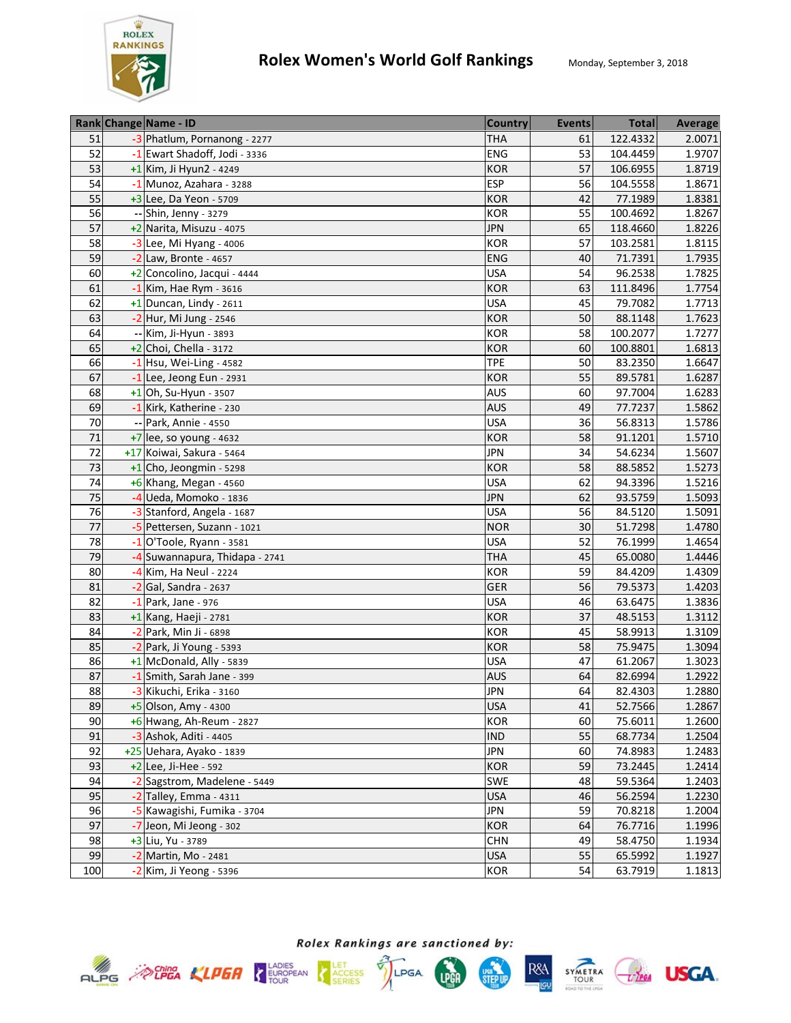

|                 | Rank Change Name - ID          | <b>Country</b> | <b>Events</b> | <b>Total</b> | <b>Average</b> |
|-----------------|--------------------------------|----------------|---------------|--------------|----------------|
| 51              | -3 Phatlum, Pornanong - 2277   | <b>THA</b>     | 61            | 122.4332     | 2.0071         |
| 52              | -1 Ewart Shadoff, Jodi - 3336  | ENG            | 53            | 104.4459     | 1.9707         |
| 53              | $+1$ Kim, Ji Hyun2 - 4249      | KOR            | 57            | 106.6955     | 1.8719         |
| 54              | -1 Munoz, Azahara - 3288       | <b>ESP</b>     | 56            | 104.5558     | 1.8671         |
| 55              | $+3$ Lee, Da Yeon - 5709       | <b>KOR</b>     | 42            | 77.1989      | 1.8381         |
| 56              | -- Shin, Jenny - 3279          | KOR            | 55            | 100.4692     | 1.8267         |
| 57              | +2 Narita, Misuzu - 4075       | <b>JPN</b>     | 65            | 118.4660     | 1.8226         |
| 58              | $-3$ Lee, Mi Hyang - 4006      | <b>KOR</b>     | 57            | 103.2581     | 1.8115         |
| 59              | $-2$ Law, Bronte - 4657        | <b>ENG</b>     | 40            | 71.7391      | 1.7935         |
| 60              | +2 Concolino, Jacqui - 4444    | <b>USA</b>     | 54            | 96.2538      | 1.7825         |
| 61              | $-1$ Kim, Hae Rym - 3616       | KOR            | 63            | 111.8496     | 1.7754         |
| 62              | $+1$ Duncan, Lindy - 2611      | <b>USA</b>     | 45            | 79.7082      | 1.7713         |
| 63              | -2 Hur, Mi Jung - 2546         | KOR            | 50            | 88.1148      | 1.7623         |
| 64              | -- Kim, Ji-Hyun - 3893         | KOR            | 58            | 100.2077     | 1.7277         |
| 65              | $+2$ Choi, Chella - 3172       | KOR            | 60            | 100.8801     | 1.6813         |
| 66              | $-1$ Hsu, Wei-Ling - 4582      | <b>TPE</b>     | 50            | 83.2350      | 1.6647         |
| 67              | $-1$ Lee, Jeong Eun - 2931     | <b>KOR</b>     | 55            | 89.5781      | 1.6287         |
| 68              | $+1$ Oh, Su-Hyun - 3507        | <b>AUS</b>     | 60            | 97.7004      | 1.6283         |
| 69              | -1 Kirk, Katherine - 230       | <b>AUS</b>     | 49            | 77.7237      | 1.5862         |
| 70              | -- Park, Annie - 4550          | <b>USA</b>     | 36            | 56.8313      | 1.5786         |
| 71              | $+7$ lee, so young - 4632      | <b>KOR</b>     | 58            | 91.1201      | 1.5710         |
| 72              | +17 Koiwai, Sakura - 5464      | <b>JPN</b>     | 34            | 54.6234      | 1.5607         |
| 73              | $+1$ Cho, Jeongmin - 5298      | <b>KOR</b>     | 58            | 88.5852      | 1.5273         |
| 74              | $+6$ Khang, Megan - 4560       | <b>USA</b>     | 62            | 94.3396      | 1.5216         |
| 75              | $-4$ Ueda, Momoko - 1836       | <b>JPN</b>     | 62            | 93.5759      | 1.5093         |
| 76              | -3 Stanford, Angela - 1687     | <b>USA</b>     | 56            | 84.5120      | 1.5091         |
| 77              | -5 Pettersen, Suzann - 1021    | <b>NOR</b>     | 30            | 51.7298      | 1.4780         |
| $\overline{78}$ | $-1$ O'Toole, Ryann - 3581     | <b>USA</b>     | 52            | 76.1999      | 1.4654         |
| 79              | -4 Suwannapura, Thidapa - 2741 | <b>THA</b>     | 45            | 65.0080      | 1.4446         |
| 80              | -4 Kim, Ha Neul - 2224         | <b>KOR</b>     | 59            | 84.4209      | 1.4309         |
| 81              | $-2$ Gal, Sandra - 2637        | <b>GER</b>     | 56            | 79.5373      | 1.4203         |
| 82              | $-1$ Park, Jane - 976          | <b>USA</b>     | 46            | 63.6475      | 1.3836         |
| 83              | +1 Kang, Haeji - 2781          | KOR            | 37            | 48.5153      | 1.3112         |
| 84              | -2 Park, Min Ji - 6898         | KOR            | 45            | 58.9913      | 1.3109         |
| 85              | -2 Park, Ji Young - 5393       | KOR            | 58            | 75.9475      | 1.3094         |
| 86              | $+1$ McDonald, Ally - 5839     | <b>USA</b>     | 47            | 61.2067      | 1.3023         |
| 87              | -1 Smith, Sarah Jane - 399     | <b>AUS</b>     | 64            | 82.6994      | 1.2922         |
| 88              | -3 Kikuchi, Erika - 3160       | <b>JPN</b>     | 64            | 82.4303      | 1.2880         |
| 89              | +5 Olson, Amy - 4300           | <b>USA</b>     | 41            | 52.7566      | 1.2867         |
| 90              | +6 Hwang, Ah-Reum - 2827       | <b>KOR</b>     | 60            | 75.6011      | 1.2600         |
| 91              | $-3$ Ashok, Aditi - 4405       | <b>IND</b>     | 55            | 68.7734      | 1.2504         |
| 92              | +25 Uehara, Ayako - 1839       | <b>JPN</b>     | 60            | 74.8983      | 1.2483         |
| 93              | +2 Lee, Ji-Hee - 592           | <b>KOR</b>     | 59            | 73.2445      | 1.2414         |
| 94              | -2 Sagstrom, Madelene - 5449   | SWE            | 48            | 59.5364      | 1.2403         |
| 95              | $-2$ Talley, Emma - 4311       | <b>USA</b>     | 46            | 56.2594      | 1.2230         |
| 96              | -5 Kawagishi, Fumika - 3704    | <b>JPN</b>     | 59            | 70.8218      | 1.2004         |
| 97              | -7 Jeon, Mi Jeong - 302        | <b>KOR</b>     | 64            | 76.7716      | 1.1996         |
| 98              | +3 Liu, Yu - 3789              | <b>CHN</b>     | 49            | 58.4750      | 1.1934         |
| 99              | -2 Martin, Mo - 2481           | <b>USA</b>     | 55            | 65.5992      | 1.1927         |
| 100             | -2 Kim, Ji Yeong - 5396        | KOR            | 54            | 63.7919      | 1.1813         |











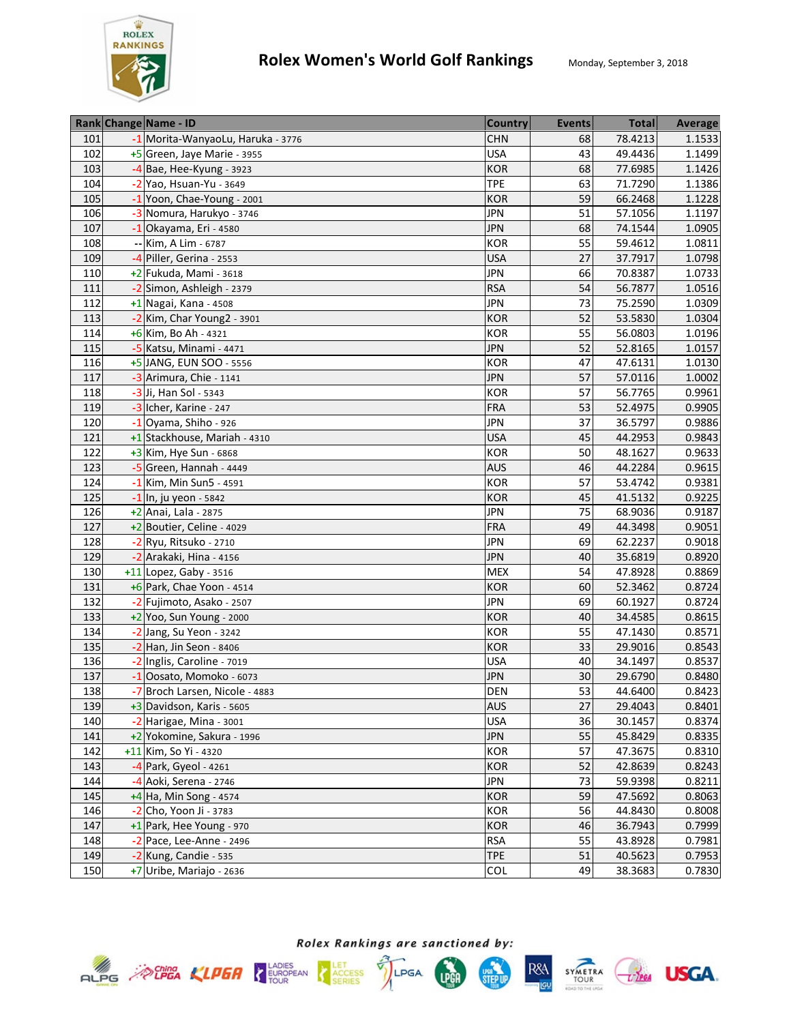

|     | Rank Change Name - ID             | <b>Country</b> | <b>Events</b> | <b>Total</b> | Average |
|-----|-----------------------------------|----------------|---------------|--------------|---------|
| 101 | -1 Morita-WanyaoLu, Haruka - 3776 | <b>CHN</b>     | 68            | 78.4213      | 1.1533  |
| 102 | +5 Green, Jaye Marie - 3955       | <b>USA</b>     | 43            | 49.4436      | 1.1499  |
| 103 | $-4$ Bae, Hee-Kyung - 3923        | <b>KOR</b>     | 68            | 77.6985      | 1.1426  |
| 104 | -2 Yao, Hsuan-Yu - 3649           | <b>TPE</b>     | 63            | 71.7290      | 1.1386  |
| 105 | -1 Yoon, Chae-Young - 2001        | <b>KOR</b>     | 59            | 66.2468      | 1.1228  |
| 106 | -3 Nomura, Harukyo - 3746         | <b>JPN</b>     | 51            | 57.1056      | 1.1197  |
| 107 | $-1$ Okayama, Eri - 4580          | <b>JPN</b>     | 68            | 74.1544      | 1.0905  |
| 108 | -- Kim, A Lim - 6787              | <b>KOR</b>     | 55            | 59.4612      | 1.0811  |
| 109 | -4 Piller, Gerina - 2553          | <b>USA</b>     | 27            | 37.7917      | 1.0798  |
| 110 | +2 Fukuda, Mami - 3618            | <b>JPN</b>     | 66            | 70.8387      | 1.0733  |
| 111 | -2 Simon, Ashleigh - 2379         | <b>RSA</b>     | 54            | 56.7877      | 1.0516  |
| 112 | $+1$ Nagai, Kana - 4508           | <b>JPN</b>     | 73            | 75.2590      | 1.0309  |
| 113 | -2 Kim, Char Young2 - 3901        | <b>KOR</b>     | 52            | 53.5830      | 1.0304  |
| 114 | $+6$ Kim, Bo Ah - 4321            | <b>KOR</b>     | 55            | 56.0803      | 1.0196  |
| 115 | -5 Katsu, Minami - 4471           | <b>JPN</b>     | 52            | 52.8165      | 1.0157  |
| 116 | +5 JANG, EUN SOO - 5556           | <b>KOR</b>     | 47            | 47.6131      | 1.0130  |
| 117 | -3 Arimura, Chie - 1141           | <b>JPN</b>     | 57            | 57.0116      | 1.0002  |
| 118 | -3 Ji, Han Sol - 5343             | <b>KOR</b>     | 57            | 56.7765      | 0.9961  |
| 119 | -3 Icher, Karine - 247            | <b>FRA</b>     | 53            | 52.4975      | 0.9905  |
| 120 | $-1$ Oyama, Shiho - 926           | <b>JPN</b>     | 37            | 36.5797      | 0.9886  |
| 121 | +1 Stackhouse, Mariah - 4310      | <b>USA</b>     | 45            | 44.2953      | 0.9843  |
| 122 | +3 Kim, Hye Sun - 6868            | <b>KOR</b>     | 50            | 48.1627      | 0.9633  |
| 123 | $-5$ Green, Hannah - 4449         | <b>AUS</b>     | 46            | 44.2284      | 0.9615  |
| 124 | $-1$ Kim, Min Sun5 - 4591         | <b>KOR</b>     | 57            | 53.4742      | 0.9381  |
| 125 | $-1$ In, ju yeon - 5842           | <b>KOR</b>     | 45            | 41.5132      | 0.9225  |
| 126 | +2 Anai, Lala - 2875              | <b>JPN</b>     | 75            | 68.9036      | 0.9187  |
| 127 | +2 Boutier, Celine - 4029         | <b>FRA</b>     | 49            | 44.3498      | 0.9051  |
| 128 | $-2$ Ryu, Ritsuko - 2710          | <b>JPN</b>     | 69            | 62.2237      | 0.9018  |
| 129 | -2 Arakaki, Hina - 4156           | <b>JPN</b>     | 40            | 35.6819      | 0.8920  |
| 130 | +11 Lopez, Gaby - 3516            | <b>MEX</b>     | 54            | 47.8928      | 0.8869  |
| 131 | +6 Park, Chae Yoon - 4514         | <b>KOR</b>     | 60            | 52.3462      | 0.8724  |
| 132 | -2 Fujimoto, Asako - 2507         | <b>JPN</b>     | 69            | 60.1927      | 0.8724  |
| 133 | +2 Yoo, Sun Young - 2000          | <b>KOR</b>     | 40            | 34.4585      | 0.8615  |
| 134 | -2 Jang, Su Yeon - 3242           | <b>KOR</b>     | 55            | 47.1430      | 0.8571  |
| 135 | -2 Han, Jin Seon - 8406           | <b>KOR</b>     | 33            | 29.9016      | 0.8543  |
| 136 | -2 Inglis, Caroline - 7019        | <b>USA</b>     | 40            | 34.1497      | 0.8537  |
| 137 | -1 Oosato, Momoko - 6073          | <b>JPN</b>     | 30            | 29.6790      | 0.8480  |
| 138 | -7 Broch Larsen, Nicole - 4883    | <b>DEN</b>     | 53            | 44.6400      | 0.8423  |
| 139 | $+3$ Davidson, Karis - 5605       | <b>AUS</b>     | 27            | 29.4043      | 0.8401  |
| 140 | $-2$ Harigae, Mina - 3001         | <b>USA</b>     | 36            | 30.1457      | 0.8374  |
| 141 | +2 Yokomine, Sakura - 1996        | <b>JPN</b>     | 55            | 45.8429      | 0.8335  |
| 142 | +11 Kim, So Yi - 4320             | KOR            | 57            | 47.3675      | 0.8310  |
| 143 | -4 Park, Gyeol - 4261             | <b>KOR</b>     | 52            | 42.8639      | 0.8243  |
| 144 | -4 Aoki, Serena - 2746            | <b>JPN</b>     | 73            | 59.9398      | 0.8211  |
| 145 | $+4$ Ha, Min Song - 4574          | <b>KOR</b>     | 59            | 47.5692      | 0.8063  |
| 146 | -2 Cho, Yoon Ji - 3783            | KOR            | 56            | 44.8430      | 0.8008  |
| 147 | +1 Park, Hee Young - 970          | <b>KOR</b>     | 46            | 36.7943      | 0.7999  |
| 148 | -2 Pace, Lee-Anne - 2496          | <b>RSA</b>     | 55            | 43.8928      | 0.7981  |
| 149 | -2 Kung, Candie - 535             | <b>TPE</b>     | 51            | 40.5623      | 0.7953  |
| 150 | +7 Uribe, Mariajo - 2636          | COL            | 49            | 38.3683      | 0.7830  |









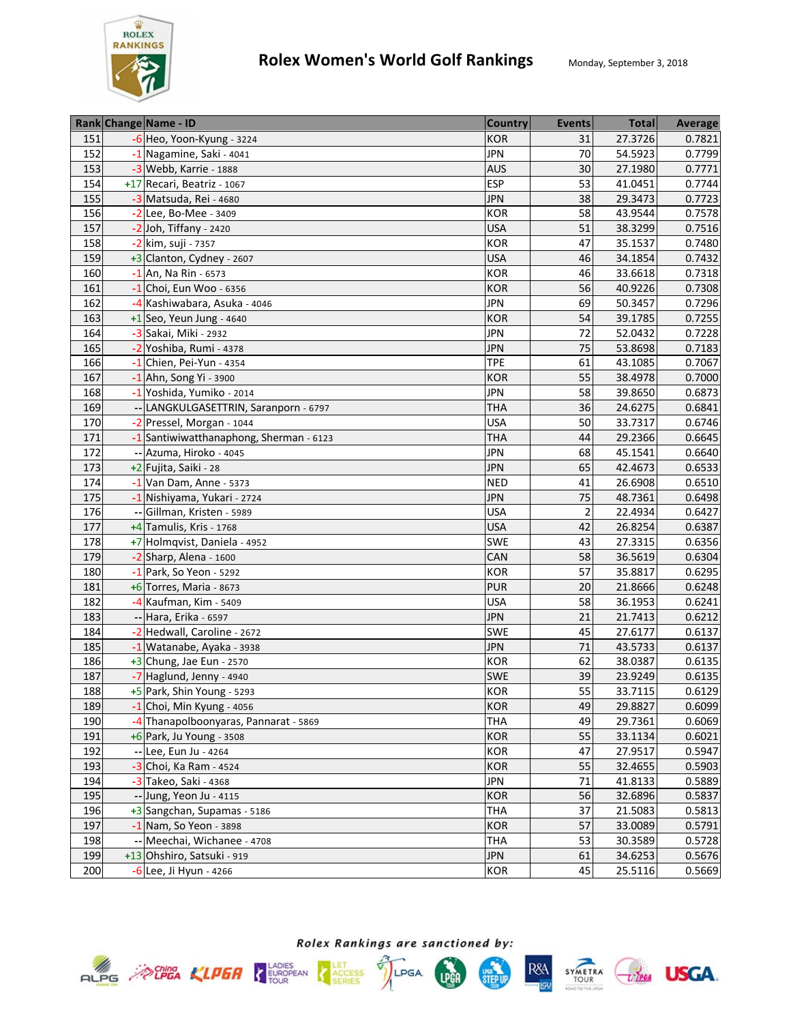

|     | Rank Change Name - ID                   | <b>Country</b> | <b>Events</b>  | <b>Total</b> | Average |
|-----|-----------------------------------------|----------------|----------------|--------------|---------|
| 151 | $-6$ Heo, Yoon-Kyung - 3224             | <b>KOR</b>     | 31             | 27.3726      | 0.7821  |
| 152 | -1 Nagamine, Saki - 4041                | <b>JPN</b>     | 70             | 54.5923      | 0.7799  |
| 153 | $-3$ Webb, Karrie - 1888                | <b>AUS</b>     | 30             | 27.1980      | 0.7771  |
| 154 | +17 Recari, Beatriz - 1067              | <b>ESP</b>     | 53             | 41.0451      | 0.7744  |
| 155 | -3 Matsuda, Rei - 4680                  | <b>JPN</b>     | 38             | 29.3473      | 0.7723  |
| 156 | $-2$ Lee, Bo-Mee - 3409                 | <b>KOR</b>     | 58             | 43.9544      | 0.7578  |
| 157 | $-2$ Joh, Tiffany - 2420                | <b>USA</b>     | 51             | 38.3299      | 0.7516  |
| 158 | -2 kim, suji - 7357                     | <b>KOR</b>     | 47             | 35.1537      | 0.7480  |
| 159 | +3 Clanton, Cydney - 2607               | <b>USA</b>     | 46             | 34.1854      | 0.7432  |
| 160 | $-1$ An, Na Rin - 6573                  | <b>KOR</b>     | 46             | 33.6618      | 0.7318  |
| 161 | $-1$ Choi, Eun Woo - 6356               | <b>KOR</b>     | 56             | 40.9226      | 0.7308  |
| 162 | -4 Kashiwabara, Asuka - 4046            | <b>JPN</b>     | 69             | 50.3457      | 0.7296  |
| 163 | $+1$ Seo, Yeun Jung - 4640              | <b>KOR</b>     | 54             | 39.1785      | 0.7255  |
| 164 | -3 Sakai, Miki - 2932                   | <b>JPN</b>     | 72             | 52.0432      | 0.7228  |
| 165 | -2 Yoshiba, Rumi - 4378                 | <b>JPN</b>     | 75             | 53.8698      | 0.7183  |
| 166 | -1 Chien, Pei-Yun - 4354                | <b>TPE</b>     | 61             | 43.1085      | 0.7067  |
| 167 | $-1$ Ahn, Song Yi - 3900                | <b>KOR</b>     | 55             | 38.4978      | 0.7000  |
| 168 | -1 Yoshida, Yumiko - 2014               | <b>JPN</b>     | 58             | 39.8650      | 0.6873  |
| 169 | -- LANGKULGASETTRIN, Saranporn - 6797   | <b>THA</b>     | 36             | 24.6275      | 0.6841  |
| 170 | -2 Pressel, Morgan - 1044               | <b>USA</b>     | 50             | 33.7317      | 0.6746  |
| 171 | -1 Santiwiwatthanaphong, Sherman - 6123 | <b>THA</b>     | 44             | 29.2366      | 0.6645  |
| 172 | -- Azuma, Hiroko - 4045                 | <b>JPN</b>     | 68             | 45.1541      | 0.6640  |
| 173 | +2 Fujita, Saiki - 28                   | <b>JPN</b>     | 65             | 42.4673      | 0.6533  |
| 174 | $-1$ Van Dam, Anne - 5373               | <b>NED</b>     | 41             | 26.6908      | 0.6510  |
| 175 | -1 Nishiyama, Yukari - 2724             | <b>JPN</b>     | 75             | 48.7361      | 0.6498  |
| 176 | -- Gillman, Kristen - 5989              | <b>USA</b>     | $\overline{2}$ | 22.4934      | 0.6427  |
| 177 | +4 Tamulis, Kris - 1768                 | <b>USA</b>     | 42             | 26.8254      | 0.6387  |
| 178 | +7 Holmqvist, Daniela - 4952            | SWE            | 43             | 27.3315      | 0.6356  |
| 179 | $-2$ Sharp, Alena - 1600                | CAN            | 58             | 36.5619      | 0.6304  |
| 180 | $-1$ Park, So Yeon - 5292               | <b>KOR</b>     | 57             | 35.8817      | 0.6295  |
| 181 | +6 Torres, Maria - 8673                 | <b>PUR</b>     | 20             | 21.8666      | 0.6248  |
| 182 | -4 Kaufman, Kim - 5409                  | <b>USA</b>     | 58             | 36.1953      | 0.6241  |
| 183 | -- Hara, Erika - 6597                   | <b>JPN</b>     | 21             | 21.7413      | 0.6212  |
| 184 | -2 Hedwall, Caroline - 2672             | SWE            | 45             | 27.6177      | 0.6137  |
| 185 | -1 Watanabe, Ayaka - 3938               | <b>JPN</b>     | 71             | 43.5733      | 0.6137  |
| 186 | $+3$ Chung, Jae Eun - 2570              | <b>KOR</b>     | 62             | 38.0387      | 0.6135  |
| 187 | -7 Haglund, Jenny - 4940                | SWE            | 39             | 23.9249      | 0.6135  |
| 188 | +5 Park, Shin Young - 5293              | <b>KOR</b>     | 55             | 33.7115      | 0.6129  |
| 189 | $-1$ Choi, Min Kyung - 4056             | KOR            | 49             | 29.8827      | 0.6099  |
| 190 | -4 Thanapolboonyaras, Pannarat - 5869   | THA            | 49             | 29.7361      | 0.6069  |
| 191 | +6 Park, Ju Young - 3508                | KOR            | 55             | 33.1134      | 0.6021  |
| 192 | -- Lee, Eun Ju - 4264                   | KOR            | 47             | 27.9517      | 0.5947  |
| 193 | -3 Choi, Ka Ram - 4524                  | <b>KOR</b>     | 55             | 32.4655      | 0.5903  |
| 194 | -3 Takeo, Saki - 4368                   | <b>JPN</b>     | 71             | 41.8133      | 0.5889  |
| 195 | -- Jung, Yeon Ju - 4115                 | <b>KOR</b>     | 56             | 32.6896      | 0.5837  |
| 196 | +3 Sangchan, Supamas - 5186             | <b>THA</b>     | 37             | 21.5083      | 0.5813  |
| 197 | -1 Nam, So Yeon - 3898                  | <b>KOR</b>     | 57             | 33.0089      | 0.5791  |
| 198 | -- Meechai, Wichanee - 4708             | <b>THA</b>     | 53             | 30.3589      | 0.5728  |
| 199 | +13 Ohshiro, Satsuki - 919              | <b>JPN</b>     | 61             | 34.6253      | 0.5676  |
| 200 | -6 Lee, Ji Hyun - 4266                  | <b>KOR</b>     | 45             | 25.5116      | 0.5669  |







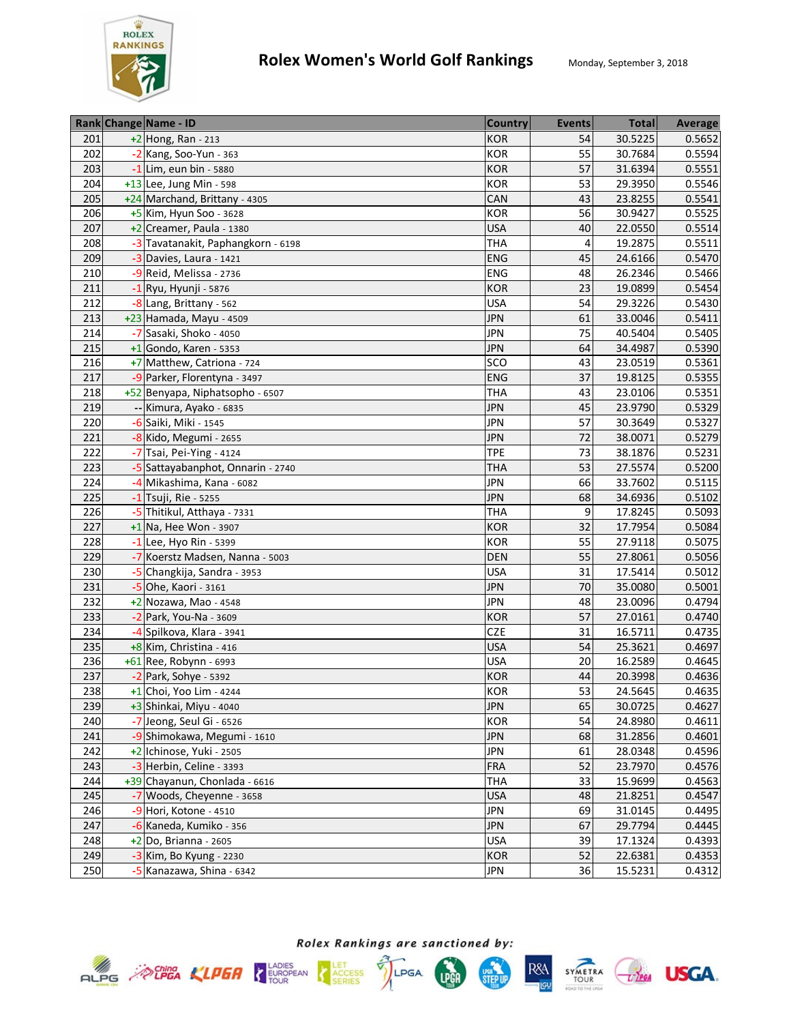

|     | Rank Change Name - ID              | <b>Country</b> | <b>Events</b> | <b>Total</b> | Average |
|-----|------------------------------------|----------------|---------------|--------------|---------|
| 201 | $+2$ Hong, Ran - 213               | KOR            | 54            | 30.5225      | 0.5652  |
| 202 | -2 Kang, Soo-Yun - 363             | <b>KOR</b>     | 55            | 30.7684      | 0.5594  |
| 203 | -1 Lim, eun bin - 5880             | <b>KOR</b>     | 57            | 31.6394      | 0.5551  |
| 204 | +13 Lee, Jung Min - 598            | <b>KOR</b>     | 53            | 29.3950      | 0.5546  |
| 205 | +24 Marchand, Brittany - 4305      | CAN            | 43            | 23.8255      | 0.5541  |
| 206 | $+5$ Kim, Hyun Soo - 3628          | <b>KOR</b>     | 56            | 30.9427      | 0.5525  |
| 207 | $+2$ Creamer, Paula - 1380         | <b>USA</b>     | 40            | 22.0550      | 0.5514  |
| 208 | -3 Tavatanakit, Paphangkorn - 6198 | <b>THA</b>     | 4             | 19.2875      | 0.5511  |
| 209 | $-3$ Davies, Laura - 1421          | ENG            | 45            | 24.6166      | 0.5470  |
| 210 | -9 Reid, Melissa - 2736            | ENG            | 48            | 26.2346      | 0.5466  |
| 211 | $-1$ Ryu, Hyunji - 5876            | <b>KOR</b>     | 23            | 19.0899      | 0.5454  |
| 212 | -8 Lang, Brittany - 562            | <b>USA</b>     | 54            | 29.3226      | 0.5430  |
| 213 | +23 Hamada, Mayu - 4509            | <b>JPN</b>     | 61            | 33.0046      | 0.5411  |
| 214 | -7 Sasaki, Shoko - 4050            | <b>JPN</b>     | 75            | 40.5404      | 0.5405  |
| 215 | $+1$ Gondo, Karen - 5353           | <b>JPN</b>     | 64            | 34.4987      | 0.5390  |
| 216 | +7 Matthew, Catriona - 724         | SCO            | 43            | 23.0519      | 0.5361  |
| 217 | -9 Parker, Florentyna - 3497       | <b>ENG</b>     | 37            | 19.8125      | 0.5355  |
| 218 | +52 Benyapa, Niphatsopho - 6507    | <b>THA</b>     | 43            | 23.0106      | 0.5351  |
| 219 | -- Kimura, Ayako - 6835            | <b>JPN</b>     | 45            | 23.9790      | 0.5329  |
| 220 | -6 Saiki, Miki - 1545              | <b>JPN</b>     | 57            | 30.3649      | 0.5327  |
| 221 | -8 Kido, Megumi - 2655             | <b>JPN</b>     | 72            | 38.0071      | 0.5279  |
| 222 | -7 Tsai, Pei-Ying - 4124           | <b>TPE</b>     | 73            | 38.1876      | 0.5231  |
| 223 | -5 Sattayabanphot, Onnarin - 2740  | <b>THA</b>     | 53            | 27.5574      | 0.5200  |
| 224 | -4 Mikashima, Kana - 6082          | <b>JPN</b>     | 66            | 33.7602      | 0.5115  |
| 225 | $-1$ Tsuji, Rie - 5255             | <b>JPN</b>     | 68            | 34.6936      | 0.5102  |
| 226 | -5 Thitikul, Atthaya - 7331        | <b>THA</b>     | 9             | 17.8245      | 0.5093  |
| 227 | $+1$ Na, Hee Won - 3907            | <b>KOR</b>     | 32            | 17.7954      | 0.5084  |
| 228 | $-1$ Lee, Hyo Rin - 5399           | <b>KOR</b>     | 55            | 27.9118      | 0.5075  |
| 229 | -7 Koerstz Madsen, Nanna - 5003    | <b>DEN</b>     | 55            | 27.8061      | 0.5056  |
| 230 | -5 Changkija, Sandra - 3953        | <b>USA</b>     | 31            | 17.5414      | 0.5012  |
| 231 | -5 Ohe, Kaori - 3161               | <b>JPN</b>     | 70            | 35.0080      | 0.5001  |
| 232 | +2 Nozawa, Mao - 4548              | <b>JPN</b>     | 48            | 23.0096      | 0.4794  |
| 233 | $-2$ Park, You-Na - 3609           | <b>KOR</b>     | 57            | 27.0161      | 0.4740  |
| 234 | -4 Spilkova, Klara - 3941          | CZE            | 31            | 16.5711      | 0.4735  |
| 235 | +8 Kim, Christina - 416            | <b>USA</b>     | 54            | 25.3621      | 0.4697  |
| 236 | +61 Ree, Robynn - 6993             | <b>USA</b>     | 20            | 16.2589      | 0.4645  |
| 237 | $-2$ Park, Sohye - 5392            | <b>KOR</b>     | 44            | 20.3998      | 0.4636  |
| 238 | $+1$ Choi, Yoo Lim - 4244          | <b>KOR</b>     | 53            | 24.5645      | 0.4635  |
| 239 | +3 Shinkai, Miyu - 4040            | <b>JPN</b>     | 65            | 30.0725      | 0.4627  |
| 240 | -7 Jeong, Seul Gi - 6526           | <b>KOR</b>     | 54            | 24.8980      | 0.4611  |
| 241 | -9 Shimokawa, Megumi - 1610        | <b>JPN</b>     | 68            | 31.2856      | 0.4601  |
| 242 | +2 Ichinose, Yuki - 2505           | <b>JPN</b>     | 61            | 28.0348      | 0.4596  |
| 243 | -3 Herbin, Celine - 3393           | <b>FRA</b>     | 52            | 23.7970      | 0.4576  |
| 244 | +39 Chayanun, Chonlada - 6616      | <b>THA</b>     | 33            | 15.9699      | 0.4563  |
| 245 | -7 Woods, Cheyenne - 3658          | <b>USA</b>     | 48            | 21.8251      | 0.4547  |
| 246 | -9 Hori, Kotone - 4510             | <b>JPN</b>     | 69            | 31.0145      | 0.4495  |
| 247 | -6 Kaneda, Kumiko - 356            | <b>JPN</b>     | 67            | 29.7794      | 0.4445  |
| 248 | $+2$ Do, Brianna - 2605            | <b>USA</b>     | 39            | 17.1324      | 0.4393  |
| 249 | $-3$ Kim, Bo Kyung - 2230          | KOR            | 52            | 22.6381      | 0.4353  |
| 250 | -5 Kanazawa, Shina - 6342          | <b>JPN</b>     | 36            | 15.5231      | 0.4312  |







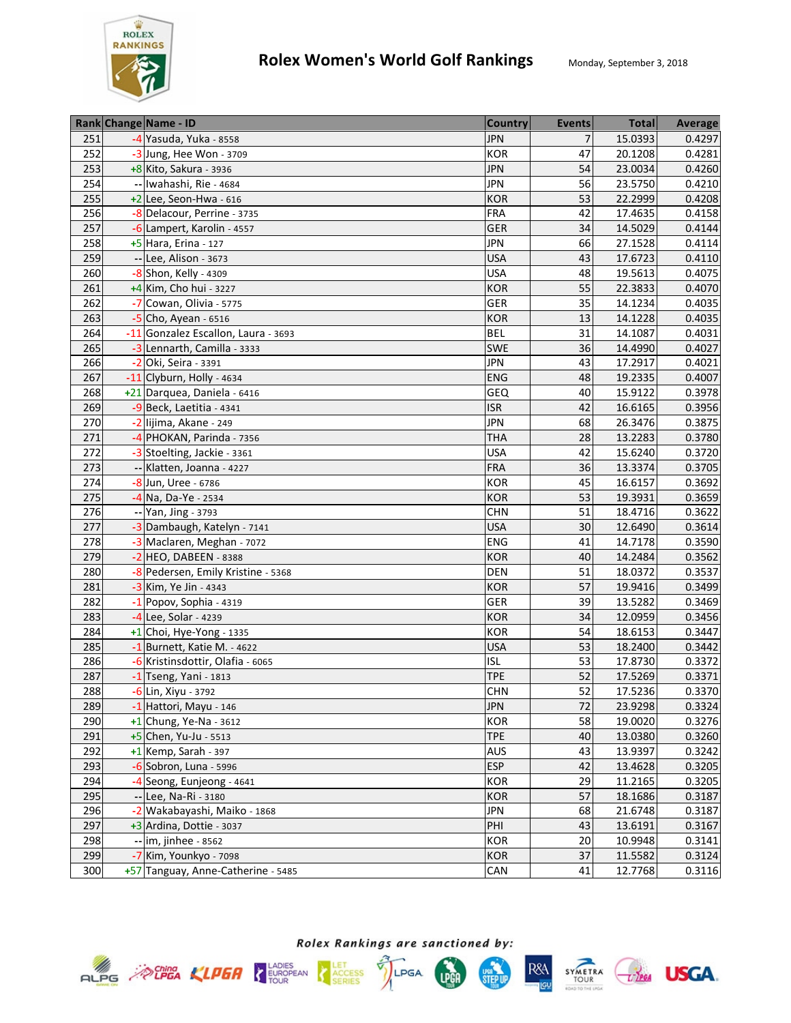

|     | Rank Change Name - ID               | <b>Country</b> | <b>Events</b> | <b>Total</b> | <b>Average</b> |
|-----|-------------------------------------|----------------|---------------|--------------|----------------|
| 251 | -4 Yasuda, Yuka - 8558              | <b>JPN</b>     | 7             | 15.0393      | 0.4297         |
| 252 | -3 Jung, Hee Won - 3709             | <b>KOR</b>     | 47            | 20.1208      | 0.4281         |
| 253 | +8 Kito, Sakura - 3936              | <b>JPN</b>     | 54            | 23.0034      | 0.4260         |
| 254 | -- Iwahashi, Rie - 4684             | <b>JPN</b>     | 56            | 23.5750      | 0.4210         |
| 255 | $+2$ Lee, Seon-Hwa - 616            | <b>KOR</b>     | 53            | 22.2999      | 0.4208         |
| 256 | -8 Delacour, Perrine - 3735         | <b>FRA</b>     | 42            | 17.4635      | 0.4158         |
| 257 | -6 Lampert, Karolin - 4557          | <b>GER</b>     | 34            | 14.5029      | 0.4144         |
| 258 | +5 Hara, Erina - 127                | <b>JPN</b>     | 66            | 27.1528      | 0.4114         |
| 259 | -- Lee, Alison - 3673               | <b>USA</b>     | 43            | 17.6723      | 0.4110         |
| 260 | -8 Shon, Kelly - 4309               | <b>USA</b>     | 48            | 19.5613      | 0.4075         |
| 261 | +4 Kim, Cho hui - 3227              | <b>KOR</b>     | 55            | 22.3833      | 0.4070         |
| 262 | -7 Cowan, Olivia - 5775             | GER            | 35            | 14.1234      | 0.4035         |
| 263 | $-5$ Cho, Ayean - 6516              | <b>KOR</b>     | 13            | 14.1228      | 0.4035         |
| 264 | -11 Gonzalez Escallon, Laura - 3693 | <b>BEL</b>     | 31            | 14.1087      | 0.4031         |
| 265 | -3 Lennarth, Camilla - 3333         | <b>SWE</b>     | 36            | 14.4990      | 0.4027         |
| 266 | -2 Oki, Seira - 3391                | <b>JPN</b>     | 43            | 17.2917      | 0.4021         |
| 267 | -11 Clyburn, Holly - 4634           | <b>ENG</b>     | 48            | 19.2335      | 0.4007         |
| 268 | +21 Darquea, Daniela - 6416         | GEQ            | 40            | 15.9122      | 0.3978         |
| 269 | -9 Beck, Laetitia - 4341            | <b>ISR</b>     | 42            | 16.6165      | 0.3956         |
| 270 | -2 lijima, Akane - 249              | <b>JPN</b>     | 68            | 26.3476      | 0.3875         |
| 271 | -4 PHOKAN, Parinda - 7356           | <b>THA</b>     | 28            | 13.2283      | 0.3780         |
| 272 | -3 Stoelting, Jackie - 3361         | <b>USA</b>     | 42            | 15.6240      | 0.3720         |
| 273 | -- Klatten, Joanna - 4227           | <b>FRA</b>     | 36            | 13.3374      | 0.3705         |
| 274 | -8 Jun, Uree - 6786                 | <b>KOR</b>     | 45            | 16.6157      | 0.3692         |
| 275 | $-4$ Na, Da-Ye - 2534               | <b>KOR</b>     | 53            | 19.3931      | 0.3659         |
| 276 | $-$ Yan, Jing - 3793                | <b>CHN</b>     | 51            | 18.4716      | 0.3622         |
| 277 | -3 Dambaugh, Katelyn - 7141         | <b>USA</b>     | 30            | 12.6490      | 0.3614         |
| 278 | -3 Maclaren, Meghan - 7072          | <b>ENG</b>     | 41            | 14.7178      | 0.3590         |
| 279 | $-2$ HEO, DABEEN - 8388             | <b>KOR</b>     | 40            | 14.2484      | 0.3562         |
| 280 | -8 Pedersen, Emily Kristine - 5368  | <b>DEN</b>     | 51            | 18.0372      | 0.3537         |
| 281 | -3 Kim, Ye Jin - 4343               | <b>KOR</b>     | 57            | 19.9416      | 0.3499         |
| 282 | $-1$ Popov, Sophia - 4319           | GER            | 39            | 13.5282      | 0.3469         |
| 283 | -4 Lee, Solar - 4239                | <b>KOR</b>     | 34            | 12.0959      | 0.3456         |
| 284 | $+1$ Choi, Hye-Yong - 1335          | <b>KOR</b>     | 54            | 18.6153      | 0.3447         |
| 285 | -1 Burnett, Katie M. - 4622         | <b>USA</b>     | 53            | 18.2400      | 0.3442         |
| 286 | -6 Kristinsdottir, Olafia - 6065    | <b>ISL</b>     | 53            | 17.8730      | 0.3372         |
| 287 | $-1$ Tseng, Yani - 1813             | <b>TPE</b>     | 52            | 17.5269      | 0.3371         |
| 288 | -6 Lin, Xiyu - 3792                 | <b>CHN</b>     | 52            | 17.5236      | 0.3370         |
| 289 | $-1$ Hattori, Mayu - 146            | <b>JPN</b>     | 72            | 23.9298      | 0.3324         |
| 290 | $+1$ Chung, Ye-Na - 3612            | <b>KOR</b>     | 58            | 19.0020      | 0.3276         |
| 291 | $+5$ Chen, Yu-Ju - 5513             | <b>TPE</b>     | 40            | 13.0380      | 0.3260         |
| 292 | $+1$ Kemp, Sarah - 397              | AUS            | 43            | 13.9397      | 0.3242         |
| 293 | -6 Sobron, Luna - 5996              | <b>ESP</b>     | 42            | 13.4628      | 0.3205         |
| 294 | -4 Seong, Eunjeong - 4641           | KOR            | 29            | 11.2165      | 0.3205         |
| 295 | -- Lee, Na-Ri - 3180                | <b>KOR</b>     | 57            | 18.1686      | 0.3187         |
| 296 | -2 Wakabayashi, Maiko - 1868        | <b>JPN</b>     | 68            | 21.6748      | 0.3187         |
| 297 | +3 Ardina, Dottie - 3037            | PHI            | 43            | 13.6191      | 0.3167         |
| 298 | -- im, jinhee - 8562                | <b>KOR</b>     | 20            | 10.9948      | 0.3141         |
| 299 | -7 Kim, Younkyo - 7098              | <b>KOR</b>     | 37            | 11.5582      | 0.3124         |
| 300 | +57 Tanguay, Anne-Catherine - 5485  | CAN            | 41            | 12.7768      | 0.3116         |







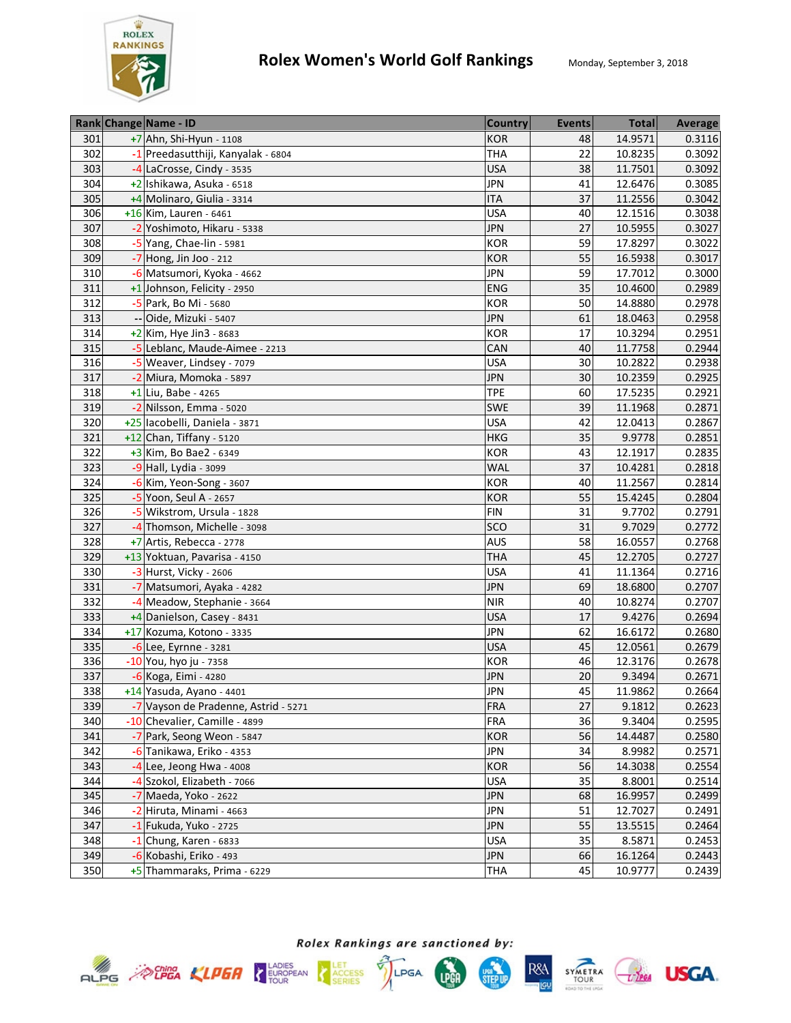

|     | Rank Change Name - ID                | <b>Country</b> | <b>Events</b> | <b>Total</b> | <b>Average</b> |
|-----|--------------------------------------|----------------|---------------|--------------|----------------|
| 301 | $+7$ Ahn, Shi-Hyun - 1108            | <b>KOR</b>     | 48            | 14.9571      | 0.3116         |
| 302 | -1 Preedasutthiji, Kanyalak - 6804   | <b>THA</b>     | 22            | 10.8235      | 0.3092         |
| 303 | -4 LaCrosse, Cindy - 3535            | <b>USA</b>     | 38            | 11.7501      | 0.3092         |
| 304 | +2 Ishikawa, Asuka - 6518            | <b>JPN</b>     | 41            | 12.6476      | 0.3085         |
| 305 | +4 Molinaro, Giulia - 3314           | <b>ITA</b>     | 37            | 11.2556      | 0.3042         |
| 306 | +16 Kim, Lauren - 6461               | <b>USA</b>     | 40            | 12.1516      | 0.3038         |
| 307 | -2 Yoshimoto, Hikaru - 5338          | <b>JPN</b>     | 27            | 10.5955      | 0.3027         |
| 308 | -5 Yang, Chae-lin - 5981             | <b>KOR</b>     | 59            | 17.8297      | 0.3022         |
| 309 | $-7$ Hong, Jin Joo - 212             | <b>KOR</b>     | 55            | 16.5938      | 0.3017         |
| 310 | -6 Matsumori, Kyoka - 4662           | <b>JPN</b>     | 59            | 17.7012      | 0.3000         |
| 311 | +1 Johnson, Felicity - 2950          | <b>ENG</b>     | 35            | 10.4600      | 0.2989         |
| 312 | -5 Park, Bo Mi - 5680                | KOR            | 50            | 14.8880      | 0.2978         |
| 313 | -- Oide, Mizuki - 5407               | <b>JPN</b>     | 61            | 18.0463      | 0.2958         |
| 314 | $+2$ Kim, Hye Jin3 - 8683            | <b>KOR</b>     | 17            | 10.3294      | 0.2951         |
| 315 | -5 Leblanc, Maude-Aimee - 2213       | CAN            | 40            | 11.7758      | 0.2944         |
| 316 | -5 Weaver, Lindsey - 7079            | <b>USA</b>     | 30            | 10.2822      | 0.2938         |
| 317 | -2 Miura, Momoka - 5897              | <b>JPN</b>     | 30            | 10.2359      | 0.2925         |
| 318 | $+1$ Liu, Babe - 4265                | <b>TPE</b>     | 60            | 17.5235      | 0.2921         |
| 319 | -2 Nilsson, Emma - 5020              | SWE            | 39            | 11.1968      | 0.2871         |
| 320 | +25 lacobelli, Daniela - 3871        | <b>USA</b>     | 42            | 12.0413      | 0.2867         |
| 321 | +12 Chan, Tiffany - 5120             | <b>HKG</b>     | 35            | 9.9778       | 0.2851         |
| 322 | +3 Kim, Bo Bae2 - 6349               | <b>KOR</b>     | 43            | 12.1917      | 0.2835         |
| 323 | -9 Hall, Lydia - 3099                | <b>WAL</b>     | 37            | 10.4281      | 0.2818         |
| 324 | $-6$ Kim, Yeon-Song - 3607           | <b>KOR</b>     | 40            | 11.2567      | 0.2814         |
| 325 | $-5$ Yoon, Seul A - 2657             | <b>KOR</b>     | 55            | 15.4245      | 0.2804         |
| 326 | -5 Wikstrom, Ursula - 1828           | <b>FIN</b>     | 31            | 9.7702       | 0.2791         |
| 327 | -4 Thomson, Michelle - 3098          | SCO            | 31            | 9.7029       | 0.2772         |
| 328 | +7 Artis, Rebecca - 2778             | <b>AUS</b>     | 58            | 16.0557      | 0.2768         |
| 329 | +13 Yoktuan, Pavarisa - 4150         | <b>THA</b>     | 45            | 12.2705      | 0.2727         |
| 330 | -3 Hurst, Vicky - 2606               | <b>USA</b>     | 41            | 11.1364      | 0.2716         |
| 331 | -7 Matsumori, Ayaka - 4282           | <b>JPN</b>     | 69            | 18.6800      | 0.2707         |
| 332 | -4 Meadow, Stephanie - 3664          | <b>NIR</b>     | 40            | 10.8274      | 0.2707         |
| 333 | +4 Danielson, Casey - 8431           | <b>USA</b>     | 17            | 9.4276       | 0.2694         |
| 334 | +17 Kozuma, Kotono - 3335            | <b>JPN</b>     | 62            | 16.6172      | 0.2680         |
| 335 | $-6$ Lee, Eyrnne - 3281              | <b>USA</b>     | 45            | 12.0561      | 0.2679         |
| 336 | -10 You, hyo ju - 7358               | <b>KOR</b>     | 46            | 12.3176      | 0.2678         |
| 337 | -6 Koga, Eimi - 4280                 | <b>JPN</b>     | 20            | 9.3494       | 0.2671         |
| 338 | +14 Yasuda, Ayano - 4401             | <b>JPN</b>     | 45            | 11.9862      | 0.2664         |
| 339 | -7 Vayson de Pradenne, Astrid - 5271 | <b>FRA</b>     | 27            | 9.1812       | 0.2623         |
| 340 | -10 Chevalier, Camille - 4899        | <b>FRA</b>     | 36            | 9.3404       | 0.2595         |
| 341 | -7 Park, Seong Weon - 5847           | <b>KOR</b>     | 56            | 14.4487      | 0.2580         |
| 342 | -6 Tanikawa, Eriko - 4353            | <b>JPN</b>     | 34            | 8.9982       | 0.2571         |
| 343 | $-4$ Lee, Jeong Hwa - 4008           | <b>KOR</b>     | 56            | 14.3038      | 0.2554         |
| 344 | -4 Szokol, Elizabeth - 7066          | <b>USA</b>     | 35            | 8.8001       | 0.2514         |
| 345 | -7 Maeda, Yoko - 2622                | <b>JPN</b>     | 68            | 16.9957      | 0.2499         |
| 346 | -2 Hiruta, Minami - 4663             | <b>JPN</b>     | 51            | 12.7027      | 0.2491         |
| 347 | -1 Fukuda, Yuko - 2725               | <b>JPN</b>     | 55            | 13.5515      | 0.2464         |
| 348 | $-1$ Chung, Karen - 6833             | <b>USA</b>     | 35            | 8.5871       | 0.2453         |
| 349 | -6 Kobashi, Eriko - 493              | <b>JPN</b>     | 66            | 16.1264      | 0.2443         |
| 350 | +5 Thammaraks, Prima - 6229          | <b>THA</b>     | 45            | 10.9777      | 0.2439         |







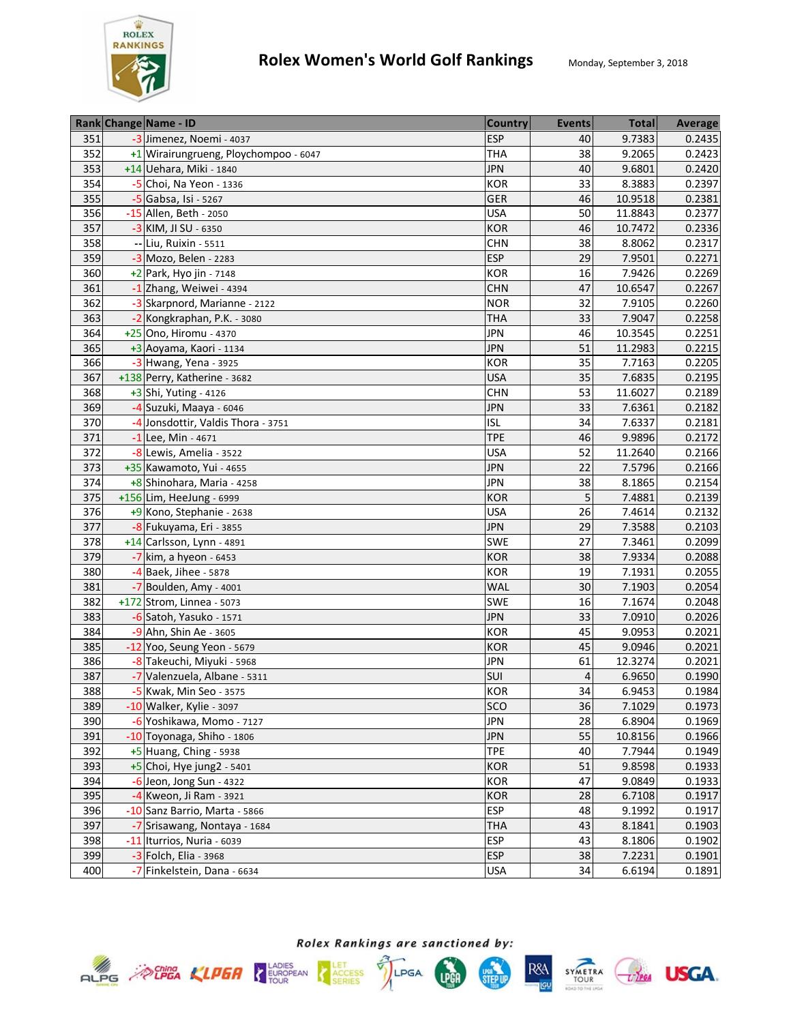

|     | Rank Change Name - ID                 | <b>Country</b> | <b>Events</b>   | <b>Total</b> | <b>Average</b> |
|-----|---------------------------------------|----------------|-----------------|--------------|----------------|
| 351 | -3 Jimenez, Noemi - 4037              | <b>ESP</b>     | 40              | 9.7383       | 0.2435         |
| 352 | +1 Wirairungrueng, Ploychompoo - 6047 | <b>THA</b>     | 38              | 9.2065       | 0.2423         |
| 353 | +14 Uehara, Miki - 1840               | <b>JPN</b>     | 40              | 9.6801       | 0.2420         |
| 354 | -5 Choi, Na Yeon - 1336               | <b>KOR</b>     | $\overline{33}$ | 8.3883       | 0.2397         |
| 355 | -5 Gabsa, Isi - 5267                  | <b>GER</b>     | 46              | 10.9518      | 0.2381         |
| 356 | -15 Allen, Beth - 2050                | <b>USA</b>     | 50              | 11.8843      | 0.2377         |
| 357 | -3 KIM, JI SU - 6350                  | <b>KOR</b>     | 46              | 10.7472      | 0.2336         |
| 358 | -- Liu, Ruixin - 5511                 | <b>CHN</b>     | 38              | 8.8062       | 0.2317         |
| 359 | -3 Mozo, Belen - 2283                 | <b>ESP</b>     | 29              | 7.9501       | 0.2271         |
| 360 | +2 Park, Hyo jin - 7148               | <b>KOR</b>     | 16              | 7.9426       | 0.2269         |
| 361 | -1 Zhang, Weiwei - 4394               | <b>CHN</b>     | 47              | 10.6547      | 0.2267         |
| 362 | -3 Skarpnord, Marianne - 2122         | <b>NOR</b>     | 32              | 7.9105       | 0.2260         |
| 363 | -2 Kongkraphan, P.K. - 3080           | THA            | 33              | 7.9047       | 0.2258         |
| 364 | +25 Ono, Hiromu - 4370                | <b>JPN</b>     | 46              | 10.3545      | 0.2251         |
| 365 | +3 Aoyama, Kaori - 1134               | <b>JPN</b>     | 51              | 11.2983      | 0.2215         |
| 366 | $-3$ Hwang, Yena - 3925               | <b>KOR</b>     | 35              | 7.7163       | 0.2205         |
| 367 | +138 Perry, Katherine - 3682          | <b>USA</b>     | 35              | 7.6835       | 0.2195         |
| 368 | +3 Shi, Yuting - 4126                 | <b>CHN</b>     | 53              | 11.6027      | 0.2189         |
| 369 | -4 Suzuki, Maaya - 6046               | <b>JPN</b>     | 33              | 7.6361       | 0.2182         |
| 370 | -4 Jonsdottir, Valdis Thora - 3751    | <b>ISL</b>     | 34              | 7.6337       | 0.2181         |
| 371 | $-1$ Lee, Min - 4671                  | <b>TPE</b>     | 46              | 9.9896       | 0.2172         |
| 372 | -8 Lewis, Amelia - 3522               | <b>USA</b>     | 52              | 11.2640      | 0.2166         |
| 373 | +35 Kawamoto, Yui - 4655              | <b>JPN</b>     | 22              | 7.5796       | 0.2166         |
| 374 | +8 Shinohara, Maria - 4258            | <b>JPN</b>     | 38              | 8.1865       | 0.2154         |
| 375 | +156 Lim, HeeJung - 6999              | <b>KOR</b>     | 5               | 7.4881       | 0.2139         |
| 376 | +9 Kono, Stephanie - 2638             | <b>USA</b>     | 26              | 7.4614       | 0.2132         |
| 377 | -8 Fukuyama, Eri - 3855               | <b>JPN</b>     | 29              | 7.3588       | 0.2103         |
| 378 | +14 Carlsson, Lynn - 4891             | SWE            | 27              | 7.3461       | 0.2099         |
| 379 | $-7$ kim, a hyeon - 6453              | <b>KOR</b>     | 38              | 7.9334       | 0.2088         |
| 380 | -4 Baek, Jihee - 5878                 | <b>KOR</b>     | 19              | 7.1931       | 0.2055         |
| 381 | $-7$ Boulden, Amy - 4001              | <b>WAL</b>     | 30              | 7.1903       | 0.2054         |
| 382 | +172 Strom, Linnea - 5073             | <b>SWE</b>     | 16              | 7.1674       | 0.2048         |
| 383 | -6 Satoh, Yasuko - 1571               | <b>JPN</b>     | 33              | 7.0910       | 0.2026         |
| 384 | -9 Ahn, Shin Ae - 3605                | <b>KOR</b>     | 45              | 9.0953       | 0.2021         |
| 385 | -12 Yoo, Seung Yeon - 5679            | <b>KOR</b>     | 45              | 9.0946       | 0.2021         |
| 386 | -8 Takeuchi, Miyuki - 5968            | <b>JPN</b>     | 61              | 12.3274      | 0.2021         |
| 387 | -7 Valenzuela, Albane - 5311          | SUI            | 4               | 6.9650       | 0.1990         |
| 388 | -5 Kwak, Min Seo - 3575               | <b>KOR</b>     | 34              | 6.9453       | 0.1984         |
| 389 | -10 Walker, Kylie - 3097              | <b>SCO</b>     | 36              | 7.1029       | 0.1973         |
| 390 | -6 Yoshikawa, Momo - 7127             | <b>JPN</b>     | 28              | 6.8904       | 0.1969         |
| 391 | -10 Toyonaga, Shiho - 1806            | <b>JPN</b>     | 55              | 10.8156      | 0.1966         |
| 392 | $+5$ Huang, Ching - 5938              | <b>TPE</b>     | 40              | 7.7944       | 0.1949         |
| 393 | $+5$ Choi, Hye jung2 - 5401           | <b>KOR</b>     | 51              | 9.8598       | 0.1933         |
| 394 | $-6$ Jeon, Jong Sun - 4322            | KOR            | 47              | 9.0849       | 0.1933         |
| 395 | -4 Kweon, Ji Ram - 3921               | <b>KOR</b>     | 28              | 6.7108       | 0.1917         |
| 396 | -10 Sanz Barrio, Marta - 5866         | <b>ESP</b>     | 48              | 9.1992       | 0.1917         |
| 397 | -7 Srisawang, Nontaya - 1684          | <b>THA</b>     | 43              | 8.1841       | 0.1903         |
| 398 | -11 Iturrios, Nuria - 6039            | <b>ESP</b>     | 43              | 8.1806       | 0.1902         |
| 399 | $-3$ Folch, Elia - 3968               | <b>ESP</b>     | 38              | 7.2231       | 0.1901         |
| 400 | -7 Finkelstein, Dana - 6634           | <b>USA</b>     | 34              | 6.6194       | 0.1891         |









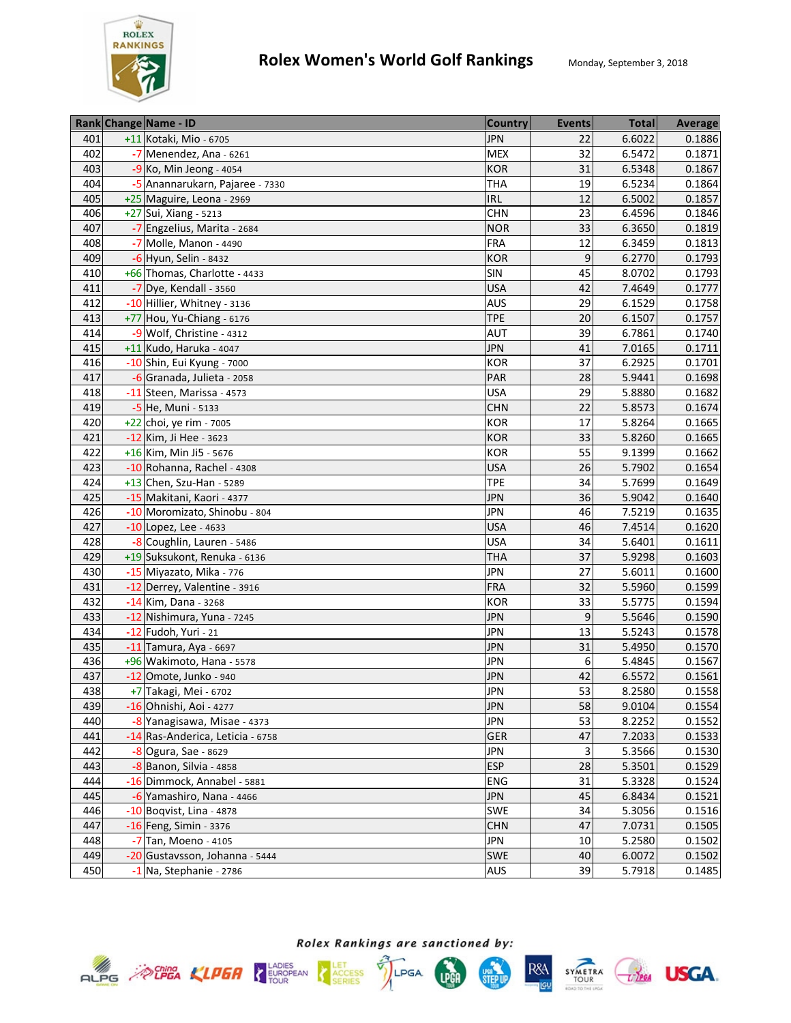

|     | Rank Change Name - ID            | <b>Country</b> | <b>Events</b>   | <b>Total</b> | <b>Average</b> |
|-----|----------------------------------|----------------|-----------------|--------------|----------------|
| 401 | +11 Kotaki, Mio - 6705           | <b>JPN</b>     | 22              | 6.6022       | 0.1886         |
| 402 | -7 Menendez, Ana - 6261          | <b>MEX</b>     | 32              | 6.5472       | 0.1871         |
| 403 | -9 Ko, Min Jeong - 4054          | <b>KOR</b>     | 31              | 6.5348       | 0.1867         |
| 404 | -5 Anannarukarn, Pajaree - 7330  | <b>THA</b>     | $\overline{19}$ | 6.5234       | 0.1864         |
| 405 | +25 Maguire, Leona - 2969        | <b>IRL</b>     | 12              | 6.5002       | 0.1857         |
| 406 | +27 Sui, Xiang - 5213            | <b>CHN</b>     | 23              | 6.4596       | 0.1846         |
| 407 | -7 Engzelius, Marita - 2684      | <b>NOR</b>     | 33              | 6.3650       | 0.1819         |
| 408 | -7 Molle, Manon - 4490           | <b>FRA</b>     | 12              | 6.3459       | 0.1813         |
| 409 | -6 Hyun, Selin - 8432            | <b>KOR</b>     | 9               | 6.2770       | 0.1793         |
| 410 | +66 Thomas, Charlotte - 4433     | SIN            | 45              | 8.0702       | 0.1793         |
| 411 | -7 Dye, Kendall - 3560           | <b>USA</b>     | 42              | 7.4649       | 0.1777         |
| 412 | -10 Hillier, Whitney - 3136      | <b>AUS</b>     | 29              | 6.1529       | 0.1758         |
| 413 | +77 Hou, Yu-Chiang - 6176        | <b>TPE</b>     | 20              | 6.1507       | 0.1757         |
| 414 | -9 Wolf, Christine - 4312        | <b>AUT</b>     | 39              | 6.7861       | 0.1740         |
| 415 | +11 Kudo, Haruka - 4047          | <b>JPN</b>     | 41              | 7.0165       | 0.1711         |
| 416 | -10 Shin, Eui Kyung - 7000       | <b>KOR</b>     | $\overline{37}$ | 6.2925       | 0.1701         |
| 417 | -6 Granada, Julieta - 2058       | PAR            | 28              | 5.9441       | 0.1698         |
| 418 | -11 Steen, Marissa - 4573        | <b>USA</b>     | 29              | 5.8880       | 0.1682         |
| 419 | -5 He, Muni - 5133               | <b>CHN</b>     | 22              | 5.8573       | 0.1674         |
| 420 | +22 choi, ye rim - 7005          | <b>KOR</b>     | 17              | 5.8264       | 0.1665         |
| 421 | -12 Kim, Ji Hee - 3623           | <b>KOR</b>     | 33              | 5.8260       | 0.1665         |
| 422 | +16 Kim, Min Ji5 - 5676          | <b>KOR</b>     | 55              | 9.1399       | 0.1662         |
| 423 | -10 Rohanna, Rachel - 4308       | <b>USA</b>     | 26              | 5.7902       | 0.1654         |
| 424 | +13 Chen, Szu-Han - 5289         | <b>TPE</b>     | 34              | 5.7699       | 0.1649         |
| 425 | -15 Makitani, Kaori - 4377       | <b>JPN</b>     | 36              | 5.9042       | 0.1640         |
| 426 | -10 Moromizato, Shinobu - 804    | <b>JPN</b>     | 46              | 7.5219       | 0.1635         |
| 427 | $-10$ Lopez, Lee - 4633          | <b>USA</b>     | 46              | 7.4514       | 0.1620         |
| 428 | -8 Coughlin, Lauren - 5486       | <b>USA</b>     | 34              | 5.6401       | 0.1611         |
| 429 | +19 Suksukont, Renuka - 6136     | <b>THA</b>     | 37              | 5.9298       | 0.1603         |
| 430 | -15 Miyazato, Mika - 776         | <b>JPN</b>     | 27              | 5.6011       | 0.1600         |
| 431 | -12 Derrey, Valentine - 3916     | <b>FRA</b>     | 32              | 5.5960       | 0.1599         |
| 432 | -14 Kim, Dana - 3268             | <b>KOR</b>     | 33              | 5.5775       | 0.1594         |
| 433 | -12 Nishimura, Yuna - 7245       | <b>JPN</b>     | 9               | 5.5646       | 0.1590         |
| 434 | -12 Fudoh, Yuri - 21             | <b>JPN</b>     | 13              | 5.5243       | 0.1578         |
| 435 | -11 Tamura, Aya - 6697           | <b>JPN</b>     | 31              | 5.4950       | 0.1570         |
| 436 | +96 Wakimoto, Hana - 5578        | <b>JPN</b>     | 6               | 5.4845       | 0.1567         |
| 437 | -12 Omote, Junko - 940           | <b>JPN</b>     | 42              | 6.5572       | 0.1561         |
| 438 | +7 Takagi, Mei - 6702            | <b>JPN</b>     | 53              | 8.2580       | 0.1558         |
| 439 | -16 Ohnishi, Aoi - 4277          | <b>JPN</b>     | 58              | 9.0104       | 0.1554         |
| 440 | -8 Yanagisawa, Misae - 4373      | <b>JPN</b>     | 53              | 8.2252       | 0.1552         |
| 441 | -14 Ras-Anderica, Leticia - 6758 | GER            | 47              | 7.2033       | 0.1533         |
| 442 | $-8$ Ogura, Sae - 8629           | <b>JPN</b>     | 3               | 5.3566       | 0.1530         |
| 443 | -8 Banon, Silvia - 4858          | <b>ESP</b>     | 28              | 5.3501       | 0.1529         |
| 444 | -16 Dimmock, Annabel - 5881      | ENG            | 31              | 5.3328       | 0.1524         |
| 445 | -6 Yamashiro, Nana - 4466        | <b>JPN</b>     | 45              | 6.8434       | 0.1521         |
| 446 | $-10$ Boqvist, Lina - 4878       | SWE            | 34              | 5.3056       | 0.1516         |
| 447 | -16 Feng, Simin - 3376           | <b>CHN</b>     | 47              | 7.0731       | 0.1505         |
| 448 | -7 Tan, Moeno - 4105             | <b>JPN</b>     | 10              | 5.2580       | 0.1502         |
| 449 | -20 Gustavsson, Johanna - 5444   | SWE            | 40              | 6.0072       | 0.1502         |
| 450 | -1 Na, Stephanie - 2786          | AUS            | 39              | 5.7918       | 0.1485         |









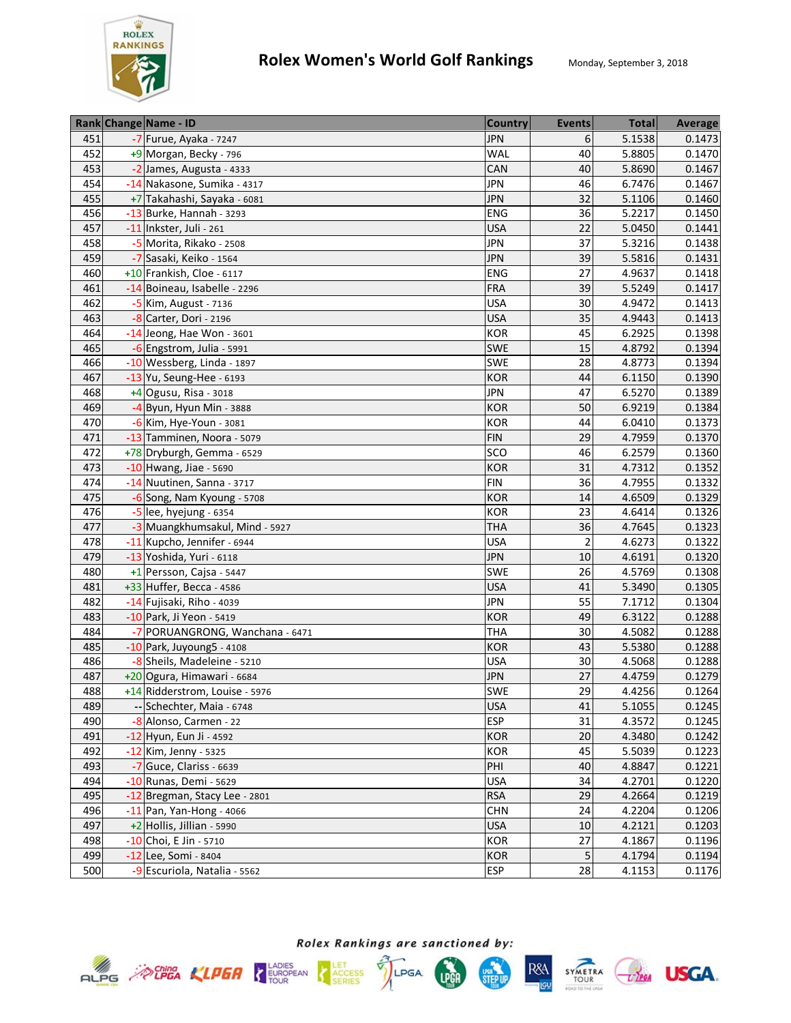

|     | Rank Change Name - ID           | <b>Country</b> | <b>Events</b>  | <b>Total</b> | <b>Average</b> |
|-----|---------------------------------|----------------|----------------|--------------|----------------|
| 451 | -7 Furue, Ayaka - 7247          | <b>JPN</b>     | 6              | 5.1538       | 0.1473         |
| 452 | +9 Morgan, Becky - 796          | <b>WAL</b>     | 40             | 5.8805       | 0.1470         |
| 453 | -2 James, Augusta - 4333        | CAN            | 40             | 5.8690       | 0.1467         |
| 454 | -14 Nakasone, Sumika - 4317     | <b>JPN</b>     | 46             | 6.7476       | 0.1467         |
| 455 | +7 Takahashi, Sayaka - 6081     | <b>JPN</b>     | 32             | 5.1106       | 0.1460         |
| 456 | -13 Burke, Hannah - 3293        | ENG            | 36             | 5.2217       | 0.1450         |
| 457 | -11 Inkster, Juli - 261         | <b>USA</b>     | 22             | 5.0450       | 0.1441         |
| 458 | -5 Morita, Rikako - 2508        | <b>JPN</b>     | 37             | 5.3216       | 0.1438         |
| 459 | -7 Sasaki, Keiko - 1564         | <b>JPN</b>     | 39             | 5.5816       | 0.1431         |
| 460 | +10 Frankish, Cloe - 6117       | ENG            | 27             | 4.9637       | 0.1418         |
| 461 | -14 Boineau, Isabelle - 2296    | <b>FRA</b>     | 39             | 5.5249       | 0.1417         |
| 462 | -5 Kim, August - 7136           | <b>USA</b>     | 30             | 4.9472       | 0.1413         |
| 463 | -8 Carter, Dori - 2196          | <b>USA</b>     | 35             | 4.9443       | 0.1413         |
| 464 | $-14$ Jeong, Hae Won - 3601     | <b>KOR</b>     | 45             | 6.2925       | 0.1398         |
| 465 | -6 Engstrom, Julia - 5991       | SWE            | 15             | 4.8792       | 0.1394         |
| 466 | -10 Wessberg, Linda - 1897      | SWE            | 28             | 4.8773       | 0.1394         |
| 467 | -13 Yu, Seung-Hee - 6193        | <b>KOR</b>     | 44             | 6.1150       | 0.1390         |
| 468 | $+4$ Ogusu, Risa - 3018         | <b>JPN</b>     | 47             | 6.5270       | 0.1389         |
| 469 | -4 Byun, Hyun Min - 3888        | <b>KOR</b>     | 50             | 6.9219       | 0.1384         |
| 470 | -6 Kim, Hye-Youn - 3081         | <b>KOR</b>     | 44             | 6.0410       | 0.1373         |
| 471 | -13 Tamminen, Noora - 5079      | <b>FIN</b>     | 29             | 4.7959       | 0.1370         |
| 472 | +78 Dryburgh, Gemma - 6529      | SCO            | 46             | 6.2579       | 0.1360         |
| 473 | $-10$ Hwang, Jiae - 5690        | <b>KOR</b>     | 31             | 4.7312       | 0.1352         |
| 474 | -14 Nuutinen, Sanna - 3717      | <b>FIN</b>     | 36             | 4.7955       | 0.1332         |
| 475 | -6 Song, Nam Kyoung - 5708      | <b>KOR</b>     | 14             | 4.6509       | 0.1329         |
| 476 | -5 lee, hyejung - 6354          | <b>KOR</b>     | 23             | 4.6414       | 0.1326         |
| 477 | -3 Muangkhumsakul, Mind - 5927  | <b>THA</b>     | 36             | 4.7645       | 0.1323         |
| 478 | -11 Kupcho, Jennifer - 6944     | <b>USA</b>     | $\overline{2}$ | 4.6273       | 0.1322         |
| 479 | -13 Yoshida, Yuri - 6118        | <b>JPN</b>     | 10             | 4.6191       | 0.1320         |
| 480 | +1 Persson, Cajsa - 5447        | SWE            | 26             | 4.5769       | 0.1308         |
| 481 | +33 Huffer, Becca - 4586        | <b>USA</b>     | 41             | 5.3490       | 0.1305         |
| 482 | -14 Fujisaki, Riho - 4039       | <b>JPN</b>     | 55             | 7.1712       | 0.1304         |
| 483 | -10 Park, Ji Yeon - 5419        | <b>KOR</b>     | 49             | 6.3122       | 0.1288         |
| 484 | -7 PORUANGRONG, Wanchana - 6471 | <b>THA</b>     | 30             | 4.5082       | 0.1288         |
| 485 | -10 Park, Juyoung5 - 4108       | <b>KOR</b>     | 43             | 5.5380       | 0.1288         |
| 486 | -8 Sheils, Madeleine - 5210     | <b>USA</b>     | 30             | 4.5068       | 0.1288         |
| 487 | +20 Ogura, Himawari - 6684      | <b>JPN</b>     | 27             | 4.4759       | 0.1279         |
| 488 | +14 Ridderstrom, Louise - 5976  | SWE            | 29             | 4.4256       | 0.1264         |
| 489 | -- Schechter, Maia - 6748       | <b>USA</b>     | 41             | 5.1055       | 0.1245         |
| 490 | -8 Alonso, Carmen - 22          | <b>ESP</b>     | 31             | 4.3572       | 0.1245         |
| 491 | -12 Hyun, Eun Ji - 4592         | <b>KOR</b>     | 20             | 4.3480       | 0.1242         |
| 492 | -12 Kim, Jenny - 5325           | KOR            | 45             | 5.5039       | 0.1223         |
| 493 | -7 Guce, Clariss - 6639         | PHI            | 40             | 4.8847       | 0.1221         |
| 494 | -10 Runas, Demi - 5629          | <b>USA</b>     | 34             | 4.2701       | 0.1220         |
| 495 | -12 Bregman, Stacy Lee - 2801   | <b>RSA</b>     | 29             | 4.2664       | 0.1219         |
| 496 | $-11$ Pan, Yan-Hong - 4066      | <b>CHN</b>     | 24             | 4.2204       | 0.1206         |
| 497 | +2 Hollis, Jillian - 5990       | <b>USA</b>     | 10             | 4.2121       | 0.1203         |
| 498 | -10 Choi, E Jin - 5710          | KOR            | 27             | 4.1867       | 0.1196         |
| 499 | -12 Lee, Somi - 8404            | <b>KOR</b>     | 5              | 4.1794       | 0.1194         |
| 500 | -9 Escuriola, Natalia - 5562    | <b>ESP</b>     | 28             | 4.1153       | 0.1176         |







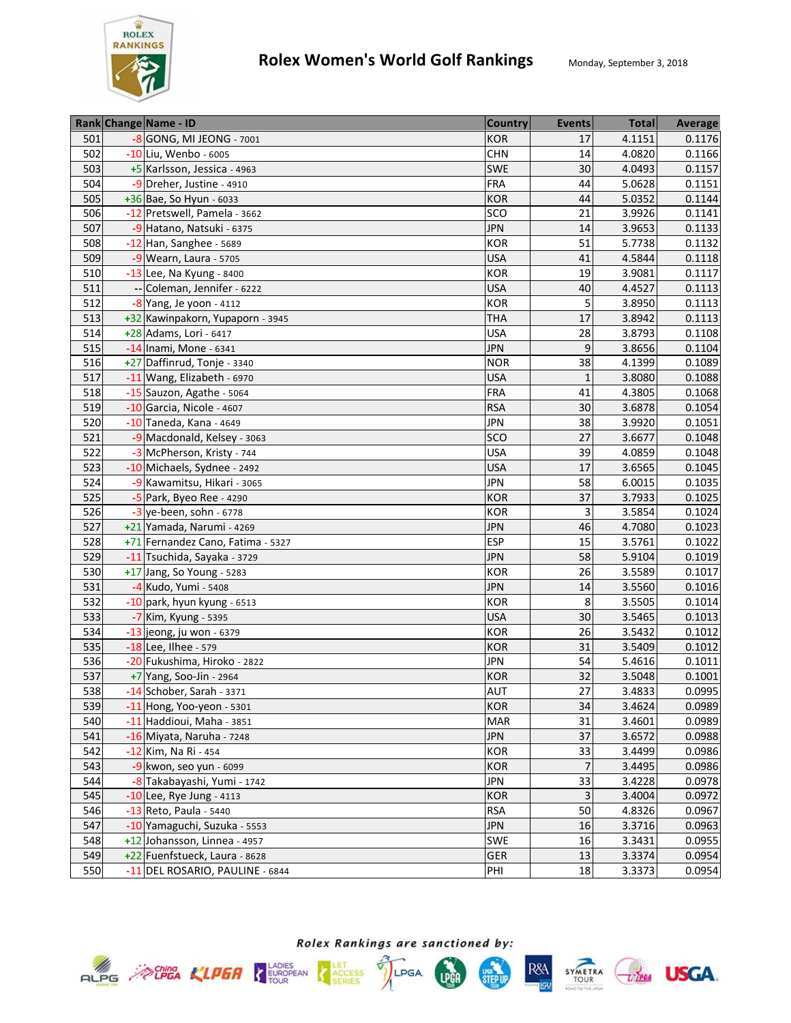

|     | Rank Change Name - ID             | <b>Country</b> | <b>Events</b>  | <b>Total</b> | <b>Average</b> |
|-----|-----------------------------------|----------------|----------------|--------------|----------------|
| 501 | -8 GONG, MI JEONG - 7001          | KOR            | 17             | 4.1151       | 0.1176         |
| 502 | -10 Liu, Wenbo - 6005             | <b>CHN</b>     | 14             | 4.0820       | 0.1166         |
| 503 | +5 Karlsson, Jessica - 4963       | SWE            | 30             | 4.0493       | 0.1157         |
| 504 | -9 Dreher, Justine - 4910         | <b>FRA</b>     | 44             | 5.0628       | 0.1151         |
| 505 | +36 Bae, So Hyun - 6033           | <b>KOR</b>     | 44             | 5.0352       | 0.1144         |
| 506 | -12 Pretswell, Pamela - 3662      | SCO            | 21             | 3.9926       | 0.1141         |
| 507 | -9 Hatano, Natsuki - 6375         | <b>JPN</b>     | 14             | 3.9653       | 0.1133         |
| 508 | -12 Han, Sanghee - 5689           | <b>KOR</b>     | 51             | 5.7738       | 0.1132         |
| 509 | $-9$ Wearn, Laura - 5705          | <b>USA</b>     | 41             | 4.5844       | 0.1118         |
| 510 | -13 Lee, Na Kyung - 8400          | KOR            | 19             | 3.9081       | 0.1117         |
| 511 | -- Coleman, Jennifer - 6222       | <b>USA</b>     | 40             | 4.4527       | 0.1113         |
| 512 | $-8$ Yang, Je yoon - 4112         | KOR            | 5              | 3.8950       | 0.1113         |
| 513 | +32 Kawinpakorn, Yupaporn - 3945  | <b>THA</b>     | 17             | 3.8942       | 0.1113         |
| 514 | +28 Adams, Lori - 6417            | <b>USA</b>     | 28             | 3.8793       | 0.1108         |
| 515 | -14 Inami, Mone - 6341            | <b>JPN</b>     | 9              | 3.8656       | 0.1104         |
| 516 | +27 Daffinrud, Tonje - 3340       | <b>NOR</b>     | 38             | 4.1399       | 0.1089         |
| 517 | -11 Wang, Elizabeth - 6970        | <b>USA</b>     | 1              | 3.8080       | 0.1088         |
| 518 | -15 Sauzon, Agathe - 5064         | <b>FRA</b>     | 41             | 4.3805       | 0.1068         |
| 519 | -10 Garcia, Nicole - 4607         | <b>RSA</b>     | 30             | 3.6878       | 0.1054         |
| 520 | $-10$ Taneda, Kana - 4649         | <b>JPN</b>     | 38             | 3.9920       | 0.1051         |
| 521 | -9 Macdonald, Kelsey - 3063       | <b>SCO</b>     | 27             | 3.6677       | 0.1048         |
| 522 | -3 McPherson, Kristy - 744        | <b>USA</b>     | 39             | 4.0859       | 0.1048         |
| 523 | -10 Michaels, Sydnee - 2492       | <b>USA</b>     | 17             | 3.6565       | 0.1045         |
| 524 | -9 Kawamitsu, Hikari - 3065       | <b>JPN</b>     | 58             | 6.0015       | 0.1035         |
| 525 | -5 Park, Byeo Ree - 4290          | KOR            | 37             | 3.7933       | 0.1025         |
| 526 | $-3$ ye-been, sohn - 6778         | KOR            | 3              | 3.5854       | 0.1024         |
| 527 | +21 Yamada, Narumi - 4269         | <b>JPN</b>     | 46             | 4.7080       | 0.1023         |
| 528 | +71 Fernandez Cano, Fatima - 5327 | <b>ESP</b>     | 15             | 3.5761       | 0.1022         |
| 529 | -11 Tsuchida, Sayaka - 3729       | <b>JPN</b>     | 58             | 5.9104       | 0.1019         |
| 530 | +17 Jang, So Young - 5283         | <b>KOR</b>     | 26             | 3.5589       | 0.1017         |
| 531 | -4 Kudo, Yumi - 5408              | <b>JPN</b>     | 14             | 3.5560       | 0.1016         |
| 532 | -10 park, hyun kyung - 6513       | <b>KOR</b>     | 8              | 3.5505       | 0.1014         |
| 533 | -7 Kim, Kyung - 5395              | <b>USA</b>     | 30             | 3.5465       | 0.1013         |
| 534 | $-13$ jeong, ju won - 6379        | <b>KOR</b>     | 26             | 3.5432       | 0.1012         |
| 535 | -18 Lee, Ilhee - 579              | <b>KOR</b>     | 31             | 3.5409       | 0.1012         |
| 536 | -20 Fukushima, Hiroko - 2822      | <b>JPN</b>     | 54             | 5.4616       | 0.1011         |
| 537 | +7 Yang, Soo-Jin - 2964           | <b>KOR</b>     | 32             | 3.5048       | 0.1001         |
| 538 | -14 Schober, Sarah - 3371         | <b>AUT</b>     | 27             | 3.4833       | 0.0995         |
| 539 | -11 Hong, Yoo-yeon - 5301         | <b>KOR</b>     | 34             | 3.4624       | 0.0989         |
| 540 | -11 Haddioui, Maha - 3851         | <b>MAR</b>     | 31             | 3.4601       | 0.0989         |
| 541 | -16 Miyata, Naruha - 7248         | <b>JPN</b>     | 37             | 3.6572       | 0.0988         |
| 542 | -12 Kim, Na Ri - 454              | KOR            | 33             | 3.4499       | 0.0986         |
| 543 | $-9$ kwon, seo yun - 6099         | <b>KOR</b>     | $\overline{7}$ | 3.4495       | 0.0986         |
| 544 | -8 Takabayashi, Yumi - 1742       | <b>JPN</b>     | 33             | 3.4228       | 0.0978         |
| 545 | $-10$ Lee, Rye Jung - 4113        | <b>KOR</b>     | 3              | 3.4004       | 0.0972         |
| 546 | -13 Reto, Paula - 5440            | <b>RSA</b>     | 50             | 4.8326       | 0.0967         |
| 547 | -10 Yamaguchi, Suzuka - 5553      | <b>JPN</b>     | 16             | 3.3716       | 0.0963         |
| 548 | +12 Johansson, Linnea - 4957      | SWE            | 16             | 3.3431       | 0.0955         |
| 549 | +22 Fuenfstueck, Laura - 8628     | <b>GER</b>     | 13             | 3.3374       | 0.0954         |
| 550 | -11 DEL ROSARIO, PAULINE - 6844   | PHI            | 18             | 3.3373       | 0.0954         |







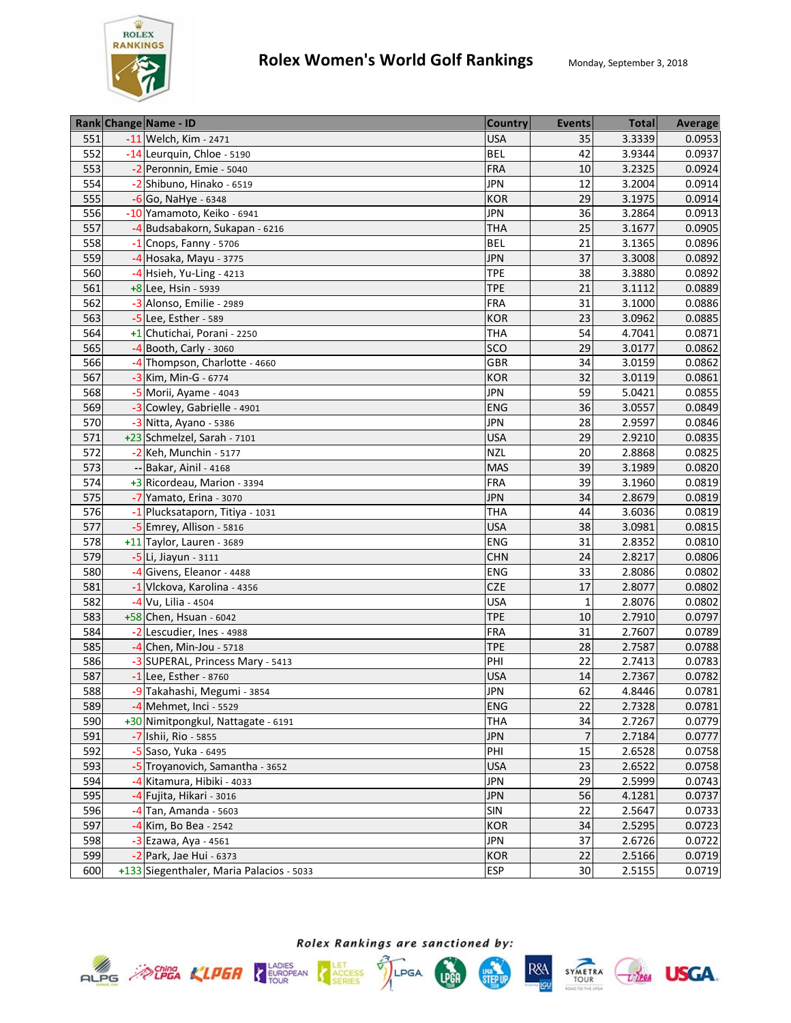

|     | Rank Change Name - ID                    | <b>Country</b> | <b>Events</b> | <b>Total</b> | <b>Average</b> |
|-----|------------------------------------------|----------------|---------------|--------------|----------------|
| 551 | -11 Welch, Kim - 2471                    | <b>USA</b>     | 35            | 3.3339       | 0.0953         |
| 552 | -14 Leurquin, Chloe - 5190               | <b>BEL</b>     | 42            | 3.9344       | 0.0937         |
| 553 | -2 Peronnin, Emie - 5040                 | FRA            | 10            | 3.2325       | 0.0924         |
| 554 | -2 Shibuno, Hinako - 6519                | <b>JPN</b>     | 12            | 3.2004       | 0.0914         |
| 555 | -6 Go, NaHye - 6348                      | <b>KOR</b>     | 29            | 3.1975       | 0.0914         |
| 556 | -10 Yamamoto, Keiko - 6941               | <b>JPN</b>     | 36            | 3.2864       | 0.0913         |
| 557 | -4 Budsabakorn, Sukapan - 6216           | <b>THA</b>     | 25            | 3.1677       | 0.0905         |
| 558 | $-1$ Cnops, Fanny - 5706                 | <b>BEL</b>     | 21            | 3.1365       | 0.0896         |
| 559 | -4 Hosaka, Mayu - 3775                   | <b>JPN</b>     | 37            | 3.3008       | 0.0892         |
| 560 | $-4$ Hsieh, Yu-Ling - 4213               | <b>TPE</b>     | 38            | 3.3880       | 0.0892         |
| 561 | +8 Lee, Hsin - 5939                      | <b>TPE</b>     | 21            | 3.1112       | 0.0889         |
| 562 | -3 Alonso, Emilie - 2989                 | <b>FRA</b>     | 31            | 3.1000       | 0.0886         |
| 563 | -5 Lee, Esther - 589                     | <b>KOR</b>     | 23            | 3.0962       | 0.0885         |
| 564 | +1 Chutichai, Porani - 2250              | <b>THA</b>     | 54            | 4.7041       | 0.0871         |
| 565 | -4 Booth, Carly - 3060                   | SCO            | 29            | 3.0177       | 0.0862         |
| 566 | -4 Thompson, Charlotte - 4660            | GBR            | 34            | 3.0159       | 0.0862         |
| 567 | -3 Kim, Min-G - 6774                     | <b>KOR</b>     | 32            | 3.0119       | 0.0861         |
| 568 | -5 Morii, Ayame - 4043                   | <b>JPN</b>     | 59            | 5.0421       | 0.0855         |
| 569 | -3 Cowley, Gabrielle - 4901              | <b>ENG</b>     | 36            | 3.0557       | 0.0849         |
| 570 | -3 Nitta, Ayano - 5386                   | <b>JPN</b>     | 28            | 2.9597       | 0.0846         |
| 571 | +23 Schmelzel, Sarah - 7101              | <b>USA</b>     | 29            | 2.9210       | 0.0835         |
| 572 | -2 Keh, Munchin - 5177                   | <b>NZL</b>     | 20            | 2.8868       | 0.0825         |
| 573 | -- Bakar, Ainil - 4168                   | <b>MAS</b>     | 39            | 3.1989       | 0.0820         |
| 574 | +3 Ricordeau, Marion - 3394              | <b>FRA</b>     | 39            | 3.1960       | 0.0819         |
| 575 | -7 Yamato, Erina - 3070                  | <b>JPN</b>     | 34            | 2.8679       | 0.0819         |
| 576 | -1 Plucksataporn, Titiya - 1031          | <b>THA</b>     | 44            | 3.6036       | 0.0819         |
| 577 | -5 Emrey, Allison - 5816                 | <b>USA</b>     | 38            | 3.0981       | 0.0815         |
| 578 | +11 Taylor, Lauren - 3689                | ENG            | 31            | 2.8352       | 0.0810         |
| 579 | -5 Li, Jiayun - 3111                     | <b>CHN</b>     | 24            | 2.8217       | 0.0806         |
| 580 | -4 Givens, Eleanor - 4488                | ENG            | 33            | 2.8086       | 0.0802         |
| 581 | -1 Vlckova, Karolina - 4356              | <b>CZE</b>     | 17            | 2.8077       | 0.0802         |
| 582 | -4 Vu, Lilia - 4504                      | <b>USA</b>     | $\mathbf{1}$  | 2.8076       | 0.0802         |
| 583 | +58 Chen, Hsuan - 6042                   | <b>TPE</b>     | 10            | 2.7910       | 0.0797         |
| 584 | -2 Lescudier, Ines - 4988                | <b>FRA</b>     | 31            | 2.7607       | 0.0789         |
| 585 | $-4$ Chen, Min-Jou - 5718                | <b>TPE</b>     | 28            | 2.7587       | 0.0788         |
| 586 | -3 SUPERAL, Princess Mary - 5413         | PHI            | 22            | 2.7413       | 0.0783         |
| 587 | -1 Lee, Esther - 8760                    | <b>USA</b>     | 14            | 2.7367       | 0.0782         |
| 588 | -9 Takahashi, Megumi - 3854              | <b>JPN</b>     | 62            | 4.8446       | 0.0781         |
| 589 | -4 Mehmet, Inci - 5529                   | <b>ENG</b>     | 22            | 2.7328       | 0.0781         |
| 590 | +30 Nimitpongkul, Nattagate - 6191       | <b>THA</b>     | 34            | 2.7267       | 0.0779         |
| 591 | -7 Ishii, Rio - 5855                     | <b>JPN</b>     | 7             | 2.7184       | 0.0777         |
| 592 | -5 Saso, Yuka - 6495                     | PHI            | 15            | 2.6528       | 0.0758         |
| 593 | -5 Troyanovich, Samantha - 3652          | <b>USA</b>     | 23            | 2.6522       | 0.0758         |
| 594 | -4 Kitamura, Hibiki - 4033               | <b>JPN</b>     | 29            | 2.5999       | 0.0743         |
| 595 | -4 Fujita, Hikari - 3016                 | <b>JPN</b>     | 56            | 4.1281       | 0.0737         |
| 596 | $-4$ Tan, Amanda - 5603                  | SIN            | 22            | 2.5647       | 0.0733         |
| 597 | -4 Kim, Bo Bea - 2542                    | <b>KOR</b>     | 34            | 2.5295       | 0.0723         |
| 598 | -3 Ezawa, Aya - 4561                     | <b>JPN</b>     | 37            | 2.6726       | 0.0722         |
| 599 | -2 Park, Jae Hui - 6373                  | <b>KOR</b>     | 22            | 2.5166       | 0.0719         |
| 600 | +133 Siegenthaler, Maria Palacios - 5033 | <b>ESP</b>     | 30            | 2.5155       | 0.0719         |









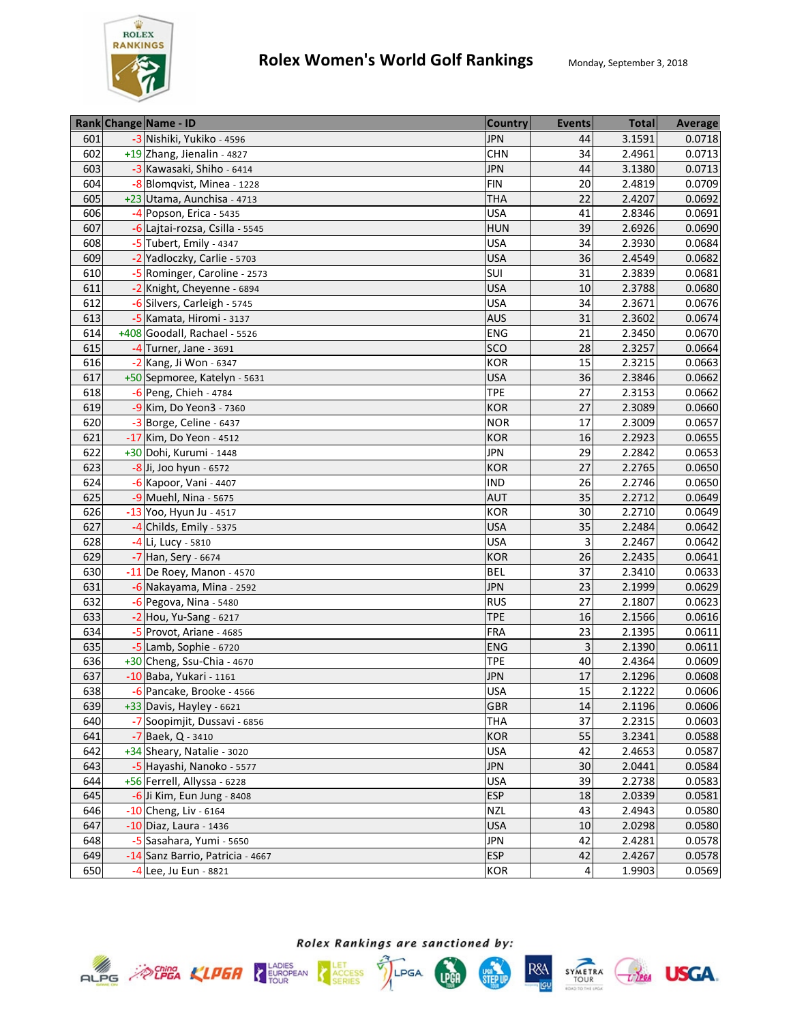

|     | Rank Change Name - ID            | <b>Country</b> | <b>Events</b>  | <b>Total</b> | Average |
|-----|----------------------------------|----------------|----------------|--------------|---------|
| 601 | -3 Nishiki, Yukiko - 4596        | <b>JPN</b>     | 44             | 3.1591       | 0.0718  |
| 602 | +19 Zhang, Jienalin - 4827       | <b>CHN</b>     | 34             | 2.4961       | 0.0713  |
| 603 | -3 Kawasaki, Shiho - 6414        | <b>JPN</b>     | 44             | 3.1380       | 0.0713  |
| 604 | -8 Blomqvist, Minea - 1228       | <b>FIN</b>     | 20             | 2.4819       | 0.0709  |
| 605 | +23 Utama, Aunchisa - 4713       | <b>THA</b>     | 22             | 2.4207       | 0.0692  |
| 606 | -4 Popson, Erica - 5435          | <b>USA</b>     | 41             | 2.8346       | 0.0691  |
| 607 | -6 Lajtai-rozsa, Csilla - 5545   | <b>HUN</b>     | 39             | 2.6926       | 0.0690  |
| 608 | -5 Tubert, Emily - 4347          | <b>USA</b>     | 34             | 2.3930       | 0.0684  |
| 609 | -2 Yadloczky, Carlie - 5703      | <b>USA</b>     | 36             | 2.4549       | 0.0682  |
| 610 | -5 Rominger, Caroline - 2573     | SUI            | 31             | 2.3839       | 0.0681  |
| 611 | -2 Knight, Cheyenne - 6894       | <b>USA</b>     | 10             | 2.3788       | 0.0680  |
| 612 | -6 Silvers, Carleigh - 5745      | <b>USA</b>     | 34             | 2.3671       | 0.0676  |
| 613 | -5 Kamata, Hiromi - 3137         | <b>AUS</b>     | 31             | 2.3602       | 0.0674  |
| 614 | +408 Goodall, Rachael - 5526     | ENG            | 21             | 2.3450       | 0.0670  |
| 615 | $-4$ Turner, Jane - 3691         | SCO            | 28             | 2.3257       | 0.0664  |
| 616 | -2 Kang, Ji Won - 6347           | <b>KOR</b>     | 15             | 2.3215       | 0.0663  |
| 617 | +50 Sepmoree, Katelyn - 5631     | <b>USA</b>     | 36             | 2.3846       | 0.0662  |
| 618 | -6 Peng, Chieh - 4784            | <b>TPE</b>     | 27             | 2.3153       | 0.0662  |
| 619 | -9 Kim, Do Yeon3 - 7360          | <b>KOR</b>     | 27             | 2.3089       | 0.0660  |
| 620 | -3 Borge, Celine - 6437          | <b>NOR</b>     | 17             | 2.3009       | 0.0657  |
| 621 | -17 Kim, Do Yeon - 4512          | <b>KOR</b>     | 16             | 2.2923       | 0.0655  |
| 622 | +30 Dohi, Kurumi - 1448          | <b>JPN</b>     | 29             | 2.2842       | 0.0653  |
| 623 | $-8$ Ji, Joo hyun - 6572         | <b>KOR</b>     | 27             | 2.2765       | 0.0650  |
| 624 | -6 Kapoor, Vani - 4407           | <b>IND</b>     | 26             | 2.2746       | 0.0650  |
| 625 | -9 Muehl, Nina - 5675            | <b>AUT</b>     | 35             | 2.2712       | 0.0649  |
| 626 | -13 Yoo, Hyun Ju - 4517          | <b>KOR</b>     | 30             | 2.2710       | 0.0649  |
| 627 | $-4$ Childs, Emily - 5375        | <b>USA</b>     | 35             | 2.2484       | 0.0642  |
| 628 | -4 Li, Lucy - 5810               | <b>USA</b>     | 3              | 2.2467       | 0.0642  |
| 629 | -7 Han, Sery - 6674              | <b>KOR</b>     | 26             | 2.2435       | 0.0641  |
| 630 | $-11$ De Roey, Manon - 4570      | <b>BEL</b>     | 37             | 2.3410       | 0.0633  |
| 631 | -6 Nakayama, Mina - 2592         | <b>JPN</b>     | 23             | 2.1999       | 0.0629  |
| 632 | $-6$ Pegova, Nina - 5480         | <b>RUS</b>     | 27             | 2.1807       | 0.0623  |
| 633 | $-2$ Hou, Yu-Sang - 6217         | <b>TPE</b>     | 16             | 2.1566       | 0.0616  |
| 634 | -5 Provot, Ariane - 4685         | <b>FRA</b>     | 23             | 2.1395       | 0.0611  |
| 635 | $-5$ Lamb, Sophie - 6720         | <b>ENG</b>     | 3              | 2.1390       | 0.0611  |
| 636 | +30 Cheng, Ssu-Chia - 4670       | <b>TPE</b>     | 40             | 2.4364       | 0.0609  |
| 637 | -10 Baba, Yukari - 1161          | <b>JPN</b>     | 17             | 2.1296       | 0.0608  |
| 638 | -6 Pancake, Brooke - 4566        | <b>USA</b>     | 15             | 2.1222       | 0.0606  |
| 639 | +33 Davis, Hayley - 6621         | GBR            | 14             | 2.1196       | 0.0606  |
| 640 | -7 Soopimjit, Dussavi - 6856     | <b>THA</b>     | 37             | 2.2315       | 0.0603  |
| 641 | -7 Baek, Q - 3410                | KOR            | 55             | 3.2341       | 0.0588  |
| 642 | +34 Sheary, Natalie - 3020       | <b>USA</b>     | 42             | 2.4653       | 0.0587  |
| 643 | -5 Hayashi, Nanoko - 5577        | <b>JPN</b>     | 30             | 2.0441       | 0.0584  |
| 644 | +56 Ferrell, Allyssa - 6228      | <b>USA</b>     | 39             | 2.2738       | 0.0583  |
| 645 | -6 Ji Kim, Eun Jung - 8408       | <b>ESP</b>     | 18             | 2.0339       | 0.0581  |
| 646 | -10 Cheng, Liv - 6164            | <b>NZL</b>     | 43             | 2.4943       | 0.0580  |
| 647 | -10 Diaz, Laura - 1436           | <b>USA</b>     | 10             | 2.0298       | 0.0580  |
| 648 | -5 Sasahara, Yumi - 5650         | <b>JPN</b>     | 42             | 2.4281       | 0.0578  |
| 649 | -14 Sanz Barrio, Patricia - 4667 | <b>ESP</b>     | 42             | 2.4267       | 0.0578  |
| 650 | -4 Lee, Ju Eun - 8821            | KOR            | $\overline{a}$ | 1.9903       | 0.0569  |











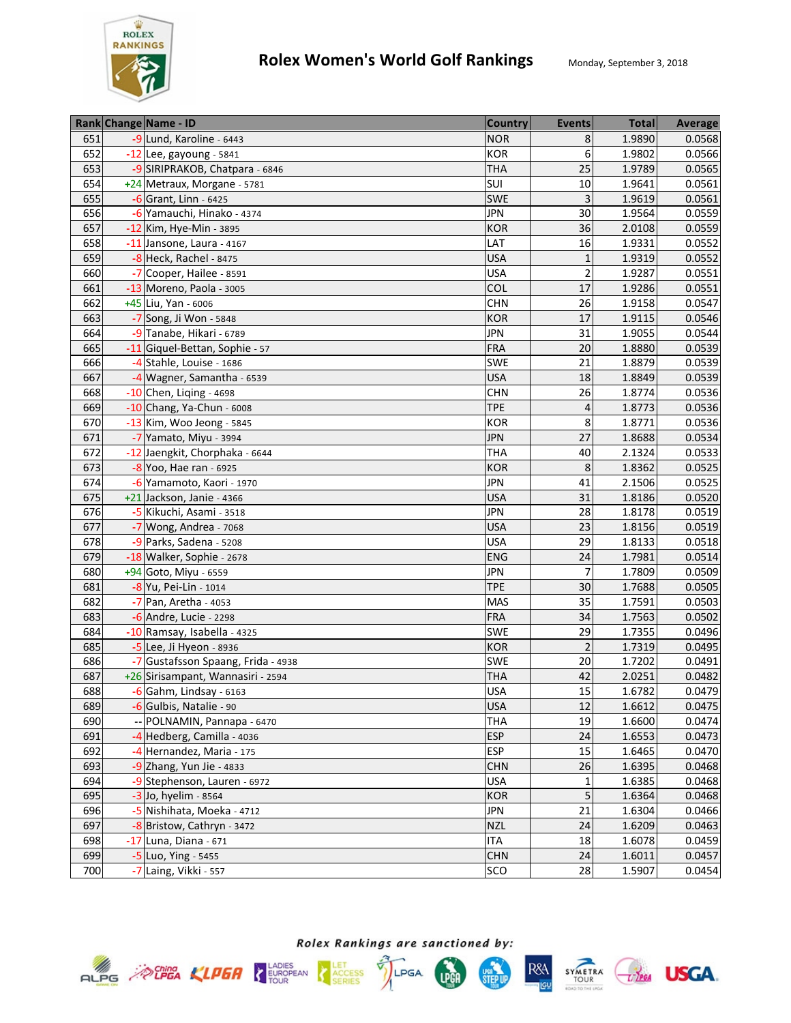

|     | Rank Change Name - ID              | <b>Country</b> | <b>Events</b>  | <b>Total</b> | Average |
|-----|------------------------------------|----------------|----------------|--------------|---------|
| 651 | -9 Lund, Karoline - 6443           | <b>NOR</b>     | 8              | 1.9890       | 0.0568  |
| 652 | $-12$ Lee, gayoung - 5841          | KOR            | 6              | 1.9802       | 0.0566  |
| 653 | -9 SIRIPRAKOB, Chatpara - 6846     | <b>THA</b>     | 25             | 1.9789       | 0.0565  |
| 654 | +24 Metraux, Morgane - 5781        | SUI            | 10             | 1.9641       | 0.0561  |
| 655 | $-6$ Grant, Linn - 6425            | <b>SWE</b>     | 3              | 1.9619       | 0.0561  |
| 656 | -6 Yamauchi, Hinako - 4374         | <b>JPN</b>     | 30             | 1.9564       | 0.0559  |
| 657 | -12 Kim, Hye-Min - 3895            | <b>KOR</b>     | 36             | 2.0108       | 0.0559  |
| 658 | -11 Jansone, Laura - 4167          | LAT            | 16             | 1.9331       | 0.0552  |
| 659 | -8 Heck, Rachel - 8475             | <b>USA</b>     | $\mathbf 1$    | 1.9319       | 0.0552  |
| 660 | -7 Cooper, Hailee - 8591           | <b>USA</b>     | $\overline{2}$ | 1.9287       | 0.0551  |
| 661 | -13 Moreno, Paola - 3005           | COL            | 17             | 1.9286       | 0.0551  |
| 662 | +45 Liu, Yan - 6006                | <b>CHN</b>     | 26             | 1.9158       | 0.0547  |
| 663 | -7 Song, Ji Won - 5848             | <b>KOR</b>     | 17             | 1.9115       | 0.0546  |
| 664 | -9 Tanabe, Hikari - 6789           | <b>JPN</b>     | 31             | 1.9055       | 0.0544  |
| 665 | -11 Giquel-Bettan, Sophie - 57     | <b>FRA</b>     | 20             | 1.8880       | 0.0539  |
| 666 | -4 Stahle, Louise - 1686           | SWE            | 21             | 1.8879       | 0.0539  |
| 667 | -4 Wagner, Samantha - 6539         | <b>USA</b>     | 18             | 1.8849       | 0.0539  |
| 668 | $-10$ Chen, Liqing - 4698          | <b>CHN</b>     | 26             | 1.8774       | 0.0536  |
| 669 | -10 Chang, Ya-Chun - 6008          | <b>TPE</b>     | 4              | 1.8773       | 0.0536  |
| 670 | -13 Kim, Woo Jeong - 5845          | <b>KOR</b>     | 8              | 1.8771       | 0.0536  |
| 671 | -7 Yamato, Miyu - 3994             | <b>JPN</b>     | 27             | 1.8688       | 0.0534  |
| 672 | -12 Jaengkit, Chorphaka - 6644     | <b>THA</b>     | 40             | 2.1324       | 0.0533  |
| 673 | -8 Yoo, Hae ran - 6925             | <b>KOR</b>     | 8              | 1.8362       | 0.0525  |
| 674 | -6 Yamamoto, Kaori - 1970          | <b>JPN</b>     | 41             | 2.1506       | 0.0525  |
| 675 | +21 Jackson, Janie - 4366          | <b>USA</b>     | 31             | 1.8186       | 0.0520  |
| 676 | -5 Kikuchi, Asami - 3518           | <b>JPN</b>     | 28             | 1.8178       | 0.0519  |
| 677 | $-7$ Wong, Andrea - 7068           | <b>USA</b>     | 23             | 1.8156       | 0.0519  |
| 678 | -9 Parks, Sadena - 5208            | <b>USA</b>     | 29             | 1.8133       | 0.0518  |
| 679 | -18 Walker, Sophie - 2678          | <b>ENG</b>     | 24             | 1.7981       | 0.0514  |
| 680 | +94 Goto, Miyu - 6559              | <b>JPN</b>     | $\overline{7}$ | 1.7809       | 0.0509  |
| 681 | -8 Yu, Pei-Lin - 1014              | <b>TPE</b>     | 30             | 1.7688       | 0.0505  |
| 682 | -7 Pan, Aretha - 4053              | <b>MAS</b>     | 35             | 1.7591       | 0.0503  |
| 683 | $-6$ Andre, Lucie - 2298           | <b>FRA</b>     | 34             | 1.7563       | 0.0502  |
| 684 | -10 Ramsay, Isabella - 4325        | <b>SWE</b>     | 29             | 1.7355       | 0.0496  |
| 685 | $-5$ Lee, Ji Hyeon - 8936          | <b>KOR</b>     | $\overline{2}$ | 1.7319       | 0.0495  |
| 686 | -7 Gustafsson Spaang, Frida - 4938 | <b>SWE</b>     | 20             | 1.7202       | 0.0491  |
| 687 | +26 Sirisampant, Wannasiri - 2594  | <b>THA</b>     | 42             | 2.0251       | 0.0482  |
| 688 | $-6$ Gahm, Lindsay - 6163          | <b>USA</b>     | 15             | 1.6782       | 0.0479  |
| 689 | -6 Gulbis, Natalie - 90            | <b>USA</b>     | 12             | 1.6612       | 0.0475  |
| 690 | -- POLNAMIN, Pannapa - 6470        | <b>THA</b>     | 19             | 1.6600       | 0.0474  |
| 691 | -4 Hedberg, Camilla - 4036         | <b>ESP</b>     | 24             | 1.6553       | 0.0473  |
| 692 | -4 Hernandez, Maria - 175          | <b>ESP</b>     | 15             | 1.6465       | 0.0470  |
| 693 | -9 Zhang, Yun Jie - 4833           | <b>CHN</b>     | 26             | 1.6395       | 0.0468  |
| 694 | -9 Stephenson, Lauren - 6972       | <b>USA</b>     | 1              | 1.6385       | 0.0468  |
| 695 | -3 Jo, hyelim - 8564               | <b>KOR</b>     | 5              | 1.6364       | 0.0468  |
| 696 | -5 Nishihata, Moeka - 4712         | <b>JPN</b>     | 21             | 1.6304       | 0.0466  |
| 697 | -8 Bristow, Cathryn - 3472         | <b>NZL</b>     | 24             | 1.6209       | 0.0463  |
| 698 | -17 Luna, Diana - 671              | <b>ITA</b>     | 18             | 1.6078       | 0.0459  |
| 699 | -5 Luo, Ying - 5455                | <b>CHN</b>     | 24             | 1.6011       | 0.0457  |
| 700 | -7 Laing, Vikki - 557              | SCO            | 28             | 1.5907       | 0.0454  |









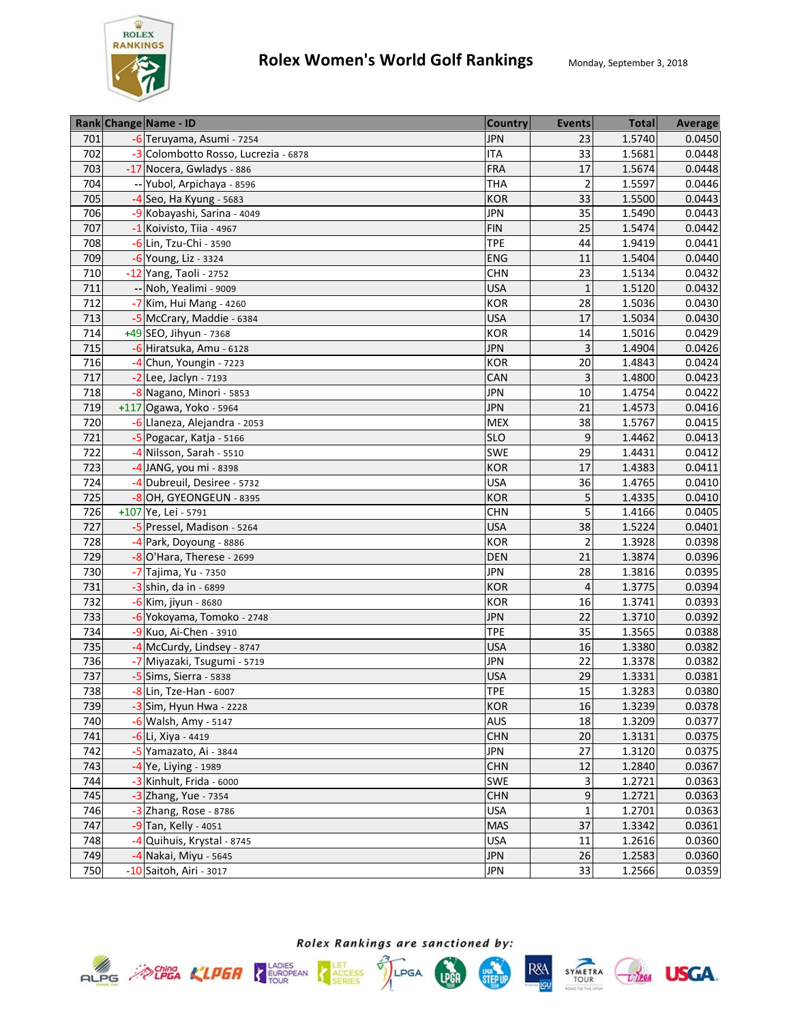

|     | Rank Change Name - ID                | <b>Country</b> | <b>Events</b>  | <b>Total</b> | Average |
|-----|--------------------------------------|----------------|----------------|--------------|---------|
| 701 | -6 Teruyama, Asumi - 7254            | <b>JPN</b>     | 23             | 1.5740       | 0.0450  |
| 702 | -3 Colombotto Rosso, Lucrezia - 6878 | <b>ITA</b>     | 33             | 1.5681       | 0.0448  |
| 703 | -17 Nocera, Gwladys - 886            | <b>FRA</b>     | 17             | 1.5674       | 0.0448  |
| 704 | -- Yubol, Arpichaya - 8596           | <b>THA</b>     | $\overline{2}$ | 1.5597       | 0.0446  |
| 705 | $-4$ Seo, Ha Kyung - 5683            | <b>KOR</b>     | 33             | 1.5500       | 0.0443  |
| 706 | -9 Kobayashi, Sarina - 4049          | <b>JPN</b>     | 35             | 1.5490       | 0.0443  |
| 707 | $-1$ Koivisto, Tiia - 4967           | <b>FIN</b>     | 25             | 1.5474       | 0.0442  |
| 708 | -6 Lin, Tzu-Chi - 3590               | <b>TPE</b>     | 44             | 1.9419       | 0.0441  |
| 709 | -6 Young, Liz - 3324                 | ENG            | 11             | 1.5404       | 0.0440  |
| 710 | -12 Yang, Taoli - 2752               | <b>CHN</b>     | 23             | 1.5134       | 0.0432  |
| 711 | -- Noh, Yealimi - 9009               | <b>USA</b>     | $\mathbf{1}$   | 1.5120       | 0.0432  |
| 712 | -7 Kim, Hui Mang - 4260              | <b>KOR</b>     | 28             | 1.5036       | 0.0430  |
| 713 | -5 McCrary, Maddie - 6384            | <b>USA</b>     | 17             | 1.5034       | 0.0430  |
| 714 | +49 SEO, Jihyun - 7368               | <b>KOR</b>     | 14             | 1.5016       | 0.0429  |
| 715 | -6 Hiratsuka, Amu - 6128             | <b>JPN</b>     | 3              | 1.4904       | 0.0426  |
| 716 | -4 Chun, Youngin - 7223              | <b>KOR</b>     | 20             | 1.4843       | 0.0424  |
| 717 | $-2$ Lee, Jaclyn - 7193              | CAN            | 3              | 1.4800       | 0.0423  |
| 718 | -8 Nagano, Minori - 5853             | <b>JPN</b>     | 10             | 1.4754       | 0.0422  |
| 719 | +117 Ogawa, Yoko - 5964              | <b>JPN</b>     | 21             | 1.4573       | 0.0416  |
| 720 | -6 Llaneza, Alejandra - 2053         | <b>MEX</b>     | 38             | 1.5767       | 0.0415  |
| 721 | -5 Pogacar, Katja - 5166             | <b>SLO</b>     | 9              | 1.4462       | 0.0413  |
| 722 | -4 Nilsson, Sarah - 5510             | SWE            | 29             | 1.4431       | 0.0412  |
| 723 | -4 JANG, you mi - 8398               | <b>KOR</b>     | 17             | 1.4383       | 0.0411  |
| 724 | -4 Dubreuil, Desiree - 5732          | <b>USA</b>     | 36             | 1.4765       | 0.0410  |
| 725 | -8 OH, GYEONGEUN - 8395              | <b>KOR</b>     | 5              | 1.4335       | 0.0410  |
| 726 | +107 Ye, Lei - 5791                  | <b>CHN</b>     | 5              | 1.4166       | 0.0405  |
| 727 | -5 Pressel, Madison - 5264           | <b>USA</b>     | 38             | 1.5224       | 0.0401  |
| 728 | -4 Park, Doyoung - 8886              | <b>KOR</b>     | $\overline{2}$ | 1.3928       | 0.0398  |
| 729 | -8 O'Hara, Therese - 2699            | DEN            | 21             | 1.3874       | 0.0396  |
| 730 | -7 Tajima, Yu - 7350                 | <b>JPN</b>     | 28             | 1.3816       | 0.0395  |
| 731 | $-3$ shin, da in - 6899              | <b>KOR</b>     | $\overline{4}$ | 1.3775       | 0.0394  |
| 732 | -6 Kim, jiyun - 8680                 | <b>KOR</b>     | 16             | 1.3741       | 0.0393  |
| 733 | -6 Yokoyama, Tomoko - 2748           | <b>JPN</b>     | 22             | 1.3710       | 0.0392  |
| 734 | -9 Kuo, Ai-Chen - 3910               | <b>TPE</b>     | 35             | 1.3565       | 0.0388  |
| 735 | -4 McCurdy, Lindsey - 8747           | <b>USA</b>     | 16             | 1.3380       | 0.0382  |
| 736 | -7 Miyazaki, Tsugumi - 5719          | <b>JPN</b>     | 22             | 1.3378       | 0.0382  |
| 737 | $-5$ Sims, Sierra - 5838             | <b>USA</b>     | 29             | 1.3331       | 0.0381  |
| 738 | $-8$ Lin, Tze-Han - 6007             | <b>TPE</b>     | 15             | 1.3283       | 0.0380  |
| 739 | $-3$ Sim, Hyun Hwa - 2228            | <b>KOR</b>     | 16             | 1.3239       | 0.0378  |
| 740 | -6 Walsh, Amy - 5147                 | AUS            | 18             | 1.3209       | 0.0377  |
| 741 | -6 Li, Xiya - 4419                   | <b>CHN</b>     | 20             | 1.3131       | 0.0375  |
| 742 | -5 Yamazato, Ai - 3844               | <b>JPN</b>     | 27             | 1.3120       | 0.0375  |
| 743 | -4 Ye, Liying - 1989                 | <b>CHN</b>     | 12             | 1.2840       | 0.0367  |
| 744 | -3 Kinhult, Frida - 6000             | SWE            | 3              | 1.2721       | 0.0363  |
| 745 | -3 Zhang, Yue - 7354                 | <b>CHN</b>     | 9              | 1.2721       | 0.0363  |
| 746 | -3 Zhang, Rose - 8786                | <b>USA</b>     | 1              | 1.2701       | 0.0363  |
| 747 | -9 Tan, Kelly - 4051                 | <b>MAS</b>     | 37             | 1.3342       | 0.0361  |
| 748 | -4 Quihuis, Krystal - 8745           | <b>USA</b>     | 11             | 1.2616       | 0.0360  |
| 749 | -4 Nakai, Miyu - 5645                | <b>JPN</b>     | 26             | 1.2583       | 0.0360  |
| 750 | -10 Saitoh, Airi - 3017              | <b>JPN</b>     | 33             | 1.2566       | 0.0359  |









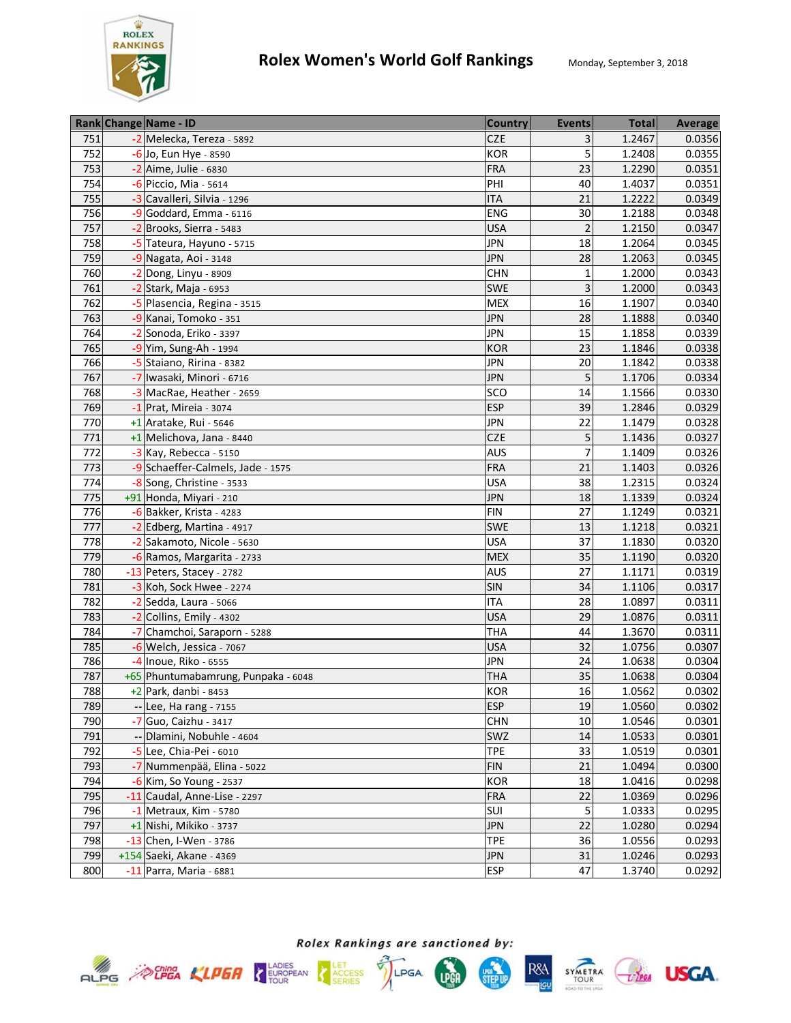

|     | Rank Change Name - ID               | <b>Country</b> | <b>Events</b>  | <b>Total</b> | Average |
|-----|-------------------------------------|----------------|----------------|--------------|---------|
| 751 | -2 Melecka, Tereza - 5892           | <b>CZE</b>     | 3              | 1.2467       | 0.0356  |
| 752 | -6 Jo, Eun Hye - 8590               | <b>KOR</b>     | 5              | 1.2408       | 0.0355  |
| 753 | $-2$ Aime, Julie - 6830             | <b>FRA</b>     | 23             | 1.2290       | 0.0351  |
| 754 | -6 Piccio, Mia - 5614               | PHI            | 40             | 1.4037       | 0.0351  |
| 755 | -3 Cavalleri, Silvia - 1296         | <b>ITA</b>     | 21             | 1.2222       | 0.0349  |
| 756 | -9 Goddard, Emma - 6116             | ENG            | 30             | 1.2188       | 0.0348  |
| 757 | -2 Brooks, Sierra - 5483            | <b>USA</b>     | $\overline{2}$ | 1.2150       | 0.0347  |
| 758 | -5 Tateura, Hayuno - 5715           | <b>JPN</b>     | 18             | 1.2064       | 0.0345  |
| 759 | $-9$ Nagata, Aoi - 3148             | <b>JPN</b>     | 28             | 1.2063       | 0.0345  |
| 760 | -2 Dong, Linyu - 8909               | <b>CHN</b>     | 1              | 1.2000       | 0.0343  |
| 761 | -2 Stark, Maja - 6953               | SWE            | 3              | 1.2000       | 0.0343  |
| 762 | -5 Plasencia, Regina - 3515         | <b>MEX</b>     | 16             | 1.1907       | 0.0340  |
| 763 | -9 Kanai, Tomoko - 351              | <b>JPN</b>     | 28             | 1.1888       | 0.0340  |
| 764 | -2 Sonoda, Eriko - 3397             | <b>JPN</b>     | 15             | 1.1858       | 0.0339  |
| 765 | -9 Yim, Sung-Ah - 1994              | <b>KOR</b>     | 23             | 1.1846       | 0.0338  |
| 766 | -5 Staiano, Ririna - 8382           | <b>JPN</b>     | 20             | 1.1842       | 0.0338  |
| 767 | -7 Iwasaki, Minori - 6716           | <b>JPN</b>     | 5              | 1.1706       | 0.0334  |
| 768 | -3 MacRae, Heather - 2659           | SCO            | 14             | 1.1566       | 0.0330  |
| 769 | $-1$ Prat, Mireia - 3074            | <b>ESP</b>     | 39             | 1.2846       | 0.0329  |
| 770 | +1 Aratake, Rui - 5646              | <b>JPN</b>     | 22             | 1.1479       | 0.0328  |
| 771 | +1 Melichova, Jana - 8440           | <b>CZE</b>     | 5              | 1.1436       | 0.0327  |
| 772 | $-3$ Kay, Rebecca - 5150            | <b>AUS</b>     | 7              | 1.1409       | 0.0326  |
| 773 | -9 Schaeffer-Calmels, Jade - 1575   | <b>FRA</b>     | 21             | 1.1403       | 0.0326  |
| 774 | -8 Song, Christine - 3533           | <b>USA</b>     | 38             | 1.2315       | 0.0324  |
| 775 | +91 Honda, Miyari - 210             | <b>JPN</b>     | 18             | 1.1339       | 0.0324  |
| 776 | $-6$ Bakker, Krista - 4283          | <b>FIN</b>     | 27             | 1.1249       | 0.0321  |
| 777 | -2 Edberg, Martina - 4917           | SWE            | 13             | 1.1218       | 0.0321  |
| 778 | -2 Sakamoto, Nicole - 5630          | <b>USA</b>     | 37             | 1.1830       | 0.0320  |
| 779 | -6 Ramos, Margarita - 2733          | <b>MEX</b>     | 35             | 1.1190       | 0.0320  |
| 780 | -13 Peters, Stacey - 2782           | <b>AUS</b>     | 27             | 1.1171       | 0.0319  |
| 781 | -3 Koh, Sock Hwee - 2274            | SIN            | 34             | 1.1106       | 0.0317  |
| 782 | $-2$ Sedda, Laura - 5066            | <b>ITA</b>     | 28             | 1.0897       | 0.0311  |
| 783 | -2 Collins, Emily - 4302            | <b>USA</b>     | 29             | 1.0876       | 0.0311  |
| 784 | -7 Chamchoi, Saraporn - 5288        | <b>THA</b>     | 44             | 1.3670       | 0.0311  |
| 785 | -6 Welch, Jessica - 7067            | <b>USA</b>     | 32             | 1.0756       | 0.0307  |
| 786 | -4 Inoue, Riko - 6555               | <b>JPN</b>     | 24             | 1.0638       | 0.0304  |
| 787 | +65 Phuntumabamrung, Punpaka - 6048 | <b>THA</b>     | 35             | 1.0638       | 0.0304  |
| 788 | $+2$ Park, danbi - 8453             | <b>KOR</b>     | 16             | 1.0562       | 0.0302  |
| 789 | -- Lee, Ha rang - 7155              | <b>ESP</b>     | 19             | 1.0560       | 0.0302  |
| 790 | -7 Guo, Caizhu - 3417               | <b>CHN</b>     | 10             | 1.0546       | 0.0301  |
| 791 | Dlamini, Nobuhle - 4604             | SWZ            | 14             | 1.0533       | 0.0301  |
| 792 | -5 Lee, Chia-Pei - 6010             | <b>TPE</b>     | 33             | 1.0519       | 0.0301  |
| 793 | -7 Nummenpää, Elina - 5022          | <b>FIN</b>     | 21             | 1.0494       | 0.0300  |
| 794 | -6 Kim, So Young - 2537             | KOR            | 18             | 1.0416       | 0.0298  |
| 795 | -11 Caudal, Anne-Lise - 2297        | <b>FRA</b>     | 22             | 1.0369       | 0.0296  |
| 796 | $-1$ Metraux, Kim - 5780            | SUI            | 5              | 1.0333       | 0.0295  |
| 797 | +1 Nishi, Mikiko - 3737             | <b>JPN</b>     | 22             | 1.0280       | 0.0294  |
| 798 | -13 Chen, I-Wen - 3786              | <b>TPE</b>     | 36             | 1.0556       | 0.0293  |
| 799 | +154 Saeki, Akane - 4369            | <b>JPN</b>     | 31             | 1.0246       | 0.0293  |
| 800 | -11 Parra, Maria - 6881             | <b>ESP</b>     | 47             | 1.3740       | 0.0292  |









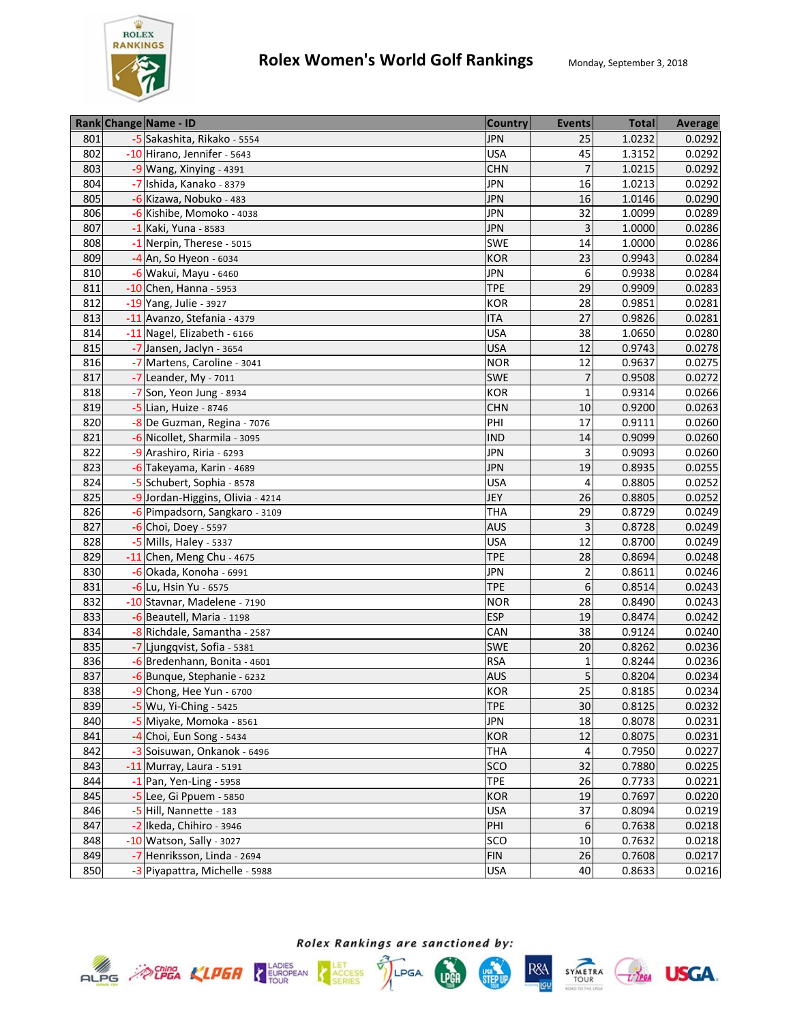

|     | Rank Change Name - ID            | <b>Country</b> | <b>Events</b>           | <b>Total</b> | Average |
|-----|----------------------------------|----------------|-------------------------|--------------|---------|
| 801 | -5 Sakashita, Rikako - 5554      | <b>JPN</b>     | 25                      | 1.0232       | 0.0292  |
| 802 | -10 Hirano, Jennifer - 5643      | <b>USA</b>     | 45                      | 1.3152       | 0.0292  |
| 803 | $-9$ Wang, Xinying - 4391        | <b>CHN</b>     | $\overline{7}$          | 1.0215       | 0.0292  |
| 804 | -7 Ishida, Kanako - 8379         | <b>JPN</b>     | 16                      | 1.0213       | 0.0292  |
| 805 | -6 Kizawa, Nobuko - 483          | <b>JPN</b>     | 16                      | 1.0146       | 0.0290  |
| 806 | -6 Kishibe, Momoko - 4038        | <b>JPN</b>     | 32                      | 1.0099       | 0.0289  |
| 807 | -1 Kaki, Yuna - 8583             | <b>JPN</b>     | 3                       | 1.0000       | 0.0286  |
| 808 | -1 Nerpin, Therese - 5015        | SWE            | 14                      | 1.0000       | 0.0286  |
| 809 | $-4$ An, So Hyeon - 6034         | <b>KOR</b>     | 23                      | 0.9943       | 0.0284  |
| 810 | -6 Wakui, Mayu - 6460            | <b>JPN</b>     | 6                       | 0.9938       | 0.0284  |
| 811 | $-10$ Chen, Hanna - 5953         | <b>TPE</b>     | 29                      | 0.9909       | 0.0283  |
| 812 | -19 Yang, Julie - 3927           | KOR            | 28                      | 0.9851       | 0.0281  |
| 813 | -11 Avanzo, Stefania - 4379      | <b>ITA</b>     | 27                      | 0.9826       | 0.0281  |
| 814 | -11 Nagel, Elizabeth - 6166      | <b>USA</b>     | 38                      | 1.0650       | 0.0280  |
| 815 | -7 Jansen, Jaclyn - 3654         | <b>USA</b>     | 12                      | 0.9743       | 0.0278  |
| 816 | -7 Martens, Caroline - 3041      | <b>NOR</b>     | 12                      | 0.9637       | 0.0275  |
| 817 | $-7$ Leander, My - 7011          | SWE            | 7                       | 0.9508       | 0.0272  |
| 818 | -7 Son, Yeon Jung - 8934         | <b>KOR</b>     | $\mathbf{1}$            | 0.9314       | 0.0266  |
| 819 | -5 Lian, Huize - 8746            | <b>CHN</b>     | 10                      | 0.9200       | 0.0263  |
| 820 | -8 De Guzman, Regina - 7076      | PHI            | 17                      | 0.9111       | 0.0260  |
| 821 | -6 Nicollet, Sharmila - 3095     | <b>IND</b>     | 14                      | 0.9099       | 0.0260  |
| 822 | -9 Arashiro, Riria - 6293        | <b>JPN</b>     | 3                       | 0.9093       | 0.0260  |
| 823 | -6 Takeyama, Karin - 4689        | <b>JPN</b>     | 19                      | 0.8935       | 0.0255  |
| 824 | -5 Schubert, Sophia - 8578       | <b>USA</b>     | 4                       | 0.8805       | 0.0252  |
| 825 | -9 Jordan-Higgins, Olivia - 4214 | JEY            | 26                      | 0.8805       | 0.0252  |
| 826 | -6 Pimpadsorn, Sangkaro - 3109   | <b>THA</b>     | 29                      | 0.8729       | 0.0249  |
| 827 | $-6$ Choi, Doey - 5597           | <b>AUS</b>     | 3                       | 0.8728       | 0.0249  |
| 828 | -5 Mills, Haley - 5337           | <b>USA</b>     | 12                      | 0.8700       | 0.0249  |
| 829 | $-11$ Chen, Meng Chu - 4675      | <b>TPE</b>     | 28                      | 0.8694       | 0.0248  |
| 830 | -6 Okada, Konoha - 6991          | <b>JPN</b>     | $\overline{\mathbf{c}}$ | 0.8611       | 0.0246  |
| 831 | -6 Lu, Hsin Yu - 6575            | <b>TPE</b>     | 6                       | 0.8514       | 0.0243  |
| 832 | -10 Stavnar, Madelene - 7190     | <b>NOR</b>     | 28                      | 0.8490       | 0.0243  |
| 833 | -6 Beautell, Maria - 1198        | <b>ESP</b>     | 19                      | 0.8474       | 0.0242  |
| 834 | -8 Richdale, Samantha - 2587     | CAN            | 38                      | 0.9124       | 0.0240  |
| 835 | -7 Ljungqvist, Sofia - 5381      | SWE            | 20                      | 0.8262       | 0.0236  |
| 836 | -6 Bredenhann, Bonita - 4601     | <b>RSA</b>     | $\mathbf 1$             | 0.8244       | 0.0236  |
| 837 | -6 Bunque, Stephanie - 6232      | <b>AUS</b>     | 5                       | 0.8204       | 0.0234  |
| 838 | -9 Chong, Hee Yun - 6700         | <b>KOR</b>     | 25                      | 0.8185       | 0.0234  |
| 839 | -5 Wu, Yi-Ching - 5425           | <b>TPE</b>     | 30                      | 0.8125       | 0.0232  |
| 840 | -5 Miyake, Momoka - 8561         | <b>JPN</b>     | 18                      | 0.8078       | 0.0231  |
| 841 | $-4$ Choi, Eun Song - 5434       | KOR            | 12                      | 0.8075       | 0.0231  |
| 842 | -3 Soisuwan, Onkanok - 6496      | <b>THA</b>     | 4                       | 0.7950       | 0.0227  |
| 843 | -11 Murray, Laura - 5191         | <b>SCO</b>     | 32                      | 0.7880       | 0.0225  |
| 844 | $-1$ Pan, Yen-Ling - 5958        | <b>TPE</b>     | 26                      | 0.7733       | 0.0221  |
| 845 | -5 Lee, Gi Ppuem - 5850          | KOR            | 19                      | 0.7697       | 0.0220  |
| 846 | -5 Hill, Nannette - 183          | <b>USA</b>     | 37                      | 0.8094       | 0.0219  |
| 847 | -2 Ikeda, Chihiro - 3946         | PHI            | 6                       | 0.7638       | 0.0218  |
| 848 | -10 Watson, Sally - 3027         | SCO            | 10                      | 0.7632       | 0.0218  |
| 849 | -7 Henriksson, Linda - 2694      | <b>FIN</b>     | 26                      | 0.7608       | 0.0217  |
| 850 | -3 Piyapattra, Michelle - 5988   | <b>USA</b>     | 40                      | 0.8633       | 0.0216  |







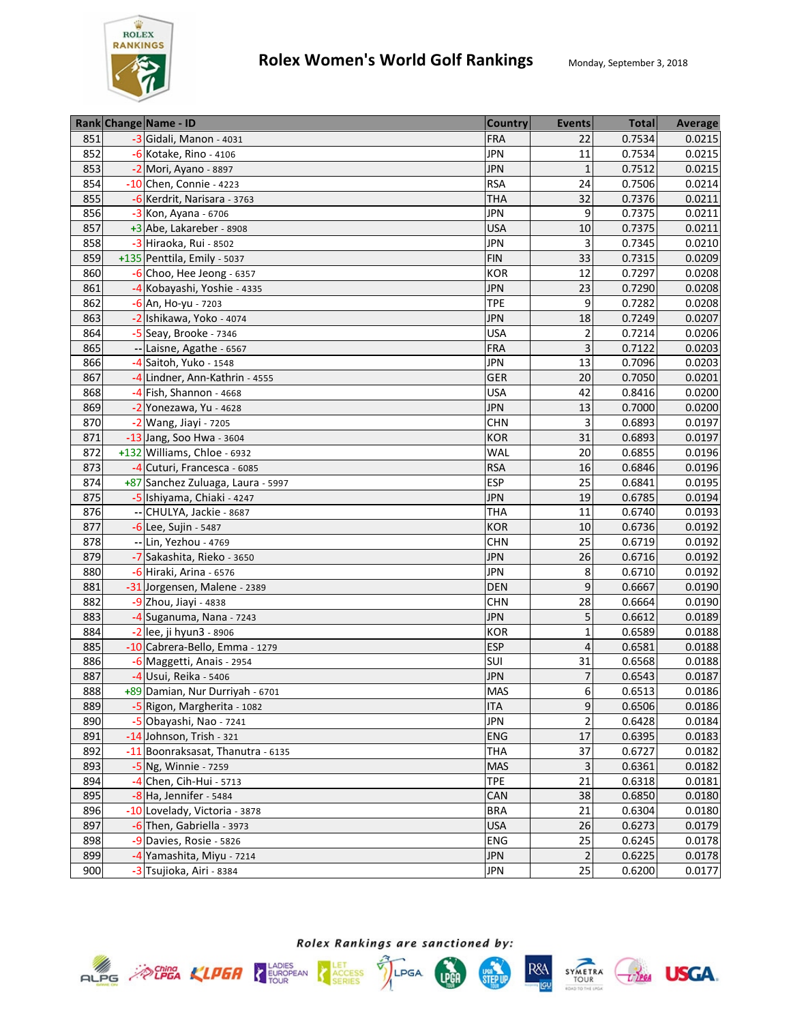

|     | Rank Change Name - ID             | <b>Country</b> | <b>Events</b>   | <b>Total</b> | <b>Average</b> |
|-----|-----------------------------------|----------------|-----------------|--------------|----------------|
| 851 | -3 Gidali, Manon - 4031           | <b>FRA</b>     | 22              | 0.7534       | 0.0215         |
| 852 | -6 Kotake, Rino - 4106            | <b>JPN</b>     | 11              | 0.7534       | 0.0215         |
| 853 | -2 Mori, Ayano - 8897             | <b>JPN</b>     | $\mathbf{1}$    | 0.7512       | 0.0215         |
| 854 | -10 Chen, Connie - 4223           | <b>RSA</b>     | $\overline{24}$ | 0.7506       | 0.0214         |
| 855 | -6 Kerdrit, Narisara - 3763       | <b>THA</b>     | 32              | 0.7376       | 0.0211         |
| 856 | -3 Kon, Ayana - 6706              | <b>JPN</b>     | 9               | 0.7375       | 0.0211         |
| 857 | +3 Abe, Lakareber - 8908          | <b>USA</b>     | 10              | 0.7375       | 0.0211         |
| 858 | -3 Hiraoka, Rui - 8502            | <b>JPN</b>     | 3               | 0.7345       | 0.0210         |
| 859 | +135 Penttila, Emily - 5037       | <b>FIN</b>     | 33              | 0.7315       | 0.0209         |
| 860 | $-6$ Choo, Hee Jeong - 6357       | <b>KOR</b>     | 12              | 0.7297       | 0.0208         |
| 861 | -4 Kobayashi, Yoshie - 4335       | <b>JPN</b>     | 23              | 0.7290       | 0.0208         |
| 862 | -6 An, Ho-yu - 7203               | <b>TPE</b>     | 9               | 0.7282       | 0.0208         |
| 863 | -2 Ishikawa, Yoko - 4074          | <b>JPN</b>     | 18              | 0.7249       | 0.0207         |
| 864 | -5 Seay, Brooke - 7346            | <b>USA</b>     | $\overline{2}$  | 0.7214       | 0.0206         |
| 865 | -- Laisne, Agathe - 6567          | <b>FRA</b>     | 3               | 0.7122       | 0.0203         |
| 866 | -4 Saitoh, Yuko - 1548            | <b>JPN</b>     | 13              | 0.7096       | 0.0203         |
| 867 | -4 Lindner, Ann-Kathrin - 4555    | <b>GER</b>     | 20              | 0.7050       | 0.0201         |
| 868 | $-4$ Fish, Shannon - 4668         | <b>USA</b>     | 42              | 0.8416       | 0.0200         |
| 869 | $-2$ Yonezawa, Yu - 4628          | <b>JPN</b>     | 13              | 0.7000       | 0.0200         |
| 870 | -2 Wang, Jiayi - 7205             | <b>CHN</b>     | 3               | 0.6893       | 0.0197         |
| 871 | -13 Jang, Soo Hwa - 3604          | <b>KOR</b>     | 31              | 0.6893       | 0.0197         |
| 872 | +132 Williams, Chloe - 6932       | <b>WAL</b>     | 20              | 0.6855       | 0.0196         |
| 873 | -4 Cuturi, Francesca - 6085       | <b>RSA</b>     | 16              | 0.6846       | 0.0196         |
| 874 | +87 Sanchez Zuluaga, Laura - 5997 | <b>ESP</b>     | 25              | 0.6841       | 0.0195         |
| 875 | -5 Ishiyama, Chiaki - 4247        | <b>JPN</b>     | 19              | 0.6785       | 0.0194         |
| 876 | -- CHULYA, Jackie - 8687          | <b>THA</b>     | 11              | 0.6740       | 0.0193         |
| 877 | -6 Lee, Sujin - 5487              | <b>KOR</b>     | 10              | 0.6736       | 0.0192         |
| 878 | -- Lin, Yezhou - 4769             | <b>CHN</b>     | 25              | 0.6719       | 0.0192         |
| 879 | -7 Sakashita, Rieko - 3650        | <b>JPN</b>     | 26              | 0.6716       | 0.0192         |
| 880 | -6 Hiraki, Arina - 6576           | <b>JPN</b>     | 8               | 0.6710       | 0.0192         |
| 881 | -31 Jorgensen, Malene - 2389      | <b>DEN</b>     | 9               | 0.6667       | 0.0190         |
| 882 | $-9$ Zhou, Jiayi - 4838           | <b>CHN</b>     | 28              | 0.6664       | 0.0190         |
| 883 | -4 Suganuma, Nana - 7243          | <b>JPN</b>     | 5               | 0.6612       | 0.0189         |
| 884 | -2 lee, ji hyun3 - 8906           | <b>KOR</b>     | $\overline{1}$  | 0.6589       | 0.0188         |
| 885 | -10 Cabrera-Bello, Emma - 1279    | <b>ESP</b>     | 4               | 0.6581       | 0.0188         |
| 886 | -6 Maggetti, Anais - 2954         | SUI            | 31              | 0.6568       | 0.0188         |
| 887 | -4 Usui, Reika - 5406             | <b>JPN</b>     | 7               | 0.6543       | 0.0187         |
| 888 | +89 Damian, Nur Durriyah - 6701   | <b>MAS</b>     | 6               | 0.6513       | 0.0186         |
| 889 | -5 Rigon, Margherita - 1082       | <b>ITA</b>     | 9               | 0.6506       | 0.0186         |
| 890 | -5 Obayashi, Nao - 7241           | <b>JPN</b>     | $\overline{2}$  | 0.6428       | 0.0184         |
| 891 | -14 Johnson, Trish - 321          | ENG            | 17              | 0.6395       | 0.0183         |
| 892 | -11 Boonraksasat, Thanutra - 6135 | <b>THA</b>     | 37              | 0.6727       | 0.0182         |
| 893 | -5 Ng, Winnie - 7259              | MAS            | 3               | 0.6361       | 0.0182         |
| 894 | $-4$ Chen, Cih-Hui - 5713         | <b>TPE</b>     | 21              | 0.6318       | 0.0181         |
| 895 | $-8$ Ha, Jennifer - 5484          | CAN            | 38              | 0.6850       | 0.0180         |
| 896 | -10 Lovelady, Victoria - 3878     | <b>BRA</b>     | 21              | 0.6304       | 0.0180         |
| 897 | -6 Then, Gabriella - 3973         | <b>USA</b>     | 26              | 0.6273       | 0.0179         |
| 898 | -9 Davies, Rosie - 5826           | ENG            | 25              | 0.6245       | 0.0178         |
| 899 | -4 Yamashita, Miyu - 7214         | <b>JPN</b>     | $\overline{2}$  | 0.6225       | 0.0178         |
| 900 | -3 Tsujioka, Airi - 8384          | <b>JPN</b>     | 25              | 0.6200       | 0.0177         |









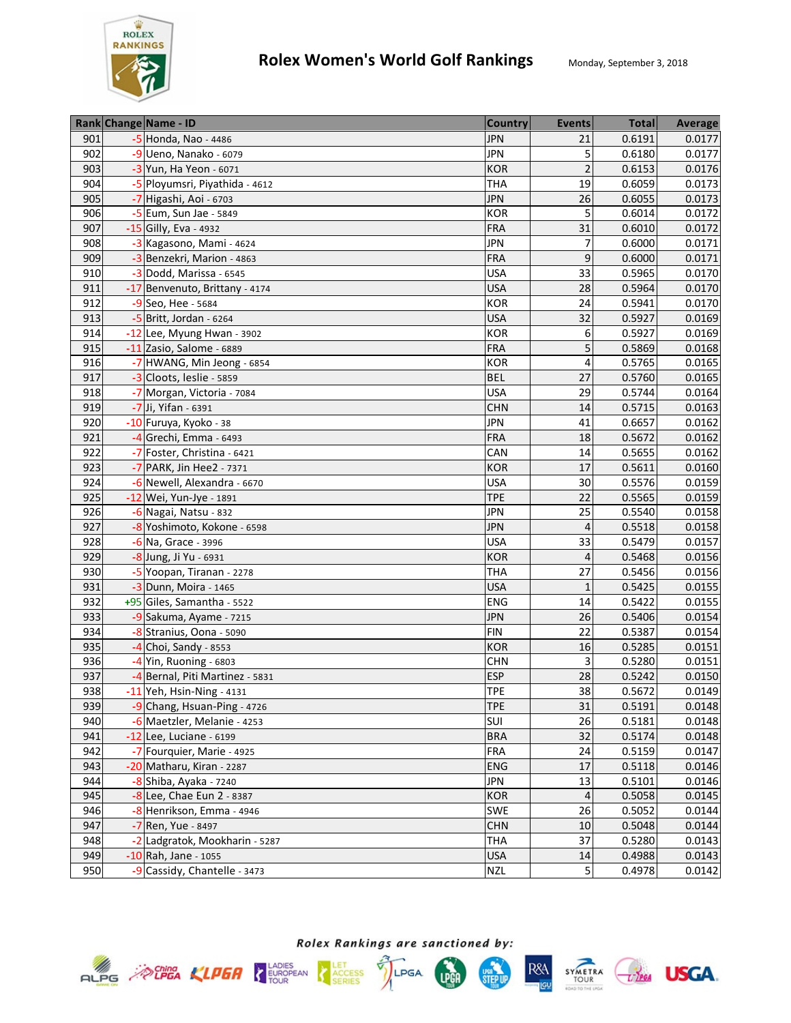

|     | Rank Change Name - ID           | <b>Country</b> | <b>Events</b>           | <b>Total</b> | <b>Average</b> |
|-----|---------------------------------|----------------|-------------------------|--------------|----------------|
| 901 | -5 Honda, Nao - 4486            | <b>JPN</b>     | 21                      | 0.6191       | 0.0177         |
| 902 | $-9$ Ueno, Nanako - 6079        | <b>JPN</b>     | 5                       | 0.6180       | 0.0177         |
| 903 | -3 Yun, Ha Yeon - 6071          | KOR            | $\overline{2}$          | 0.6153       | 0.0176         |
| 904 | -5 Ployumsri, Piyathida - 4612  | <b>THA</b>     | 19                      | 0.6059       | 0.0173         |
| 905 | -7 Higashi, Aoi - 6703          | <b>JPN</b>     | 26                      | 0.6055       | 0.0173         |
| 906 | -5 Eum, Sun Jae - 5849          | <b>KOR</b>     | 5                       | 0.6014       | 0.0172         |
| 907 | -15 Gilly, Eva - 4932           | <b>FRA</b>     | 31                      | 0.6010       | 0.0172         |
| 908 | -3 Kagasono, Mami - 4624        | <b>JPN</b>     | $\overline{7}$          | 0.6000       | 0.0171         |
| 909 | -3 Benzekri, Marion - 4863      | <b>FRA</b>     | 9                       | 0.6000       | 0.0171         |
| 910 | -3 Dodd, Marissa - 6545         | <b>USA</b>     | 33                      | 0.5965       | 0.0170         |
| 911 | -17 Benvenuto, Brittany - 4174  | <b>USA</b>     | 28                      | 0.5964       | 0.0170         |
| 912 | $-9$ Seo, Hee - 5684            | KOR            | 24                      | 0.5941       | 0.0170         |
| 913 | $-5$ Britt, Jordan - 6264       | <b>USA</b>     | 32                      | 0.5927       | 0.0169         |
| 914 | -12 Lee, Myung Hwan - 3902      | <b>KOR</b>     | 6                       | 0.5927       | 0.0169         |
| 915 | -11 Zasio, Salome - 6889        | <b>FRA</b>     | 5                       | 0.5869       | 0.0168         |
| 916 | -7 HWANG, Min Jeong - 6854      | KOR            | 4                       | 0.5765       | 0.0165         |
| 917 | -3 Cloots, leslie - 5859        | <b>BEL</b>     | 27                      | 0.5760       | 0.0165         |
| 918 | -7 Morgan, Victoria - 7084      | <b>USA</b>     | 29                      | 0.5744       | 0.0164         |
| 919 | -7 Ji, Yifan - 6391             | <b>CHN</b>     | 14                      | 0.5715       | 0.0163         |
| 920 | -10 Furuya, Kyoko - 38          | <b>JPN</b>     | 41                      | 0.6657       | 0.0162         |
| 921 | -4 Grechi, Emma - 6493          | <b>FRA</b>     | 18                      | 0.5672       | 0.0162         |
| 922 | -7 Foster, Christina - 6421     | CAN            | 14                      | 0.5655       | 0.0162         |
| 923 | -7 PARK, Jin Hee2 - 7371        | <b>KOR</b>     | 17                      | 0.5611       | 0.0160         |
| 924 | -6 Newell, Alexandra - 6670     | <b>USA</b>     | 30                      | 0.5576       | 0.0159         |
| 925 | -12 Wei, Yun-Jye - 1891         | <b>TPE</b>     | 22                      | 0.5565       | 0.0159         |
| 926 | -6 Nagai, Natsu - 832           | <b>JPN</b>     | 25                      | 0.5540       | 0.0158         |
| 927 | -8 Yoshimoto, Kokone - 6598     | <b>JPN</b>     | 4                       | 0.5518       | 0.0158         |
| 928 | -6 Na, Grace - 3996             | <b>USA</b>     | 33                      | 0.5479       | 0.0157         |
| 929 | -8 Jung, Ji Yu - 6931           | <b>KOR</b>     | $\overline{\mathbf{4}}$ | 0.5468       | 0.0156         |
| 930 | -5 Yoopan, Tiranan - 2278       | <b>THA</b>     | 27                      | 0.5456       | 0.0156         |
| 931 | $-3$ Dunn, Moira - 1465         | <b>USA</b>     | $\mathbf{1}$            | 0.5425       | 0.0155         |
| 932 | +95 Giles, Samantha - 5522      | ENG            | 14                      | 0.5422       | 0.0155         |
| 933 | -9 Sakuma, Ayame - 7215         | <b>JPN</b>     | 26                      | 0.5406       | 0.0154         |
| 934 | -8 Stranius, Oona - 5090        | <b>FIN</b>     | 22                      | 0.5387       | 0.0154         |
| 935 | $-4$ Choi, Sandy - 8553         | <b>KOR</b>     | 16                      | 0.5285       | 0.0151         |
| 936 | -4 Yin, Ruoning - 6803          | <b>CHN</b>     | 3                       | 0.5280       | 0.0151         |
| 937 | -4 Bernal, Piti Martinez - 5831 | <b>ESP</b>     | 28                      | 0.5242       | 0.0150         |
| 938 | $-11$ Yeh, Hsin-Ning - 4131     | <b>TPE</b>     | 38                      | 0.5672       | 0.0149         |
| 939 | -9 Chang, Hsuan-Ping - 4726     | <b>TPE</b>     | 31                      | 0.5191       | 0.0148         |
| 940 | -6 Maetzler, Melanie - 4253     | SUI            | 26                      | 0.5181       | 0.0148         |
| 941 | $-12$ Lee, Luciane - 6199       | <b>BRA</b>     | 32                      | 0.5174       | 0.0148         |
| 942 | -7 Fourquier, Marie - 4925      | FRA            | 24                      | 0.5159       | 0.0147         |
| 943 | -20 Matharu, Kiran - 2287       | <b>ENG</b>     | 17                      | 0.5118       | 0.0146         |
| 944 | -8 Shiba, Ayaka - 7240          | <b>JPN</b>     | 13                      | 0.5101       | 0.0146         |
| 945 | -8 Lee, Chae Eun 2 - 8387       | <b>KOR</b>     | 4                       | 0.5058       | 0.0145         |
| 946 | -8 Henrikson, Emma - 4946       | SWE            | 26                      | 0.5052       | 0.0144         |
| 947 | -7 Ren, Yue - 8497              | <b>CHN</b>     | 10                      | 0.5048       | 0.0144         |
| 948 | -2 Ladgratok, Mookharin - 5287  | THA            | 37                      | 0.5280       | 0.0143         |
| 949 | -10 Rah, Jane - 1055            | <b>USA</b>     | 14                      | 0.4988       | 0.0143         |
| 950 | -9 Cassidy, Chantelle - 3473    | <b>NZL</b>     | 5                       | 0.4978       | 0.0142         |







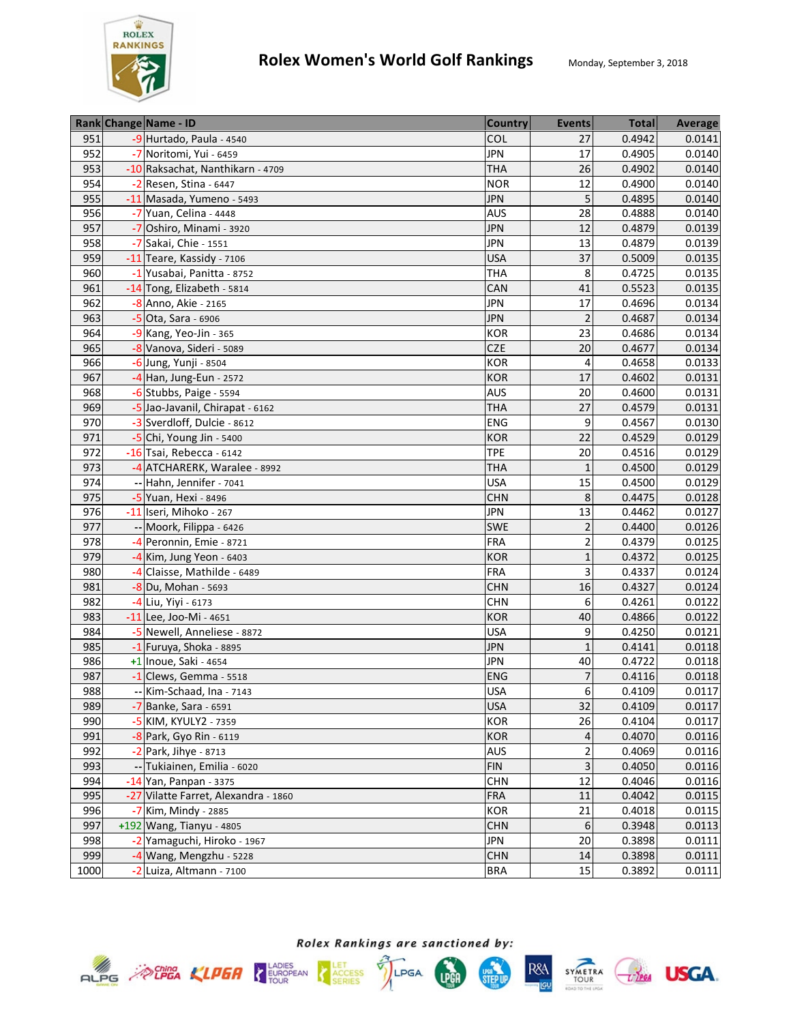

|      | Rank Change Name - ID                | <b>Country</b> | <b>Events</b>  | <b>Total</b> | <b>Average</b> |
|------|--------------------------------------|----------------|----------------|--------------|----------------|
| 951  | -9 Hurtado, Paula - 4540             | COL            | 27             | 0.4942       | 0.0141         |
| 952  | -7 Noritomi, Yui - 6459              | <b>JPN</b>     | 17             | 0.4905       | 0.0140         |
| 953  | -10 Raksachat, Nanthikarn - 4709     | <b>THA</b>     | 26             | 0.4902       | 0.0140         |
| 954  | $-2$ Resen, Stina - 6447             | <b>NOR</b>     | 12             | 0.4900       | 0.0140         |
| 955  | -11 Masada, Yumeno - 5493            | <b>JPN</b>     | 5              | 0.4895       | 0.0140         |
| 956  | -7 Yuan, Celina - 4448               | <b>AUS</b>     | 28             | 0.4888       | 0.0140         |
| 957  | -7 Oshiro, Minami - 3920             | <b>JPN</b>     | 12             | 0.4879       | 0.0139         |
| 958  | -7 Sakai, Chie - 1551                | <b>JPN</b>     | 13             | 0.4879       | 0.0139         |
| 959  | -11 Teare, Kassidy - 7106            | <b>USA</b>     | 37             | 0.5009       | 0.0135         |
| 960  | -1 Yusabai, Panitta - 8752           | <b>THA</b>     | 8              | 0.4725       | 0.0135         |
| 961  | -14 Tong, Elizabeth - 5814           | CAN            | 41             | 0.5523       | 0.0135         |
| 962  | -8 Anno, Akie - 2165                 | <b>JPN</b>     | 17             | 0.4696       | 0.0134         |
| 963  | -5 Ota, Sara - 6906                  | <b>JPN</b>     | $\overline{2}$ | 0.4687       | 0.0134         |
| 964  | -9 Kang, Yeo-Jin - 365               | KOR            | 23             | 0.4686       | 0.0134         |
| 965  | -8 Vanova, Sideri - 5089             | <b>CZE</b>     | 20             | 0.4677       | 0.0134         |
| 966  | -6 Jung, Yunji - 8504                | <b>KOR</b>     | 4              | 0.4658       | 0.0133         |
| 967  | -4 Han, Jung-Eun - 2572              | <b>KOR</b>     | 17             | 0.4602       | 0.0131         |
| 968  | $-6$ Stubbs, Paige - 5594            | <b>AUS</b>     | 20             | 0.4600       | 0.0131         |
| 969  | -5 Jao-Javanil, Chirapat - 6162      | <b>THA</b>     | 27             | 0.4579       | 0.0131         |
| 970  | -3 Sverdloff, Dulcie - 8612          | ENG            | 9              | 0.4567       | 0.0130         |
| 971  | $-5$ Chi, Young Jin - 5400           | <b>KOR</b>     | 22             | 0.4529       | 0.0129         |
| 972  | -16 Tsai, Rebecca - 6142             | <b>TPE</b>     | 20             | 0.4516       | 0.0129         |
| 973  | -4 ATCHARERK, Waralee - 8992         | <b>THA</b>     | $\mathbf{1}$   | 0.4500       | 0.0129         |
| 974  | -- Hahn, Jennifer - 7041             | <b>USA</b>     | 15             | 0.4500       | 0.0129         |
| 975  | -5 Yuan, Hexi - 8496                 | <b>CHN</b>     | 8              | 0.4475       | 0.0128         |
| 976  | -11 Iseri, Mihoko - 267              | <b>JPN</b>     | 13             | 0.4462       | 0.0127         |
| 977  | -- Moork, Filippa - 6426             | SWE            | $\overline{2}$ | 0.4400       | 0.0126         |
| 978  | -4 Peronnin, Emie - 8721             | <b>FRA</b>     | $\mathbf 2$    | 0.4379       | 0.0125         |
| 979  | $-4$ Kim, Jung Yeon - 6403           | <b>KOR</b>     | $\mathbf{1}$   | 0.4372       | 0.0125         |
| 980  | -4 Claisse, Mathilde - 6489          | <b>FRA</b>     | 3              | 0.4337       | 0.0124         |
| 981  | $-8$ Du, Mohan - 5693                | <b>CHN</b>     | 16             | 0.4327       | 0.0124         |
| 982  | -4 Liu, Yiyi - 6173                  | <b>CHN</b>     | 6              | 0.4261       | 0.0122         |
| 983  | -11 Lee, Joo-Mi - 4651               | <b>KOR</b>     | 40             | 0.4866       | 0.0122         |
| 984  | -5 Newell, Anneliese - 8872          | <b>USA</b>     | 9              | 0.4250       | 0.0121         |
| 985  | $-1$ Furuya, Shoka - 8895            | <b>JPN</b>     | $\mathbf{1}$   | 0.4141       | 0.0118         |
| 986  | +1 Inoue, Saki - 4654                | <b>JPN</b>     | 40             | 0.4722       | 0.0118         |
| 987  | $-1$ Clews, Gemma - 5518             | <b>ENG</b>     | 7              | 0.4116       | 0.0118         |
| 988  | -- Kim-Schaad, Ina - 7143            | <b>USA</b>     | 6              | 0.4109       | 0.0117         |
| 989  | -7 Banke, Sara - 6591                | <b>USA</b>     | 32             | 0.4109       | 0.0117         |
| 990  | -5 KIM, KYULY2 - 7359                | KOR            | 26             | 0.4104       | 0.0117         |
| 991  | -8 Park, Gyo Rin - 6119              | KOR            | 4              | 0.4070       | 0.0116         |
| 992  | -2 Park, Jihye - 8713                | <b>AUS</b>     | 2              | 0.4069       | 0.0116         |
| 993  | -- Tukiainen, Emilia - 6020          | <b>FIN</b>     | 3              | 0.4050       | 0.0116         |
| 994  | -14 Yan, Panpan - 3375               | CHN            | 12             | 0.4046       | 0.0116         |
| 995  | -27 Vilatte Farret, Alexandra - 1860 | <b>FRA</b>     | 11             | 0.4042       | 0.0115         |
| 996  | -7 Kim, Mindy - 2885                 | <b>KOR</b>     | 21             | 0.4018       | 0.0115         |
| 997  | +192 Wang, Tianyu - 4805             | <b>CHN</b>     | 6              | 0.3948       | 0.0113         |
| 998  | -2 Yamaguchi, Hiroko - 1967          | <b>JPN</b>     | 20             | 0.3898       | 0.0111         |
| 999  | -4 Wang, Mengzhu - 5228              | <b>CHN</b>     | 14             | 0.3898       | 0.0111         |
| 1000 | -2 Luiza, Altmann - 7100             | <b>BRA</b>     | 15             | 0.3892       | 0.0111         |









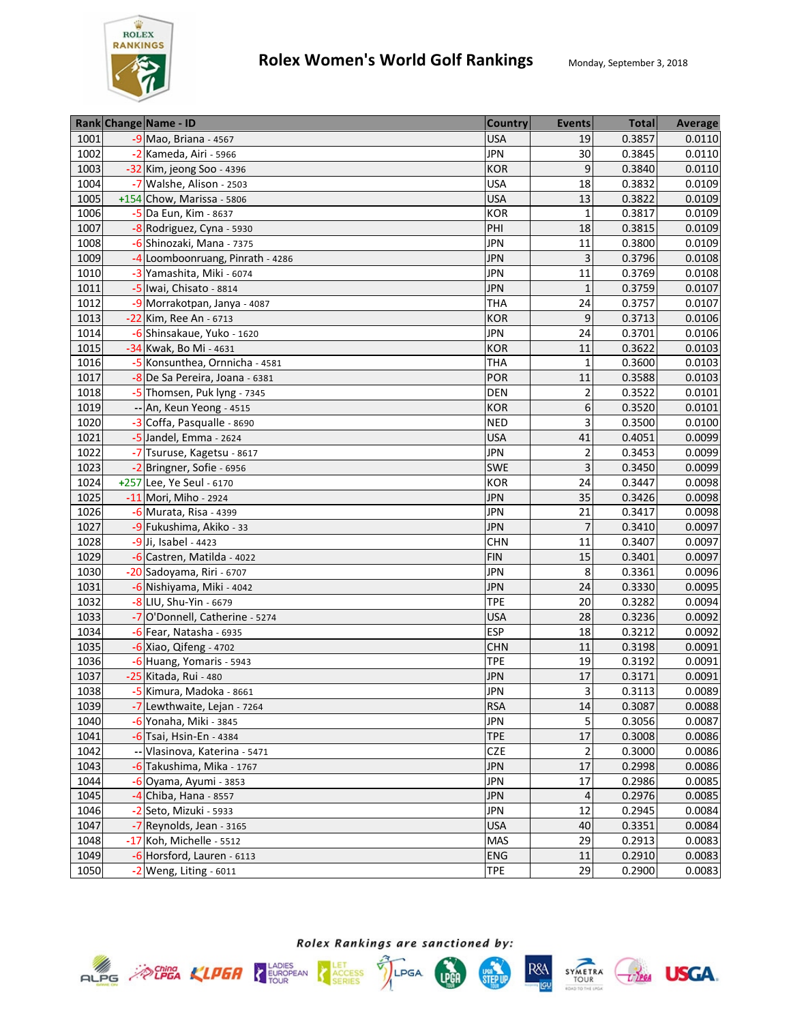

| 1001<br>-9 Mao, Briana - 4567<br><b>USA</b><br>19<br>0.3857<br>0.0110<br><b>JPN</b><br>1002<br>-2 Kameda, Airi - 5966<br>30<br>0.3845<br>0.0110<br>9<br>1003<br>-32 Kim, jeong Soo - 4396<br><b>KOR</b><br>0.3840<br>0.0110<br>1004<br>-7 Walshe, Alison - 2503<br><b>USA</b><br>18<br>0.3832<br>0.0109<br><b>USA</b><br>13<br>1005<br>+154 Chow, Marissa - 5806<br>0.3822<br>0.0109<br>1006<br>-5 Da Eun, Kim - 8637<br><b>KOR</b><br>$\mathbf{1}$<br>0.3817<br>0.0109<br>1007<br>-8 Rodriguez, Cyna - 5930<br>18<br>0.3815<br>0.0109<br>PHI<br>1008<br>-6 Shinozaki, Mana - 7375<br><b>JPN</b><br>11<br>0.3800<br>0.0109<br>1009<br>-4 Loomboonruang, Pinrath - 4286<br><b>JPN</b><br>3<br>0.3796<br>0.0108<br>0.3769<br>1010<br><b>JPN</b><br>11<br>0.0108<br>-3 Yamashita, Miki - 6074<br>1011<br>0.3759<br>0.0107<br>-5 Iwai, Chisato - 8814<br><b>JPN</b><br>1<br>24<br>0.3757<br>1012<br>-9 Morrakotpan, Janya - 4087<br><b>THA</b><br>0.0107<br>9<br>0.3713<br>1013<br>-22 Kim, Ree An - 6713<br><b>KOR</b><br>0.0106<br>1014<br>-6 Shinsakaue, Yuko - 1620<br><b>JPN</b><br>24<br>0.3701<br>0.0106<br>1015<br>-34 Kwak, Bo Mi - 4631<br>11<br>0.3622<br><b>KOR</b><br>0.0103<br>1016<br><b>THA</b><br>$\mathbf{1}$<br>0.3600<br>-5 Konsunthea, Ornnicha - 4581<br>0.0103<br>1017<br>11<br>0.3588<br>POR<br>0.0103<br>-8 De Sa Pereira, Joana - 6381<br>$\overline{2}$<br>0.3522<br>1018<br>-5 Thomsen, Puk lyng - 7345<br>0.0101<br><b>DEN</b><br>6<br>1019<br>-- An, Keun Yeong - 4515<br><b>KOR</b><br>0.3520<br>0.0101<br>3<br>0.3500<br>1020<br>-3 Coffa, Pasqualle - 8690<br>0.0100<br><b>NED</b><br>1021<br>-5 Jandel, Emma - 2624<br>0.0099<br><b>USA</b><br>41<br>0.4051<br>1022<br>-7 Tsuruse, Kagetsu - 8617<br><b>JPN</b><br>$\overline{2}$<br>0.3453<br>0.0099<br>1023<br>SWE<br>3<br>0.3450<br>0.0099<br>-2 Bringner, Sofie - 6956<br>1024<br>0.3447<br>0.0098<br>+257 Lee, Ye Seul - 6170<br>KOR<br>24<br>1025<br>-11 Mori, Miho - 2924<br>35<br>0.3426<br><b>JPN</b><br>0.0098<br>21<br>1026<br>-6 Murata, Risa - 4399<br><b>JPN</b><br>0.3417<br>0.0098<br>1027<br>-9 Fukushima, Akiko - 33<br>$\overline{7}$<br><b>JPN</b><br>0.0097<br>0.3410<br>1028<br>-9 Ji, Isabel - 4423<br>11<br><b>CHN</b><br>0.3407<br>0.0097<br>1029<br>-6 Castren, Matilda - 4022<br><b>FIN</b><br>15<br>0.3401<br>0.0097<br>1030<br>8<br>0.3361<br><b>JPN</b><br>0.0096<br>-20 Sadoyama, Riri - 6707<br>1031<br><b>JPN</b><br>0.3330<br>-6 Nishiyama, Miki - 4042<br>24<br>0.0095<br>1032<br>0.3282<br>-8 LIU, Shu-Yin - 6679<br><b>TPE</b><br>20<br>0.0094<br>1033<br>-7 O'Donnell, Catherine - 5274<br><b>USA</b><br>28<br>0.3236<br>0.0092<br><b>ESP</b><br>0.3212<br>1034<br>18<br>0.0092<br>$-6$ Fear, Natasha - 6935<br>1035<br>-6 Xiao, Qifeng - 4702<br><b>CHN</b><br>11<br>0.3198<br>0.0091<br><b>TPE</b><br>19<br>0.3192<br>0.0091<br>1036<br>-6 Huang, Yomaris - 5943<br>1037<br><b>JPN</b><br>17<br>0.3171<br>0.0091<br>-25 Kitada, Rui - 480<br>1038<br><b>JPN</b><br>3<br>-5 Kimura, Madoka - 8661<br>0.3113<br>0.0089<br>1039<br>-7 Lewthwaite, Lejan - 7264<br><b>RSA</b><br>0.3087<br>0.0088<br>14<br>5<br>1040<br>-6 Yonaha, Miki - 3845<br>0.3056<br>0.0087<br>JPN<br>17<br>1041<br><b>TPE</b><br>0.3008<br>$-6$ Tsai, Hsin-En - 4384<br>0.0086<br>$\overline{2}$<br>1042<br>CZE<br>Vlasinova, Katerina - 5471<br>0.3000<br>0.0086<br>17<br>1043<br>-6 Takushima, Mika - 1767<br><b>JPN</b><br>0.2998<br>0.0086<br>17<br>1044<br><b>JPN</b><br>0.2986<br>0.0085<br>$-6$ Oyama, Ayumi - 3853<br><b>JPN</b><br>1045<br>-4 Chiba, Hana - 8557<br>0.2976<br>0.0085<br>4<br>12<br>1046<br><b>JPN</b><br>-2 Seto, Mizuki - 5933<br>0.2945<br>0.0084<br>1047<br>-7 Reynolds, Jean - 3165<br><b>USA</b><br>40<br>0.3351<br>0.0084<br>1048<br>0.0083<br>-17 Koh, Michelle - 5512<br>MAS<br>29<br>0.2913<br>1049<br>0.0083<br>-6 Horsford, Lauren - 6113<br><b>ENG</b><br>11<br>0.2910<br>1050<br>$-2$ Weng, Liting - 6011<br>29 |  | Rank Change Name - ID | <b>Country</b> | <b>Events</b> | <b>Total</b> | <b>Average</b> |
|-------------------------------------------------------------------------------------------------------------------------------------------------------------------------------------------------------------------------------------------------------------------------------------------------------------------------------------------------------------------------------------------------------------------------------------------------------------------------------------------------------------------------------------------------------------------------------------------------------------------------------------------------------------------------------------------------------------------------------------------------------------------------------------------------------------------------------------------------------------------------------------------------------------------------------------------------------------------------------------------------------------------------------------------------------------------------------------------------------------------------------------------------------------------------------------------------------------------------------------------------------------------------------------------------------------------------------------------------------------------------------------------------------------------------------------------------------------------------------------------------------------------------------------------------------------------------------------------------------------------------------------------------------------------------------------------------------------------------------------------------------------------------------------------------------------------------------------------------------------------------------------------------------------------------------------------------------------------------------------------------------------------------------------------------------------------------------------------------------------------------------------------------------------------------------------------------------------------------------------------------------------------------------------------------------------------------------------------------------------------------------------------------------------------------------------------------------------------------------------------------------------------------------------------------------------------------------------------------------------------------------------------------------------------------------------------------------------------------------------------------------------------------------------------------------------------------------------------------------------------------------------------------------------------------------------------------------------------------------------------------------------------------------------------------------------------------------------------------------------------------------------------------------------------------------------------------------------------------------------------------------------------------------------------------------------------------------------------------------------------------------------------------------------------------------------------------------------------------------------------------------------------------------------------------------------------------------------------------------------------------------------------------------------------------------------------------------------------------------------------------------------------------------------------------------------------------------------------------------------------------------------------------------------------------------------------------|--|-----------------------|----------------|---------------|--------------|----------------|
|                                                                                                                                                                                                                                                                                                                                                                                                                                                                                                                                                                                                                                                                                                                                                                                                                                                                                                                                                                                                                                                                                                                                                                                                                                                                                                                                                                                                                                                                                                                                                                                                                                                                                                                                                                                                                                                                                                                                                                                                                                                                                                                                                                                                                                                                                                                                                                                                                                                                                                                                                                                                                                                                                                                                                                                                                                                                                                                                                                                                                                                                                                                                                                                                                                                                                                                                                                                                                                                                                                                                                                                                                                                                                                                                                                                                                                                                                                                                                 |  |                       |                |               |              |                |
|                                                                                                                                                                                                                                                                                                                                                                                                                                                                                                                                                                                                                                                                                                                                                                                                                                                                                                                                                                                                                                                                                                                                                                                                                                                                                                                                                                                                                                                                                                                                                                                                                                                                                                                                                                                                                                                                                                                                                                                                                                                                                                                                                                                                                                                                                                                                                                                                                                                                                                                                                                                                                                                                                                                                                                                                                                                                                                                                                                                                                                                                                                                                                                                                                                                                                                                                                                                                                                                                                                                                                                                                                                                                                                                                                                                                                                                                                                                                                 |  |                       |                |               |              |                |
|                                                                                                                                                                                                                                                                                                                                                                                                                                                                                                                                                                                                                                                                                                                                                                                                                                                                                                                                                                                                                                                                                                                                                                                                                                                                                                                                                                                                                                                                                                                                                                                                                                                                                                                                                                                                                                                                                                                                                                                                                                                                                                                                                                                                                                                                                                                                                                                                                                                                                                                                                                                                                                                                                                                                                                                                                                                                                                                                                                                                                                                                                                                                                                                                                                                                                                                                                                                                                                                                                                                                                                                                                                                                                                                                                                                                                                                                                                                                                 |  |                       |                |               |              |                |
|                                                                                                                                                                                                                                                                                                                                                                                                                                                                                                                                                                                                                                                                                                                                                                                                                                                                                                                                                                                                                                                                                                                                                                                                                                                                                                                                                                                                                                                                                                                                                                                                                                                                                                                                                                                                                                                                                                                                                                                                                                                                                                                                                                                                                                                                                                                                                                                                                                                                                                                                                                                                                                                                                                                                                                                                                                                                                                                                                                                                                                                                                                                                                                                                                                                                                                                                                                                                                                                                                                                                                                                                                                                                                                                                                                                                                                                                                                                                                 |  |                       |                |               |              |                |
|                                                                                                                                                                                                                                                                                                                                                                                                                                                                                                                                                                                                                                                                                                                                                                                                                                                                                                                                                                                                                                                                                                                                                                                                                                                                                                                                                                                                                                                                                                                                                                                                                                                                                                                                                                                                                                                                                                                                                                                                                                                                                                                                                                                                                                                                                                                                                                                                                                                                                                                                                                                                                                                                                                                                                                                                                                                                                                                                                                                                                                                                                                                                                                                                                                                                                                                                                                                                                                                                                                                                                                                                                                                                                                                                                                                                                                                                                                                                                 |  |                       |                |               |              |                |
|                                                                                                                                                                                                                                                                                                                                                                                                                                                                                                                                                                                                                                                                                                                                                                                                                                                                                                                                                                                                                                                                                                                                                                                                                                                                                                                                                                                                                                                                                                                                                                                                                                                                                                                                                                                                                                                                                                                                                                                                                                                                                                                                                                                                                                                                                                                                                                                                                                                                                                                                                                                                                                                                                                                                                                                                                                                                                                                                                                                                                                                                                                                                                                                                                                                                                                                                                                                                                                                                                                                                                                                                                                                                                                                                                                                                                                                                                                                                                 |  |                       |                |               |              |                |
|                                                                                                                                                                                                                                                                                                                                                                                                                                                                                                                                                                                                                                                                                                                                                                                                                                                                                                                                                                                                                                                                                                                                                                                                                                                                                                                                                                                                                                                                                                                                                                                                                                                                                                                                                                                                                                                                                                                                                                                                                                                                                                                                                                                                                                                                                                                                                                                                                                                                                                                                                                                                                                                                                                                                                                                                                                                                                                                                                                                                                                                                                                                                                                                                                                                                                                                                                                                                                                                                                                                                                                                                                                                                                                                                                                                                                                                                                                                                                 |  |                       |                |               |              |                |
|                                                                                                                                                                                                                                                                                                                                                                                                                                                                                                                                                                                                                                                                                                                                                                                                                                                                                                                                                                                                                                                                                                                                                                                                                                                                                                                                                                                                                                                                                                                                                                                                                                                                                                                                                                                                                                                                                                                                                                                                                                                                                                                                                                                                                                                                                                                                                                                                                                                                                                                                                                                                                                                                                                                                                                                                                                                                                                                                                                                                                                                                                                                                                                                                                                                                                                                                                                                                                                                                                                                                                                                                                                                                                                                                                                                                                                                                                                                                                 |  |                       |                |               |              |                |
|                                                                                                                                                                                                                                                                                                                                                                                                                                                                                                                                                                                                                                                                                                                                                                                                                                                                                                                                                                                                                                                                                                                                                                                                                                                                                                                                                                                                                                                                                                                                                                                                                                                                                                                                                                                                                                                                                                                                                                                                                                                                                                                                                                                                                                                                                                                                                                                                                                                                                                                                                                                                                                                                                                                                                                                                                                                                                                                                                                                                                                                                                                                                                                                                                                                                                                                                                                                                                                                                                                                                                                                                                                                                                                                                                                                                                                                                                                                                                 |  |                       |                |               |              |                |
|                                                                                                                                                                                                                                                                                                                                                                                                                                                                                                                                                                                                                                                                                                                                                                                                                                                                                                                                                                                                                                                                                                                                                                                                                                                                                                                                                                                                                                                                                                                                                                                                                                                                                                                                                                                                                                                                                                                                                                                                                                                                                                                                                                                                                                                                                                                                                                                                                                                                                                                                                                                                                                                                                                                                                                                                                                                                                                                                                                                                                                                                                                                                                                                                                                                                                                                                                                                                                                                                                                                                                                                                                                                                                                                                                                                                                                                                                                                                                 |  |                       |                |               |              |                |
|                                                                                                                                                                                                                                                                                                                                                                                                                                                                                                                                                                                                                                                                                                                                                                                                                                                                                                                                                                                                                                                                                                                                                                                                                                                                                                                                                                                                                                                                                                                                                                                                                                                                                                                                                                                                                                                                                                                                                                                                                                                                                                                                                                                                                                                                                                                                                                                                                                                                                                                                                                                                                                                                                                                                                                                                                                                                                                                                                                                                                                                                                                                                                                                                                                                                                                                                                                                                                                                                                                                                                                                                                                                                                                                                                                                                                                                                                                                                                 |  |                       |                |               |              |                |
|                                                                                                                                                                                                                                                                                                                                                                                                                                                                                                                                                                                                                                                                                                                                                                                                                                                                                                                                                                                                                                                                                                                                                                                                                                                                                                                                                                                                                                                                                                                                                                                                                                                                                                                                                                                                                                                                                                                                                                                                                                                                                                                                                                                                                                                                                                                                                                                                                                                                                                                                                                                                                                                                                                                                                                                                                                                                                                                                                                                                                                                                                                                                                                                                                                                                                                                                                                                                                                                                                                                                                                                                                                                                                                                                                                                                                                                                                                                                                 |  |                       |                |               |              |                |
|                                                                                                                                                                                                                                                                                                                                                                                                                                                                                                                                                                                                                                                                                                                                                                                                                                                                                                                                                                                                                                                                                                                                                                                                                                                                                                                                                                                                                                                                                                                                                                                                                                                                                                                                                                                                                                                                                                                                                                                                                                                                                                                                                                                                                                                                                                                                                                                                                                                                                                                                                                                                                                                                                                                                                                                                                                                                                                                                                                                                                                                                                                                                                                                                                                                                                                                                                                                                                                                                                                                                                                                                                                                                                                                                                                                                                                                                                                                                                 |  |                       |                |               |              |                |
|                                                                                                                                                                                                                                                                                                                                                                                                                                                                                                                                                                                                                                                                                                                                                                                                                                                                                                                                                                                                                                                                                                                                                                                                                                                                                                                                                                                                                                                                                                                                                                                                                                                                                                                                                                                                                                                                                                                                                                                                                                                                                                                                                                                                                                                                                                                                                                                                                                                                                                                                                                                                                                                                                                                                                                                                                                                                                                                                                                                                                                                                                                                                                                                                                                                                                                                                                                                                                                                                                                                                                                                                                                                                                                                                                                                                                                                                                                                                                 |  |                       |                |               |              |                |
|                                                                                                                                                                                                                                                                                                                                                                                                                                                                                                                                                                                                                                                                                                                                                                                                                                                                                                                                                                                                                                                                                                                                                                                                                                                                                                                                                                                                                                                                                                                                                                                                                                                                                                                                                                                                                                                                                                                                                                                                                                                                                                                                                                                                                                                                                                                                                                                                                                                                                                                                                                                                                                                                                                                                                                                                                                                                                                                                                                                                                                                                                                                                                                                                                                                                                                                                                                                                                                                                                                                                                                                                                                                                                                                                                                                                                                                                                                                                                 |  |                       |                |               |              |                |
|                                                                                                                                                                                                                                                                                                                                                                                                                                                                                                                                                                                                                                                                                                                                                                                                                                                                                                                                                                                                                                                                                                                                                                                                                                                                                                                                                                                                                                                                                                                                                                                                                                                                                                                                                                                                                                                                                                                                                                                                                                                                                                                                                                                                                                                                                                                                                                                                                                                                                                                                                                                                                                                                                                                                                                                                                                                                                                                                                                                                                                                                                                                                                                                                                                                                                                                                                                                                                                                                                                                                                                                                                                                                                                                                                                                                                                                                                                                                                 |  |                       |                |               |              |                |
|                                                                                                                                                                                                                                                                                                                                                                                                                                                                                                                                                                                                                                                                                                                                                                                                                                                                                                                                                                                                                                                                                                                                                                                                                                                                                                                                                                                                                                                                                                                                                                                                                                                                                                                                                                                                                                                                                                                                                                                                                                                                                                                                                                                                                                                                                                                                                                                                                                                                                                                                                                                                                                                                                                                                                                                                                                                                                                                                                                                                                                                                                                                                                                                                                                                                                                                                                                                                                                                                                                                                                                                                                                                                                                                                                                                                                                                                                                                                                 |  |                       |                |               |              |                |
|                                                                                                                                                                                                                                                                                                                                                                                                                                                                                                                                                                                                                                                                                                                                                                                                                                                                                                                                                                                                                                                                                                                                                                                                                                                                                                                                                                                                                                                                                                                                                                                                                                                                                                                                                                                                                                                                                                                                                                                                                                                                                                                                                                                                                                                                                                                                                                                                                                                                                                                                                                                                                                                                                                                                                                                                                                                                                                                                                                                                                                                                                                                                                                                                                                                                                                                                                                                                                                                                                                                                                                                                                                                                                                                                                                                                                                                                                                                                                 |  |                       |                |               |              |                |
|                                                                                                                                                                                                                                                                                                                                                                                                                                                                                                                                                                                                                                                                                                                                                                                                                                                                                                                                                                                                                                                                                                                                                                                                                                                                                                                                                                                                                                                                                                                                                                                                                                                                                                                                                                                                                                                                                                                                                                                                                                                                                                                                                                                                                                                                                                                                                                                                                                                                                                                                                                                                                                                                                                                                                                                                                                                                                                                                                                                                                                                                                                                                                                                                                                                                                                                                                                                                                                                                                                                                                                                                                                                                                                                                                                                                                                                                                                                                                 |  |                       |                |               |              |                |
|                                                                                                                                                                                                                                                                                                                                                                                                                                                                                                                                                                                                                                                                                                                                                                                                                                                                                                                                                                                                                                                                                                                                                                                                                                                                                                                                                                                                                                                                                                                                                                                                                                                                                                                                                                                                                                                                                                                                                                                                                                                                                                                                                                                                                                                                                                                                                                                                                                                                                                                                                                                                                                                                                                                                                                                                                                                                                                                                                                                                                                                                                                                                                                                                                                                                                                                                                                                                                                                                                                                                                                                                                                                                                                                                                                                                                                                                                                                                                 |  |                       |                |               |              |                |
|                                                                                                                                                                                                                                                                                                                                                                                                                                                                                                                                                                                                                                                                                                                                                                                                                                                                                                                                                                                                                                                                                                                                                                                                                                                                                                                                                                                                                                                                                                                                                                                                                                                                                                                                                                                                                                                                                                                                                                                                                                                                                                                                                                                                                                                                                                                                                                                                                                                                                                                                                                                                                                                                                                                                                                                                                                                                                                                                                                                                                                                                                                                                                                                                                                                                                                                                                                                                                                                                                                                                                                                                                                                                                                                                                                                                                                                                                                                                                 |  |                       |                |               |              |                |
|                                                                                                                                                                                                                                                                                                                                                                                                                                                                                                                                                                                                                                                                                                                                                                                                                                                                                                                                                                                                                                                                                                                                                                                                                                                                                                                                                                                                                                                                                                                                                                                                                                                                                                                                                                                                                                                                                                                                                                                                                                                                                                                                                                                                                                                                                                                                                                                                                                                                                                                                                                                                                                                                                                                                                                                                                                                                                                                                                                                                                                                                                                                                                                                                                                                                                                                                                                                                                                                                                                                                                                                                                                                                                                                                                                                                                                                                                                                                                 |  |                       |                |               |              |                |
|                                                                                                                                                                                                                                                                                                                                                                                                                                                                                                                                                                                                                                                                                                                                                                                                                                                                                                                                                                                                                                                                                                                                                                                                                                                                                                                                                                                                                                                                                                                                                                                                                                                                                                                                                                                                                                                                                                                                                                                                                                                                                                                                                                                                                                                                                                                                                                                                                                                                                                                                                                                                                                                                                                                                                                                                                                                                                                                                                                                                                                                                                                                                                                                                                                                                                                                                                                                                                                                                                                                                                                                                                                                                                                                                                                                                                                                                                                                                                 |  |                       |                |               |              |                |
|                                                                                                                                                                                                                                                                                                                                                                                                                                                                                                                                                                                                                                                                                                                                                                                                                                                                                                                                                                                                                                                                                                                                                                                                                                                                                                                                                                                                                                                                                                                                                                                                                                                                                                                                                                                                                                                                                                                                                                                                                                                                                                                                                                                                                                                                                                                                                                                                                                                                                                                                                                                                                                                                                                                                                                                                                                                                                                                                                                                                                                                                                                                                                                                                                                                                                                                                                                                                                                                                                                                                                                                                                                                                                                                                                                                                                                                                                                                                                 |  |                       |                |               |              |                |
|                                                                                                                                                                                                                                                                                                                                                                                                                                                                                                                                                                                                                                                                                                                                                                                                                                                                                                                                                                                                                                                                                                                                                                                                                                                                                                                                                                                                                                                                                                                                                                                                                                                                                                                                                                                                                                                                                                                                                                                                                                                                                                                                                                                                                                                                                                                                                                                                                                                                                                                                                                                                                                                                                                                                                                                                                                                                                                                                                                                                                                                                                                                                                                                                                                                                                                                                                                                                                                                                                                                                                                                                                                                                                                                                                                                                                                                                                                                                                 |  |                       |                |               |              |                |
|                                                                                                                                                                                                                                                                                                                                                                                                                                                                                                                                                                                                                                                                                                                                                                                                                                                                                                                                                                                                                                                                                                                                                                                                                                                                                                                                                                                                                                                                                                                                                                                                                                                                                                                                                                                                                                                                                                                                                                                                                                                                                                                                                                                                                                                                                                                                                                                                                                                                                                                                                                                                                                                                                                                                                                                                                                                                                                                                                                                                                                                                                                                                                                                                                                                                                                                                                                                                                                                                                                                                                                                                                                                                                                                                                                                                                                                                                                                                                 |  |                       |                |               |              |                |
|                                                                                                                                                                                                                                                                                                                                                                                                                                                                                                                                                                                                                                                                                                                                                                                                                                                                                                                                                                                                                                                                                                                                                                                                                                                                                                                                                                                                                                                                                                                                                                                                                                                                                                                                                                                                                                                                                                                                                                                                                                                                                                                                                                                                                                                                                                                                                                                                                                                                                                                                                                                                                                                                                                                                                                                                                                                                                                                                                                                                                                                                                                                                                                                                                                                                                                                                                                                                                                                                                                                                                                                                                                                                                                                                                                                                                                                                                                                                                 |  |                       |                |               |              |                |
|                                                                                                                                                                                                                                                                                                                                                                                                                                                                                                                                                                                                                                                                                                                                                                                                                                                                                                                                                                                                                                                                                                                                                                                                                                                                                                                                                                                                                                                                                                                                                                                                                                                                                                                                                                                                                                                                                                                                                                                                                                                                                                                                                                                                                                                                                                                                                                                                                                                                                                                                                                                                                                                                                                                                                                                                                                                                                                                                                                                                                                                                                                                                                                                                                                                                                                                                                                                                                                                                                                                                                                                                                                                                                                                                                                                                                                                                                                                                                 |  |                       |                |               |              |                |
|                                                                                                                                                                                                                                                                                                                                                                                                                                                                                                                                                                                                                                                                                                                                                                                                                                                                                                                                                                                                                                                                                                                                                                                                                                                                                                                                                                                                                                                                                                                                                                                                                                                                                                                                                                                                                                                                                                                                                                                                                                                                                                                                                                                                                                                                                                                                                                                                                                                                                                                                                                                                                                                                                                                                                                                                                                                                                                                                                                                                                                                                                                                                                                                                                                                                                                                                                                                                                                                                                                                                                                                                                                                                                                                                                                                                                                                                                                                                                 |  |                       |                |               |              |                |
|                                                                                                                                                                                                                                                                                                                                                                                                                                                                                                                                                                                                                                                                                                                                                                                                                                                                                                                                                                                                                                                                                                                                                                                                                                                                                                                                                                                                                                                                                                                                                                                                                                                                                                                                                                                                                                                                                                                                                                                                                                                                                                                                                                                                                                                                                                                                                                                                                                                                                                                                                                                                                                                                                                                                                                                                                                                                                                                                                                                                                                                                                                                                                                                                                                                                                                                                                                                                                                                                                                                                                                                                                                                                                                                                                                                                                                                                                                                                                 |  |                       |                |               |              |                |
|                                                                                                                                                                                                                                                                                                                                                                                                                                                                                                                                                                                                                                                                                                                                                                                                                                                                                                                                                                                                                                                                                                                                                                                                                                                                                                                                                                                                                                                                                                                                                                                                                                                                                                                                                                                                                                                                                                                                                                                                                                                                                                                                                                                                                                                                                                                                                                                                                                                                                                                                                                                                                                                                                                                                                                                                                                                                                                                                                                                                                                                                                                                                                                                                                                                                                                                                                                                                                                                                                                                                                                                                                                                                                                                                                                                                                                                                                                                                                 |  |                       |                |               |              |                |
|                                                                                                                                                                                                                                                                                                                                                                                                                                                                                                                                                                                                                                                                                                                                                                                                                                                                                                                                                                                                                                                                                                                                                                                                                                                                                                                                                                                                                                                                                                                                                                                                                                                                                                                                                                                                                                                                                                                                                                                                                                                                                                                                                                                                                                                                                                                                                                                                                                                                                                                                                                                                                                                                                                                                                                                                                                                                                                                                                                                                                                                                                                                                                                                                                                                                                                                                                                                                                                                                                                                                                                                                                                                                                                                                                                                                                                                                                                                                                 |  |                       |                |               |              |                |
|                                                                                                                                                                                                                                                                                                                                                                                                                                                                                                                                                                                                                                                                                                                                                                                                                                                                                                                                                                                                                                                                                                                                                                                                                                                                                                                                                                                                                                                                                                                                                                                                                                                                                                                                                                                                                                                                                                                                                                                                                                                                                                                                                                                                                                                                                                                                                                                                                                                                                                                                                                                                                                                                                                                                                                                                                                                                                                                                                                                                                                                                                                                                                                                                                                                                                                                                                                                                                                                                                                                                                                                                                                                                                                                                                                                                                                                                                                                                                 |  |                       |                |               |              |                |
|                                                                                                                                                                                                                                                                                                                                                                                                                                                                                                                                                                                                                                                                                                                                                                                                                                                                                                                                                                                                                                                                                                                                                                                                                                                                                                                                                                                                                                                                                                                                                                                                                                                                                                                                                                                                                                                                                                                                                                                                                                                                                                                                                                                                                                                                                                                                                                                                                                                                                                                                                                                                                                                                                                                                                                                                                                                                                                                                                                                                                                                                                                                                                                                                                                                                                                                                                                                                                                                                                                                                                                                                                                                                                                                                                                                                                                                                                                                                                 |  |                       |                |               |              |                |
|                                                                                                                                                                                                                                                                                                                                                                                                                                                                                                                                                                                                                                                                                                                                                                                                                                                                                                                                                                                                                                                                                                                                                                                                                                                                                                                                                                                                                                                                                                                                                                                                                                                                                                                                                                                                                                                                                                                                                                                                                                                                                                                                                                                                                                                                                                                                                                                                                                                                                                                                                                                                                                                                                                                                                                                                                                                                                                                                                                                                                                                                                                                                                                                                                                                                                                                                                                                                                                                                                                                                                                                                                                                                                                                                                                                                                                                                                                                                                 |  |                       |                |               |              |                |
|                                                                                                                                                                                                                                                                                                                                                                                                                                                                                                                                                                                                                                                                                                                                                                                                                                                                                                                                                                                                                                                                                                                                                                                                                                                                                                                                                                                                                                                                                                                                                                                                                                                                                                                                                                                                                                                                                                                                                                                                                                                                                                                                                                                                                                                                                                                                                                                                                                                                                                                                                                                                                                                                                                                                                                                                                                                                                                                                                                                                                                                                                                                                                                                                                                                                                                                                                                                                                                                                                                                                                                                                                                                                                                                                                                                                                                                                                                                                                 |  |                       |                |               |              |                |
|                                                                                                                                                                                                                                                                                                                                                                                                                                                                                                                                                                                                                                                                                                                                                                                                                                                                                                                                                                                                                                                                                                                                                                                                                                                                                                                                                                                                                                                                                                                                                                                                                                                                                                                                                                                                                                                                                                                                                                                                                                                                                                                                                                                                                                                                                                                                                                                                                                                                                                                                                                                                                                                                                                                                                                                                                                                                                                                                                                                                                                                                                                                                                                                                                                                                                                                                                                                                                                                                                                                                                                                                                                                                                                                                                                                                                                                                                                                                                 |  |                       |                |               |              |                |
|                                                                                                                                                                                                                                                                                                                                                                                                                                                                                                                                                                                                                                                                                                                                                                                                                                                                                                                                                                                                                                                                                                                                                                                                                                                                                                                                                                                                                                                                                                                                                                                                                                                                                                                                                                                                                                                                                                                                                                                                                                                                                                                                                                                                                                                                                                                                                                                                                                                                                                                                                                                                                                                                                                                                                                                                                                                                                                                                                                                                                                                                                                                                                                                                                                                                                                                                                                                                                                                                                                                                                                                                                                                                                                                                                                                                                                                                                                                                                 |  |                       |                |               |              |                |
|                                                                                                                                                                                                                                                                                                                                                                                                                                                                                                                                                                                                                                                                                                                                                                                                                                                                                                                                                                                                                                                                                                                                                                                                                                                                                                                                                                                                                                                                                                                                                                                                                                                                                                                                                                                                                                                                                                                                                                                                                                                                                                                                                                                                                                                                                                                                                                                                                                                                                                                                                                                                                                                                                                                                                                                                                                                                                                                                                                                                                                                                                                                                                                                                                                                                                                                                                                                                                                                                                                                                                                                                                                                                                                                                                                                                                                                                                                                                                 |  |                       |                |               |              |                |
|                                                                                                                                                                                                                                                                                                                                                                                                                                                                                                                                                                                                                                                                                                                                                                                                                                                                                                                                                                                                                                                                                                                                                                                                                                                                                                                                                                                                                                                                                                                                                                                                                                                                                                                                                                                                                                                                                                                                                                                                                                                                                                                                                                                                                                                                                                                                                                                                                                                                                                                                                                                                                                                                                                                                                                                                                                                                                                                                                                                                                                                                                                                                                                                                                                                                                                                                                                                                                                                                                                                                                                                                                                                                                                                                                                                                                                                                                                                                                 |  |                       |                |               |              |                |
|                                                                                                                                                                                                                                                                                                                                                                                                                                                                                                                                                                                                                                                                                                                                                                                                                                                                                                                                                                                                                                                                                                                                                                                                                                                                                                                                                                                                                                                                                                                                                                                                                                                                                                                                                                                                                                                                                                                                                                                                                                                                                                                                                                                                                                                                                                                                                                                                                                                                                                                                                                                                                                                                                                                                                                                                                                                                                                                                                                                                                                                                                                                                                                                                                                                                                                                                                                                                                                                                                                                                                                                                                                                                                                                                                                                                                                                                                                                                                 |  |                       |                |               |              |                |
|                                                                                                                                                                                                                                                                                                                                                                                                                                                                                                                                                                                                                                                                                                                                                                                                                                                                                                                                                                                                                                                                                                                                                                                                                                                                                                                                                                                                                                                                                                                                                                                                                                                                                                                                                                                                                                                                                                                                                                                                                                                                                                                                                                                                                                                                                                                                                                                                                                                                                                                                                                                                                                                                                                                                                                                                                                                                                                                                                                                                                                                                                                                                                                                                                                                                                                                                                                                                                                                                                                                                                                                                                                                                                                                                                                                                                                                                                                                                                 |  |                       |                |               |              |                |
|                                                                                                                                                                                                                                                                                                                                                                                                                                                                                                                                                                                                                                                                                                                                                                                                                                                                                                                                                                                                                                                                                                                                                                                                                                                                                                                                                                                                                                                                                                                                                                                                                                                                                                                                                                                                                                                                                                                                                                                                                                                                                                                                                                                                                                                                                                                                                                                                                                                                                                                                                                                                                                                                                                                                                                                                                                                                                                                                                                                                                                                                                                                                                                                                                                                                                                                                                                                                                                                                                                                                                                                                                                                                                                                                                                                                                                                                                                                                                 |  |                       |                |               |              |                |
|                                                                                                                                                                                                                                                                                                                                                                                                                                                                                                                                                                                                                                                                                                                                                                                                                                                                                                                                                                                                                                                                                                                                                                                                                                                                                                                                                                                                                                                                                                                                                                                                                                                                                                                                                                                                                                                                                                                                                                                                                                                                                                                                                                                                                                                                                                                                                                                                                                                                                                                                                                                                                                                                                                                                                                                                                                                                                                                                                                                                                                                                                                                                                                                                                                                                                                                                                                                                                                                                                                                                                                                                                                                                                                                                                                                                                                                                                                                                                 |  |                       |                |               |              |                |
|                                                                                                                                                                                                                                                                                                                                                                                                                                                                                                                                                                                                                                                                                                                                                                                                                                                                                                                                                                                                                                                                                                                                                                                                                                                                                                                                                                                                                                                                                                                                                                                                                                                                                                                                                                                                                                                                                                                                                                                                                                                                                                                                                                                                                                                                                                                                                                                                                                                                                                                                                                                                                                                                                                                                                                                                                                                                                                                                                                                                                                                                                                                                                                                                                                                                                                                                                                                                                                                                                                                                                                                                                                                                                                                                                                                                                                                                                                                                                 |  |                       |                |               |              |                |
|                                                                                                                                                                                                                                                                                                                                                                                                                                                                                                                                                                                                                                                                                                                                                                                                                                                                                                                                                                                                                                                                                                                                                                                                                                                                                                                                                                                                                                                                                                                                                                                                                                                                                                                                                                                                                                                                                                                                                                                                                                                                                                                                                                                                                                                                                                                                                                                                                                                                                                                                                                                                                                                                                                                                                                                                                                                                                                                                                                                                                                                                                                                                                                                                                                                                                                                                                                                                                                                                                                                                                                                                                                                                                                                                                                                                                                                                                                                                                 |  |                       |                |               |              |                |
|                                                                                                                                                                                                                                                                                                                                                                                                                                                                                                                                                                                                                                                                                                                                                                                                                                                                                                                                                                                                                                                                                                                                                                                                                                                                                                                                                                                                                                                                                                                                                                                                                                                                                                                                                                                                                                                                                                                                                                                                                                                                                                                                                                                                                                                                                                                                                                                                                                                                                                                                                                                                                                                                                                                                                                                                                                                                                                                                                                                                                                                                                                                                                                                                                                                                                                                                                                                                                                                                                                                                                                                                                                                                                                                                                                                                                                                                                                                                                 |  |                       |                |               |              |                |
|                                                                                                                                                                                                                                                                                                                                                                                                                                                                                                                                                                                                                                                                                                                                                                                                                                                                                                                                                                                                                                                                                                                                                                                                                                                                                                                                                                                                                                                                                                                                                                                                                                                                                                                                                                                                                                                                                                                                                                                                                                                                                                                                                                                                                                                                                                                                                                                                                                                                                                                                                                                                                                                                                                                                                                                                                                                                                                                                                                                                                                                                                                                                                                                                                                                                                                                                                                                                                                                                                                                                                                                                                                                                                                                                                                                                                                                                                                                                                 |  |                       |                |               |              |                |
|                                                                                                                                                                                                                                                                                                                                                                                                                                                                                                                                                                                                                                                                                                                                                                                                                                                                                                                                                                                                                                                                                                                                                                                                                                                                                                                                                                                                                                                                                                                                                                                                                                                                                                                                                                                                                                                                                                                                                                                                                                                                                                                                                                                                                                                                                                                                                                                                                                                                                                                                                                                                                                                                                                                                                                                                                                                                                                                                                                                                                                                                                                                                                                                                                                                                                                                                                                                                                                                                                                                                                                                                                                                                                                                                                                                                                                                                                                                                                 |  |                       |                |               |              |                |
|                                                                                                                                                                                                                                                                                                                                                                                                                                                                                                                                                                                                                                                                                                                                                                                                                                                                                                                                                                                                                                                                                                                                                                                                                                                                                                                                                                                                                                                                                                                                                                                                                                                                                                                                                                                                                                                                                                                                                                                                                                                                                                                                                                                                                                                                                                                                                                                                                                                                                                                                                                                                                                                                                                                                                                                                                                                                                                                                                                                                                                                                                                                                                                                                                                                                                                                                                                                                                                                                                                                                                                                                                                                                                                                                                                                                                                                                                                                                                 |  |                       | <b>TPE</b>     |               | 0.2900       | 0.0083         |







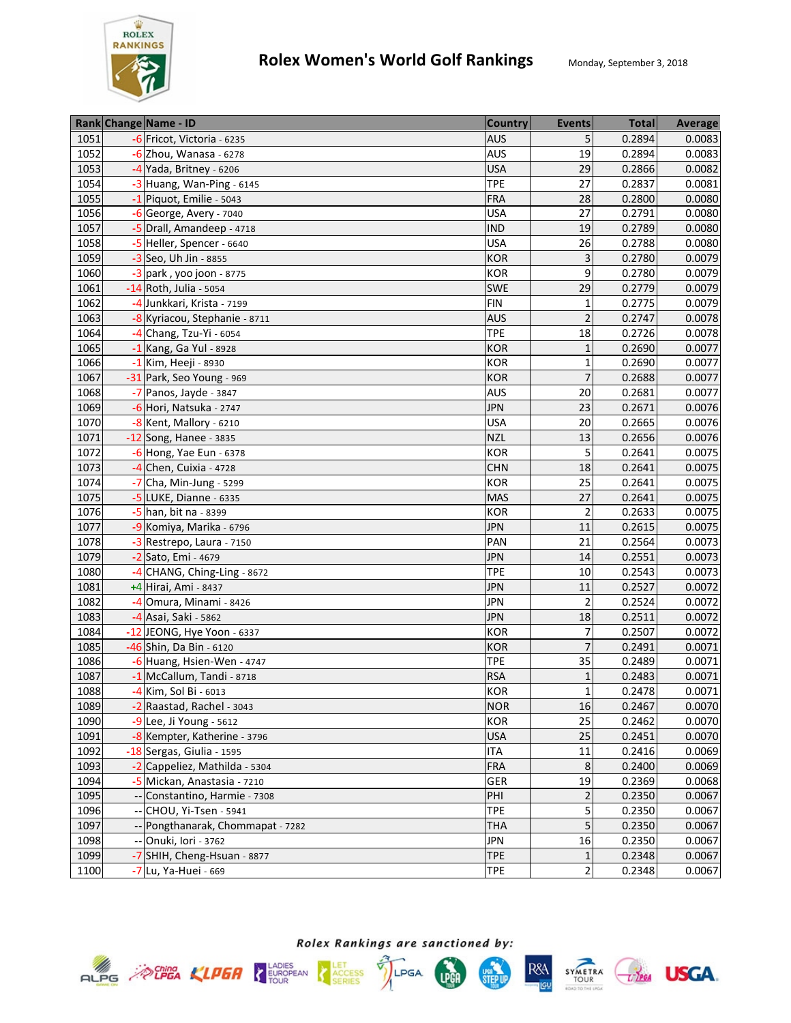

|      | Rank Change Name - ID             | <b>Country</b> | <b>Events</b>   | <b>Total</b> | <b>Average</b> |
|------|-----------------------------------|----------------|-----------------|--------------|----------------|
| 1051 | -6 Fricot, Victoria - 6235        | AUS            | 5               | 0.2894       | 0.0083         |
| 1052 | -6 Zhou, Wanasa - 6278            | <b>AUS</b>     | 19              | 0.2894       | 0.0083         |
| 1053 | $-4$ Yada, Britney - 6206         | <b>USA</b>     | 29              | 0.2866       | 0.0082         |
| 1054 | $-3$ Huang, Wan-Ping - 6145       | <b>TPE</b>     | $\overline{27}$ | 0.2837       | 0.0081         |
| 1055 | -1 Piquot, Emilie - 5043          | <b>FRA</b>     | 28              | 0.2800       | 0.0080         |
| 1056 | -6 George, Avery - 7040           | <b>USA</b>     | 27              | 0.2791       | 0.0080         |
| 1057 | -5 Drall, Amandeep - 4718         | <b>IND</b>     | 19              | 0.2789       | 0.0080         |
| 1058 | -5 Heller, Spencer - 6640         | <b>USA</b>     | 26              | 0.2788       | 0.0080         |
| 1059 | -3 Seo, Uh Jin - 8855             | <b>KOR</b>     | 3               | 0.2780       | 0.0079         |
| 1060 | $-3$ park, yoo joon - 8775        | <b>KOR</b>     | 9               | 0.2780       | 0.0079         |
| 1061 | -14 Roth, Julia - 5054            | SWE            | 29              | 0.2779       | 0.0079         |
| 1062 | -4 Junkkari, Krista - 7199        | <b>FIN</b>     | 1               | 0.2775       | 0.0079         |
| 1063 | -8 Kyriacou, Stephanie - 8711     | <b>AUS</b>     | $\overline{c}$  | 0.2747       | 0.0078         |
| 1064 | -4 Chang, Tzu-Yi - 6054           | <b>TPE</b>     | 18              | 0.2726       | 0.0078         |
| 1065 | -1 Kang, Ga Yul - 8928            | <b>KOR</b>     | $\mathbf{1}$    | 0.2690       | 0.0077         |
| 1066 | -1 Kim, Heeji - 8930              | <b>KOR</b>     | $\mathbf{1}$    | 0.2690       | 0.0077         |
| 1067 | -31 Park, Seo Young - 969         | <b>KOR</b>     | $\overline{7}$  | 0.2688       | 0.0077         |
| 1068 | -7 Panos, Jayde - 3847            | <b>AUS</b>     | 20              | 0.2681       | 0.0077         |
| 1069 | -6 Hori, Natsuka - 2747           | <b>JPN</b>     | 23              | 0.2671       | 0.0076         |
| 1070 | -8 Kent, Mallory - 6210           | <b>USA</b>     | 20              | 0.2665       | 0.0076         |
| 1071 | -12 Song, Hanee - 3835            | <b>NZL</b>     | 13              | 0.2656       | 0.0076         |
| 1072 | $-6$ Hong, Yae Eun - 6378         | <b>KOR</b>     | 5               | 0.2641       | 0.0075         |
| 1073 | $-4$ Chen, Cuixia - 4728          | <b>CHN</b>     | 18              | 0.2641       | 0.0075         |
| 1074 | $-7$ Cha, Min-Jung - 5299         | KOR            | 25              | 0.2641       | 0.0075         |
| 1075 | -5 LUKE, Dianne - 6335            | <b>MAS</b>     | 27              | 0.2641       | 0.0075         |
| 1076 | -5 han, bit na - 8399             | <b>KOR</b>     | $\overline{2}$  | 0.2633       | 0.0075         |
| 1077 | -9 Komiya, Marika - 6796          | <b>JPN</b>     | 11              | 0.2615       | 0.0075         |
| 1078 | -3 Restrepo, Laura - 7150         | PAN            | 21              | 0.2564       | 0.0073         |
| 1079 | -2 Sato, Emi - 4679               | <b>JPN</b>     | 14              | 0.2551       | 0.0073         |
| 1080 | -4 CHANG, Ching-Ling - 8672       | <b>TPE</b>     | 10              | 0.2543       | 0.0073         |
| 1081 | +4 Hirai, Ami - 8437              | <b>JPN</b>     | 11              | 0.2527       | 0.0072         |
| 1082 | -4 Omura, Minami - 8426           | <b>JPN</b>     | 2               | 0.2524       | 0.0072         |
| 1083 | -4 Asai, Saki - 5862              | <b>JPN</b>     | 18              | 0.2511       | 0.0072         |
| 1084 | -12 JEONG, Hye Yoon - 6337        | <b>KOR</b>     | $\overline{7}$  | 0.2507       | 0.0072         |
| 1085 | -46 Shin, Da Bin - 6120           | <b>KOR</b>     | $\overline{7}$  | 0.2491       | 0.0071         |
| 1086 | -6 Huang, Hsien-Wen - 4747        | <b>TPE</b>     | 35              | 0.2489       | 0.0071         |
| 1087 | -1 McCallum, Tandi - 8718         | <b>RSA</b>     | $\mathbf{1}$    | 0.2483       | 0.0071         |
| 1088 | -4 Kim, Sol Bi - 6013             | <b>KOR</b>     | $\mathbf{1}$    | 0.2478       | 0.0071         |
| 1089 | -2 Raastad, Rachel - 3043         | <b>NOR</b>     | 16              | 0.2467       | 0.0070         |
| 1090 | -9 Lee, Ji Young - 5612           | <b>KOR</b>     | 25              | 0.2462       | 0.0070         |
| 1091 | -8 Kempter, Katherine - 3796      | <b>USA</b>     | 25              | 0.2451       | 0.0070         |
| 1092 | -18 Sergas, Giulia - 1595         | <b>ITA</b>     | 11              | 0.2416       | 0.0069         |
| 1093 | -2 Cappeliez, Mathilda - 5304     | FRA            | $\,8\,$         | 0.2400       | 0.0069         |
| 1094 | -5 Mickan, Anastasia - 7210       | GER            | 19              | 0.2369       | 0.0068         |
| 1095 | -- Constantino, Harmie - 7308     | PHI            | $\overline{2}$  | 0.2350       | 0.0067         |
| 1096 | -- CHOU, Yi-Tsen - 5941           | <b>TPE</b>     | 5               | 0.2350       | 0.0067         |
| 1097 | -- Pongthanarak, Chommapat - 7282 | <b>THA</b>     | 5               | 0.2350       | 0.0067         |
| 1098 | -- Onuki, Iori - 3762             | <b>JPN</b>     | 16              | 0.2350       | 0.0067         |
| 1099 | -7 SHIH, Cheng-Hsuan - 8877       | <b>TPE</b>     | 1               | 0.2348       | 0.0067         |
| 1100 | -7 Lu, Ya-Huei - 669              | <b>TPE</b>     | $\overline{2}$  | 0.2348       | 0.0067         |







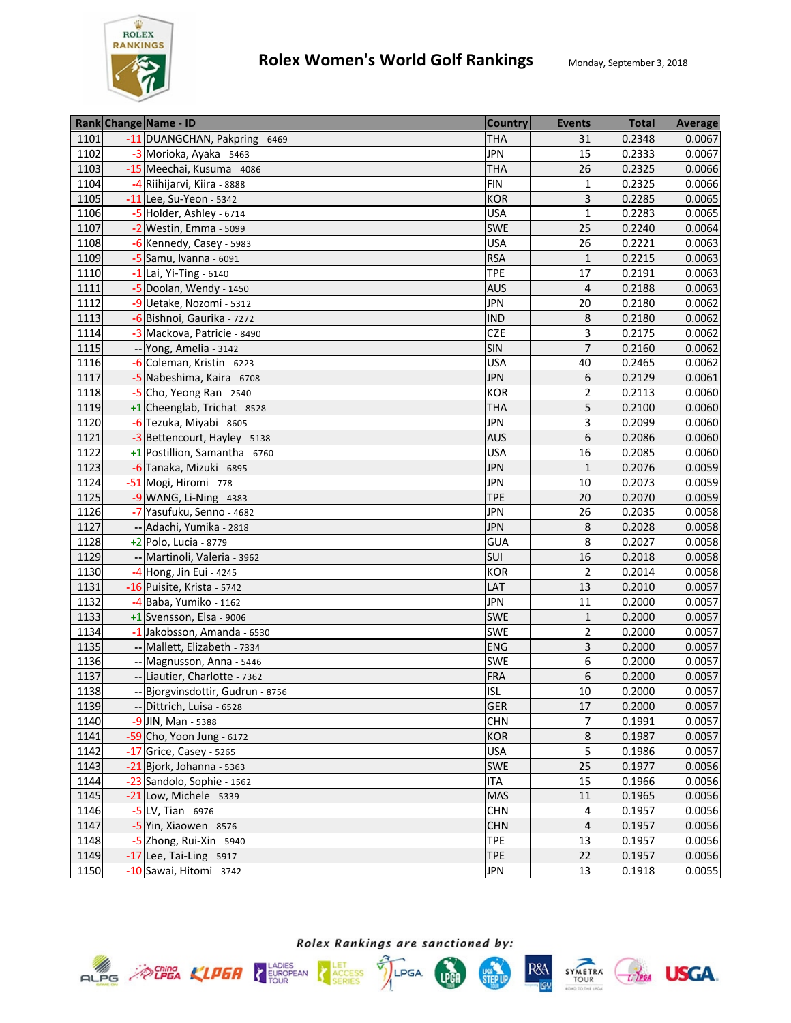

|      | Rank Change Name - ID             | <b>Country</b> | <b>Events</b>  | <b>Total</b> | Average |
|------|-----------------------------------|----------------|----------------|--------------|---------|
| 1101 | -11 DUANGCHAN, Pakpring - 6469    | <b>THA</b>     | 31             | 0.2348       | 0.0067  |
| 1102 | -3 Morioka, Ayaka - 5463          | <b>JPN</b>     | 15             | 0.2333       | 0.0067  |
| 1103 | -15 Meechai, Kusuma - 4086        | <b>THA</b>     | 26             | 0.2325       | 0.0066  |
| 1104 | -4 Riihijarvi, Kiira - 8888       | <b>FIN</b>     | 1              | 0.2325       | 0.0066  |
| 1105 | -11 Lee, Su-Yeon - 5342           | <b>KOR</b>     | 3              | 0.2285       | 0.0065  |
| 1106 | -5 Holder, Ashley - 6714          | <b>USA</b>     | $\overline{1}$ | 0.2283       | 0.0065  |
| 1107 | $-2$ Westin, Emma - 5099          | SWE            | 25             | 0.2240       | 0.0064  |
| 1108 | -6 Kennedy, Casey - 5983          | <b>USA</b>     | 26             | 0.2221       | 0.0063  |
| 1109 | -5 Samu, Ivanna - 6091            | <b>RSA</b>     | $\mathbf{1}$   | 0.2215       | 0.0063  |
| 1110 | $-1$ Lai, Yi-Ting - 6140          | <b>TPE</b>     | 17             | 0.2191       | 0.0063  |
| 1111 | -5 Doolan, Wendy - 1450           | <b>AUS</b>     | 4              | 0.2188       | 0.0063  |
| 1112 | -9 Uetake, Nozomi - 5312          | <b>JPN</b>     | 20             | 0.2180       | 0.0062  |
| 1113 | -6 Bishnoi, Gaurika - 7272        | <b>IND</b>     | 8              | 0.2180       | 0.0062  |
| 1114 | -3 Mackova, Patricie - 8490       | <b>CZE</b>     | 3              | 0.2175       | 0.0062  |
| 1115 | -- Yong, Amelia - 3142            | SIN            | $\overline{7}$ | 0.2160       | 0.0062  |
| 1116 | -6 Coleman, Kristin - 6223        | <b>USA</b>     | 40             | 0.2465       | 0.0062  |
| 1117 | -5 Nabeshima, Kaira - 6708        | <b>JPN</b>     | 6              | 0.2129       | 0.0061  |
| 1118 | $-5$ Cho, Yeong Ran - 2540        | <b>KOR</b>     | $\overline{2}$ | 0.2113       | 0.0060  |
| 1119 | +1 Cheenglab, Trichat - 8528      | <b>THA</b>     | 5              | 0.2100       | 0.0060  |
| 1120 | -6 Tezuka, Miyabi - 8605          | <b>JPN</b>     | 3              | 0.2099       | 0.0060  |
| 1121 | -3 Bettencourt, Hayley - 5138     | <b>AUS</b>     | 6              | 0.2086       | 0.0060  |
| 1122 | +1 Postillion, Samantha - 6760    | <b>USA</b>     | 16             | 0.2085       | 0.0060  |
| 1123 | -6 Tanaka, Mizuki - 6895          | <b>JPN</b>     | $\mathbf{1}$   | 0.2076       | 0.0059  |
| 1124 | -51 Mogi, Hiromi - 778            | <b>JPN</b>     | 10             | 0.2073       | 0.0059  |
| 1125 | $-9$ WANG, Li-Ning - 4383         | <b>TPE</b>     | 20             | 0.2070       | 0.0059  |
| 1126 | -7 Yasufuku, Senno - 4682         | <b>JPN</b>     | 26             | 0.2035       | 0.0058  |
| 1127 | -- Adachi, Yumika - 2818          | <b>JPN</b>     | 8              | 0.2028       | 0.0058  |
| 1128 | $+2$ Polo, Lucia - 8779           | <b>GUA</b>     | 8              | 0.2027       | 0.0058  |
| 1129 | -- Martinoli, Valeria - 3962      | SUI            | 16             | 0.2018       | 0.0058  |
| 1130 | -4 Hong, Jin Eui - 4245           | <b>KOR</b>     | $\overline{2}$ | 0.2014       | 0.0058  |
| 1131 | -16 Puisite, Krista - 5742        | LAT            | 13             | 0.2010       | 0.0057  |
| 1132 | -4 Baba, Yumiko - 1162            | <b>JPN</b>     | 11             | 0.2000       | 0.0057  |
| 1133 | +1 Svensson, Elsa - 9006          | SWE            | $\mathbf 1$    | 0.2000       | 0.0057  |
| 1134 | -1 Jakobsson, Amanda - 6530       | SWE            | $\overline{2}$ | 0.2000       | 0.0057  |
| 1135 | -- Mallett, Elizabeth - 7334      | <b>ENG</b>     | 3              | 0.2000       | 0.0057  |
| 1136 | -- Magnusson, Anna - 5446         | SWE            | 6              | 0.2000       | 0.0057  |
| 1137 | -- Liautier, Charlotte - 7362     | <b>FRA</b>     | 6              | 0.2000       | 0.0057  |
| 1138 | -- Bjorgvinsdottir, Gudrun - 8756 | <b>ISL</b>     | 10             | 0.2000       | 0.0057  |
| 1139 | -- Dittrich, Luisa - 6528         | <b>GER</b>     | 17             | 0.2000       | 0.0057  |
| 1140 | -9 JIN, Man - 5388                | <b>CHN</b>     | 7              | 0.1991       | 0.0057  |
| 1141 | -59 Cho, Yoon Jung - 6172         | KOR            | 8              | 0.1987       | 0.0057  |
| 1142 | $-17$ Grice, Casey - 5265         | <b>USA</b>     | 5              | 0.1986       | 0.0057  |
| 1143 | -21 Bjork, Johanna - 5363         | SWE            | 25             | 0.1977       | 0.0056  |
| 1144 | -23 Sandolo, Sophie - 1562        | <b>ITA</b>     | 15             | 0.1966       | 0.0056  |
| 1145 | -21 Low, Michele - 5339           | MAS            | 11             | 0.1965       | 0.0056  |
| 1146 | -5 LV, Tian - 6976                | <b>CHN</b>     | 4              | 0.1957       | 0.0056  |
| 1147 | -5 Yin, Xiaowen - 8576            | <b>CHN</b>     | 4              | 0.1957       | 0.0056  |
| 1148 | -5 Zhong, Rui-Xin - 5940          | <b>TPE</b>     | 13             | 0.1957       | 0.0056  |
| 1149 | $-17$ Lee, Tai-Ling - 5917        | <b>TPE</b>     | 22             | 0.1957       | 0.0056  |
| 1150 | -10 Sawai, Hitomi - 3742          | <b>JPN</b>     | 13             | 0.1918       | 0.0055  |









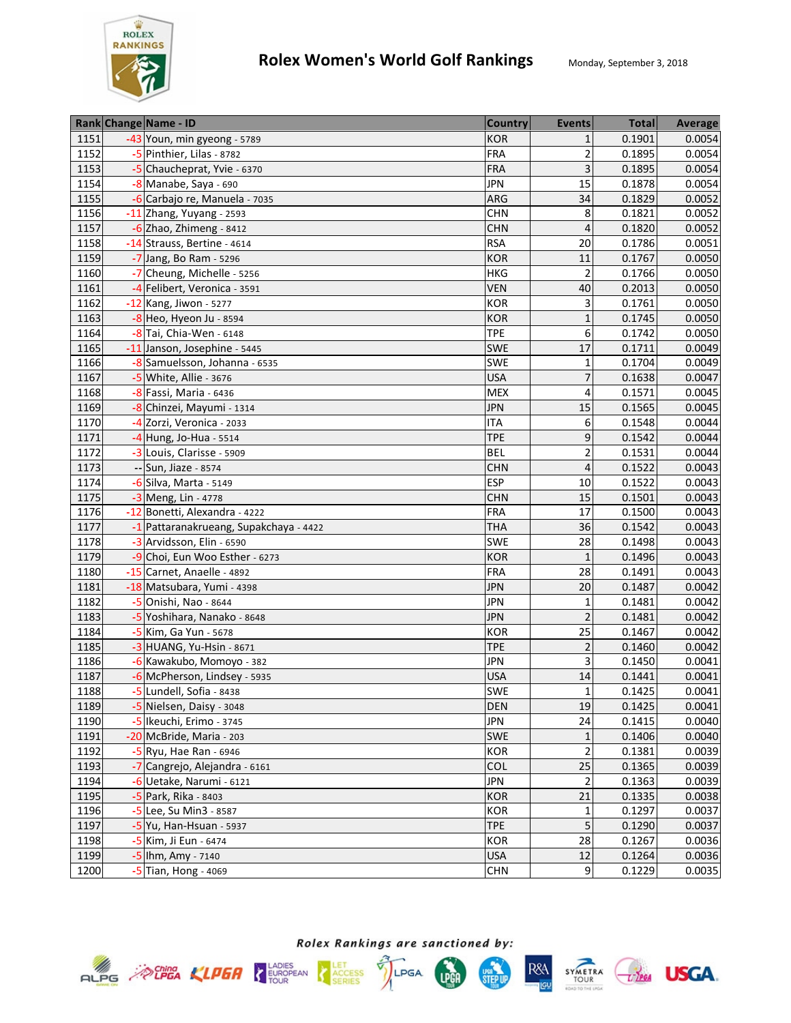

| -43 Youn, min gyeong - 5789<br>1151<br><b>KOR</b><br>0.1901<br>0.0054<br>1<br>$\overline{\mathbf{c}}$<br>1152<br>-5 Pinthier, Lilas - 8782<br><b>FRA</b><br>0.1895<br>0.0054<br>3<br>1153<br>FRA<br>-5 Chaucheprat, Yvie - 6370<br>0.1895<br>0.0054<br>15<br>1154<br><b>JPN</b><br>0.1878<br>-8 Manabe, Saya - 690<br>0.0054<br>34<br>1155<br>-6 Carbajo re, Manuela - 7035<br>ARG<br>0.1829<br>0.0052<br>1156<br><b>CHN</b><br>8<br>0.1821<br>0.0052<br>-11 Zhang, Yuyang - 2593<br>1157<br>4<br>0.1820<br>0.0052<br>$-6$ Zhao, Zhimeng - 8412<br><b>CHN</b><br>1158<br>-14 Strauss, Bertine - 4614<br><b>RSA</b><br>20<br>0.1786<br>0.0051<br>0.1767<br>1159<br><b>KOR</b><br>11<br>0.0050<br>-7 Jang, Bo Ram - 5296<br>1160<br><b>HKG</b><br>$\overline{2}$<br>0.1766<br>0.0050<br>-7 Cheung, Michelle - 5256<br>1161<br>0.2013<br>-4 Felibert, Veronica - 3591<br><b>VEN</b><br>40<br>0.0050<br>1162<br>3<br>0.1761<br>$-12$ Kang, Jiwon - 5277<br>KOR<br>0.0050<br>1163<br>$-8$ Heo, Hyeon Ju - 8594<br><b>KOR</b><br>$\mathbf 1$<br>0.1745<br>0.0050<br>1164<br>-8 Tai, Chia-Wen - 6148<br><b>TPE</b><br>6<br>0.1742<br>0.0050<br>17<br>1165<br>-11 Janson, Josephine - 5445<br>SWE<br>0.1711<br>0.0049<br>1166<br>-8 Samuelsson, Johanna - 6535<br>SWE<br>0.1704<br>0.0049<br>1<br>1167<br><b>USA</b><br>-5 White, Allie - 3676<br>7<br>0.1638<br>0.0047<br>0.1571<br>1168<br>-8 Fassi, Maria - 6436<br><b>MEX</b><br>0.0045<br>4<br>15<br>1169<br>0.1565<br>0.0045<br>-8 Chinzei, Mayumi - 1314<br><b>JPN</b><br>1170<br><b>ITA</b><br>6<br>0.1548<br>0.0044<br>-4 Zorzi, Veronica - 2033<br><b>TPE</b><br>9<br>0.1542<br>0.0044<br>1171<br>-4 Hung, Jo-Hua - 5514<br>2<br>1172<br><b>BEL</b><br>0.1531<br>0.0044<br>-3 Louis, Clarisse - 5909<br>1173<br>0.1522<br>0.0043<br>-- Sun, Jiaze - 8574<br><b>CHN</b><br>4<br>1174<br><b>ESP</b><br>0.1522<br>-6 Silva, Marta - 5149<br>10<br>0.0043<br>1175<br>-3 Meng, Lin - 4778<br>15<br>0.1501<br><b>CHN</b><br>0.0043<br>-12 Bonetti, Alexandra - 4222<br>17<br>1176<br><b>FRA</b><br>0.1500<br>0.0043<br>1177<br>36<br>-1 Pattaranakrueang, Supakchaya - 4422<br><b>THA</b><br>0.1542<br>0.0043<br>28<br>SWE<br>1178<br>-3 Arvidsson, Elin - 6590<br>0.1498<br>0.0043<br>$\mathbf{1}$<br>1179<br>-9 Choi, Eun Woo Esther - 6273<br><b>KOR</b><br>0.1496<br>0.0043<br>1180<br>28<br>-15 Carnet, Anaelle - 4892<br><b>FRA</b><br>0.1491<br>0.0043<br>1181<br><b>JPN</b><br>20<br>0.1487<br>-18 Matsubara, Yumi - 4398<br>0.0042<br>1182<br><b>JPN</b><br>$\mathbf 1$<br>0.1481<br>0.0042<br>-5 Onishi, Nao - 8644<br>$\overline{2}$<br>1183<br>-5 Yoshihara, Nanako - 8648<br><b>JPN</b><br>0.1481<br>0.0042<br>25<br>0.1467<br>1184<br>-5 Kim, Ga Yun - 5678<br><b>KOR</b><br>0.0042<br>$\overline{2}$<br>1185<br>-3 HUANG, Yu-Hsin - 8671<br><b>TPE</b><br>0.1460<br>0.0042<br><b>JPN</b><br>0.1450<br>0.0041<br>1186<br>-6 Kawakubo, Momoyo - 382<br>3<br>1187<br><b>USA</b><br>14<br>0.1441<br>0.0041<br>-6 McPherson, Lindsey - 5935<br>1188<br>SWE<br>$\mathbf{1}$<br>0.1425<br>-5 Lundell, Sofia - 8438<br>0.0041<br>1189<br>-5 Nielsen, Daisy - 3048<br><b>DEN</b><br>19<br>0.1425<br>0.0041<br>-5 Ikeuchi, Erimo - 3745<br>1190<br><b>JPN</b><br>24<br>0.0040<br>0.1415<br>1191<br><b>SWE</b><br>0.1406<br>-20 McBride, Maria - 203<br>1<br>$\overline{2}$<br>1192<br>KOR<br>$-5$ Ryu, Hae Ran - 6946<br>0.1381<br>0.0039<br>25<br>COL<br>1193<br>-7 Cangrejo, Alejandra - 6161<br>0.1365<br>0.0039<br>$\overline{2}$<br>1194<br><b>JPN</b><br>0.1363<br>-6 Uetake, Narumi - 6121<br>0.0039<br>1195<br>21<br>KOR<br>0.1335<br>0.0038<br>-5 Park, Rika - 8403<br>1196<br>$\mathbf 1$<br>0.1297<br>0.0037<br>KOR<br>-5 Lee, Su Min3 - 8587<br>5<br>1197<br><b>TPE</b><br>0.1290<br>0.0037<br>-5 Yu, Han-Hsuan - 5937<br>0.0036<br>1198<br>-5 Kim, Ji Eun - 6474<br>KOR<br>28<br>0.1267<br>1199<br>$12\,$<br>-5 lhm, Amy - 7140<br><b>USA</b><br>0.1264<br>0.0036<br>1200<br>9<br>0.1229<br>$-5$ Tian, Hong - 4069<br><b>CHN</b> |  | Rank Change Name - ID | <b>Country</b> | <b>Events</b> | <b>Total</b> | Average |
|------------------------------------------------------------------------------------------------------------------------------------------------------------------------------------------------------------------------------------------------------------------------------------------------------------------------------------------------------------------------------------------------------------------------------------------------------------------------------------------------------------------------------------------------------------------------------------------------------------------------------------------------------------------------------------------------------------------------------------------------------------------------------------------------------------------------------------------------------------------------------------------------------------------------------------------------------------------------------------------------------------------------------------------------------------------------------------------------------------------------------------------------------------------------------------------------------------------------------------------------------------------------------------------------------------------------------------------------------------------------------------------------------------------------------------------------------------------------------------------------------------------------------------------------------------------------------------------------------------------------------------------------------------------------------------------------------------------------------------------------------------------------------------------------------------------------------------------------------------------------------------------------------------------------------------------------------------------------------------------------------------------------------------------------------------------------------------------------------------------------------------------------------------------------------------------------------------------------------------------------------------------------------------------------------------------------------------------------------------------------------------------------------------------------------------------------------------------------------------------------------------------------------------------------------------------------------------------------------------------------------------------------------------------------------------------------------------------------------------------------------------------------------------------------------------------------------------------------------------------------------------------------------------------------------------------------------------------------------------------------------------------------------------------------------------------------------------------------------------------------------------------------------------------------------------------------------------------------------------------------------------------------------------------------------------------------------------------------------------------------------------------------------------------------------------------------------------------------------------------------------------------------------------------------------------------------------------------------------------------------------------------------------------------------------------------------------------------------------------------------------------------------------------------------------------------------------------------------------------------------------------------------------------------------------------------------------------------------------------------------|--|-----------------------|----------------|---------------|--------------|---------|
| 0.0040<br>0.0035                                                                                                                                                                                                                                                                                                                                                                                                                                                                                                                                                                                                                                                                                                                                                                                                                                                                                                                                                                                                                                                                                                                                                                                                                                                                                                                                                                                                                                                                                                                                                                                                                                                                                                                                                                                                                                                                                                                                                                                                                                                                                                                                                                                                                                                                                                                                                                                                                                                                                                                                                                                                                                                                                                                                                                                                                                                                                                                                                                                                                                                                                                                                                                                                                                                                                                                                                                                                                                                                                                                                                                                                                                                                                                                                                                                                                                                                                                                                                                               |  |                       |                |               |              |         |
|                                                                                                                                                                                                                                                                                                                                                                                                                                                                                                                                                                                                                                                                                                                                                                                                                                                                                                                                                                                                                                                                                                                                                                                                                                                                                                                                                                                                                                                                                                                                                                                                                                                                                                                                                                                                                                                                                                                                                                                                                                                                                                                                                                                                                                                                                                                                                                                                                                                                                                                                                                                                                                                                                                                                                                                                                                                                                                                                                                                                                                                                                                                                                                                                                                                                                                                                                                                                                                                                                                                                                                                                                                                                                                                                                                                                                                                                                                                                                                                                |  |                       |                |               |              |         |
|                                                                                                                                                                                                                                                                                                                                                                                                                                                                                                                                                                                                                                                                                                                                                                                                                                                                                                                                                                                                                                                                                                                                                                                                                                                                                                                                                                                                                                                                                                                                                                                                                                                                                                                                                                                                                                                                                                                                                                                                                                                                                                                                                                                                                                                                                                                                                                                                                                                                                                                                                                                                                                                                                                                                                                                                                                                                                                                                                                                                                                                                                                                                                                                                                                                                                                                                                                                                                                                                                                                                                                                                                                                                                                                                                                                                                                                                                                                                                                                                |  |                       |                |               |              |         |
|                                                                                                                                                                                                                                                                                                                                                                                                                                                                                                                                                                                                                                                                                                                                                                                                                                                                                                                                                                                                                                                                                                                                                                                                                                                                                                                                                                                                                                                                                                                                                                                                                                                                                                                                                                                                                                                                                                                                                                                                                                                                                                                                                                                                                                                                                                                                                                                                                                                                                                                                                                                                                                                                                                                                                                                                                                                                                                                                                                                                                                                                                                                                                                                                                                                                                                                                                                                                                                                                                                                                                                                                                                                                                                                                                                                                                                                                                                                                                                                                |  |                       |                |               |              |         |
|                                                                                                                                                                                                                                                                                                                                                                                                                                                                                                                                                                                                                                                                                                                                                                                                                                                                                                                                                                                                                                                                                                                                                                                                                                                                                                                                                                                                                                                                                                                                                                                                                                                                                                                                                                                                                                                                                                                                                                                                                                                                                                                                                                                                                                                                                                                                                                                                                                                                                                                                                                                                                                                                                                                                                                                                                                                                                                                                                                                                                                                                                                                                                                                                                                                                                                                                                                                                                                                                                                                                                                                                                                                                                                                                                                                                                                                                                                                                                                                                |  |                       |                |               |              |         |
|                                                                                                                                                                                                                                                                                                                                                                                                                                                                                                                                                                                                                                                                                                                                                                                                                                                                                                                                                                                                                                                                                                                                                                                                                                                                                                                                                                                                                                                                                                                                                                                                                                                                                                                                                                                                                                                                                                                                                                                                                                                                                                                                                                                                                                                                                                                                                                                                                                                                                                                                                                                                                                                                                                                                                                                                                                                                                                                                                                                                                                                                                                                                                                                                                                                                                                                                                                                                                                                                                                                                                                                                                                                                                                                                                                                                                                                                                                                                                                                                |  |                       |                |               |              |         |
|                                                                                                                                                                                                                                                                                                                                                                                                                                                                                                                                                                                                                                                                                                                                                                                                                                                                                                                                                                                                                                                                                                                                                                                                                                                                                                                                                                                                                                                                                                                                                                                                                                                                                                                                                                                                                                                                                                                                                                                                                                                                                                                                                                                                                                                                                                                                                                                                                                                                                                                                                                                                                                                                                                                                                                                                                                                                                                                                                                                                                                                                                                                                                                                                                                                                                                                                                                                                                                                                                                                                                                                                                                                                                                                                                                                                                                                                                                                                                                                                |  |                       |                |               |              |         |
|                                                                                                                                                                                                                                                                                                                                                                                                                                                                                                                                                                                                                                                                                                                                                                                                                                                                                                                                                                                                                                                                                                                                                                                                                                                                                                                                                                                                                                                                                                                                                                                                                                                                                                                                                                                                                                                                                                                                                                                                                                                                                                                                                                                                                                                                                                                                                                                                                                                                                                                                                                                                                                                                                                                                                                                                                                                                                                                                                                                                                                                                                                                                                                                                                                                                                                                                                                                                                                                                                                                                                                                                                                                                                                                                                                                                                                                                                                                                                                                                |  |                       |                |               |              |         |
|                                                                                                                                                                                                                                                                                                                                                                                                                                                                                                                                                                                                                                                                                                                                                                                                                                                                                                                                                                                                                                                                                                                                                                                                                                                                                                                                                                                                                                                                                                                                                                                                                                                                                                                                                                                                                                                                                                                                                                                                                                                                                                                                                                                                                                                                                                                                                                                                                                                                                                                                                                                                                                                                                                                                                                                                                                                                                                                                                                                                                                                                                                                                                                                                                                                                                                                                                                                                                                                                                                                                                                                                                                                                                                                                                                                                                                                                                                                                                                                                |  |                       |                |               |              |         |
|                                                                                                                                                                                                                                                                                                                                                                                                                                                                                                                                                                                                                                                                                                                                                                                                                                                                                                                                                                                                                                                                                                                                                                                                                                                                                                                                                                                                                                                                                                                                                                                                                                                                                                                                                                                                                                                                                                                                                                                                                                                                                                                                                                                                                                                                                                                                                                                                                                                                                                                                                                                                                                                                                                                                                                                                                                                                                                                                                                                                                                                                                                                                                                                                                                                                                                                                                                                                                                                                                                                                                                                                                                                                                                                                                                                                                                                                                                                                                                                                |  |                       |                |               |              |         |
|                                                                                                                                                                                                                                                                                                                                                                                                                                                                                                                                                                                                                                                                                                                                                                                                                                                                                                                                                                                                                                                                                                                                                                                                                                                                                                                                                                                                                                                                                                                                                                                                                                                                                                                                                                                                                                                                                                                                                                                                                                                                                                                                                                                                                                                                                                                                                                                                                                                                                                                                                                                                                                                                                                                                                                                                                                                                                                                                                                                                                                                                                                                                                                                                                                                                                                                                                                                                                                                                                                                                                                                                                                                                                                                                                                                                                                                                                                                                                                                                |  |                       |                |               |              |         |
|                                                                                                                                                                                                                                                                                                                                                                                                                                                                                                                                                                                                                                                                                                                                                                                                                                                                                                                                                                                                                                                                                                                                                                                                                                                                                                                                                                                                                                                                                                                                                                                                                                                                                                                                                                                                                                                                                                                                                                                                                                                                                                                                                                                                                                                                                                                                                                                                                                                                                                                                                                                                                                                                                                                                                                                                                                                                                                                                                                                                                                                                                                                                                                                                                                                                                                                                                                                                                                                                                                                                                                                                                                                                                                                                                                                                                                                                                                                                                                                                |  |                       |                |               |              |         |
|                                                                                                                                                                                                                                                                                                                                                                                                                                                                                                                                                                                                                                                                                                                                                                                                                                                                                                                                                                                                                                                                                                                                                                                                                                                                                                                                                                                                                                                                                                                                                                                                                                                                                                                                                                                                                                                                                                                                                                                                                                                                                                                                                                                                                                                                                                                                                                                                                                                                                                                                                                                                                                                                                                                                                                                                                                                                                                                                                                                                                                                                                                                                                                                                                                                                                                                                                                                                                                                                                                                                                                                                                                                                                                                                                                                                                                                                                                                                                                                                |  |                       |                |               |              |         |
|                                                                                                                                                                                                                                                                                                                                                                                                                                                                                                                                                                                                                                                                                                                                                                                                                                                                                                                                                                                                                                                                                                                                                                                                                                                                                                                                                                                                                                                                                                                                                                                                                                                                                                                                                                                                                                                                                                                                                                                                                                                                                                                                                                                                                                                                                                                                                                                                                                                                                                                                                                                                                                                                                                                                                                                                                                                                                                                                                                                                                                                                                                                                                                                                                                                                                                                                                                                                                                                                                                                                                                                                                                                                                                                                                                                                                                                                                                                                                                                                |  |                       |                |               |              |         |
|                                                                                                                                                                                                                                                                                                                                                                                                                                                                                                                                                                                                                                                                                                                                                                                                                                                                                                                                                                                                                                                                                                                                                                                                                                                                                                                                                                                                                                                                                                                                                                                                                                                                                                                                                                                                                                                                                                                                                                                                                                                                                                                                                                                                                                                                                                                                                                                                                                                                                                                                                                                                                                                                                                                                                                                                                                                                                                                                                                                                                                                                                                                                                                                                                                                                                                                                                                                                                                                                                                                                                                                                                                                                                                                                                                                                                                                                                                                                                                                                |  |                       |                |               |              |         |
|                                                                                                                                                                                                                                                                                                                                                                                                                                                                                                                                                                                                                                                                                                                                                                                                                                                                                                                                                                                                                                                                                                                                                                                                                                                                                                                                                                                                                                                                                                                                                                                                                                                                                                                                                                                                                                                                                                                                                                                                                                                                                                                                                                                                                                                                                                                                                                                                                                                                                                                                                                                                                                                                                                                                                                                                                                                                                                                                                                                                                                                                                                                                                                                                                                                                                                                                                                                                                                                                                                                                                                                                                                                                                                                                                                                                                                                                                                                                                                                                |  |                       |                |               |              |         |
|                                                                                                                                                                                                                                                                                                                                                                                                                                                                                                                                                                                                                                                                                                                                                                                                                                                                                                                                                                                                                                                                                                                                                                                                                                                                                                                                                                                                                                                                                                                                                                                                                                                                                                                                                                                                                                                                                                                                                                                                                                                                                                                                                                                                                                                                                                                                                                                                                                                                                                                                                                                                                                                                                                                                                                                                                                                                                                                                                                                                                                                                                                                                                                                                                                                                                                                                                                                                                                                                                                                                                                                                                                                                                                                                                                                                                                                                                                                                                                                                |  |                       |                |               |              |         |
|                                                                                                                                                                                                                                                                                                                                                                                                                                                                                                                                                                                                                                                                                                                                                                                                                                                                                                                                                                                                                                                                                                                                                                                                                                                                                                                                                                                                                                                                                                                                                                                                                                                                                                                                                                                                                                                                                                                                                                                                                                                                                                                                                                                                                                                                                                                                                                                                                                                                                                                                                                                                                                                                                                                                                                                                                                                                                                                                                                                                                                                                                                                                                                                                                                                                                                                                                                                                                                                                                                                                                                                                                                                                                                                                                                                                                                                                                                                                                                                                |  |                       |                |               |              |         |
|                                                                                                                                                                                                                                                                                                                                                                                                                                                                                                                                                                                                                                                                                                                                                                                                                                                                                                                                                                                                                                                                                                                                                                                                                                                                                                                                                                                                                                                                                                                                                                                                                                                                                                                                                                                                                                                                                                                                                                                                                                                                                                                                                                                                                                                                                                                                                                                                                                                                                                                                                                                                                                                                                                                                                                                                                                                                                                                                                                                                                                                                                                                                                                                                                                                                                                                                                                                                                                                                                                                                                                                                                                                                                                                                                                                                                                                                                                                                                                                                |  |                       |                |               |              |         |
|                                                                                                                                                                                                                                                                                                                                                                                                                                                                                                                                                                                                                                                                                                                                                                                                                                                                                                                                                                                                                                                                                                                                                                                                                                                                                                                                                                                                                                                                                                                                                                                                                                                                                                                                                                                                                                                                                                                                                                                                                                                                                                                                                                                                                                                                                                                                                                                                                                                                                                                                                                                                                                                                                                                                                                                                                                                                                                                                                                                                                                                                                                                                                                                                                                                                                                                                                                                                                                                                                                                                                                                                                                                                                                                                                                                                                                                                                                                                                                                                |  |                       |                |               |              |         |
|                                                                                                                                                                                                                                                                                                                                                                                                                                                                                                                                                                                                                                                                                                                                                                                                                                                                                                                                                                                                                                                                                                                                                                                                                                                                                                                                                                                                                                                                                                                                                                                                                                                                                                                                                                                                                                                                                                                                                                                                                                                                                                                                                                                                                                                                                                                                                                                                                                                                                                                                                                                                                                                                                                                                                                                                                                                                                                                                                                                                                                                                                                                                                                                                                                                                                                                                                                                                                                                                                                                                                                                                                                                                                                                                                                                                                                                                                                                                                                                                |  |                       |                |               |              |         |
|                                                                                                                                                                                                                                                                                                                                                                                                                                                                                                                                                                                                                                                                                                                                                                                                                                                                                                                                                                                                                                                                                                                                                                                                                                                                                                                                                                                                                                                                                                                                                                                                                                                                                                                                                                                                                                                                                                                                                                                                                                                                                                                                                                                                                                                                                                                                                                                                                                                                                                                                                                                                                                                                                                                                                                                                                                                                                                                                                                                                                                                                                                                                                                                                                                                                                                                                                                                                                                                                                                                                                                                                                                                                                                                                                                                                                                                                                                                                                                                                |  |                       |                |               |              |         |
|                                                                                                                                                                                                                                                                                                                                                                                                                                                                                                                                                                                                                                                                                                                                                                                                                                                                                                                                                                                                                                                                                                                                                                                                                                                                                                                                                                                                                                                                                                                                                                                                                                                                                                                                                                                                                                                                                                                                                                                                                                                                                                                                                                                                                                                                                                                                                                                                                                                                                                                                                                                                                                                                                                                                                                                                                                                                                                                                                                                                                                                                                                                                                                                                                                                                                                                                                                                                                                                                                                                                                                                                                                                                                                                                                                                                                                                                                                                                                                                                |  |                       |                |               |              |         |
|                                                                                                                                                                                                                                                                                                                                                                                                                                                                                                                                                                                                                                                                                                                                                                                                                                                                                                                                                                                                                                                                                                                                                                                                                                                                                                                                                                                                                                                                                                                                                                                                                                                                                                                                                                                                                                                                                                                                                                                                                                                                                                                                                                                                                                                                                                                                                                                                                                                                                                                                                                                                                                                                                                                                                                                                                                                                                                                                                                                                                                                                                                                                                                                                                                                                                                                                                                                                                                                                                                                                                                                                                                                                                                                                                                                                                                                                                                                                                                                                |  |                       |                |               |              |         |
|                                                                                                                                                                                                                                                                                                                                                                                                                                                                                                                                                                                                                                                                                                                                                                                                                                                                                                                                                                                                                                                                                                                                                                                                                                                                                                                                                                                                                                                                                                                                                                                                                                                                                                                                                                                                                                                                                                                                                                                                                                                                                                                                                                                                                                                                                                                                                                                                                                                                                                                                                                                                                                                                                                                                                                                                                                                                                                                                                                                                                                                                                                                                                                                                                                                                                                                                                                                                                                                                                                                                                                                                                                                                                                                                                                                                                                                                                                                                                                                                |  |                       |                |               |              |         |
|                                                                                                                                                                                                                                                                                                                                                                                                                                                                                                                                                                                                                                                                                                                                                                                                                                                                                                                                                                                                                                                                                                                                                                                                                                                                                                                                                                                                                                                                                                                                                                                                                                                                                                                                                                                                                                                                                                                                                                                                                                                                                                                                                                                                                                                                                                                                                                                                                                                                                                                                                                                                                                                                                                                                                                                                                                                                                                                                                                                                                                                                                                                                                                                                                                                                                                                                                                                                                                                                                                                                                                                                                                                                                                                                                                                                                                                                                                                                                                                                |  |                       |                |               |              |         |
|                                                                                                                                                                                                                                                                                                                                                                                                                                                                                                                                                                                                                                                                                                                                                                                                                                                                                                                                                                                                                                                                                                                                                                                                                                                                                                                                                                                                                                                                                                                                                                                                                                                                                                                                                                                                                                                                                                                                                                                                                                                                                                                                                                                                                                                                                                                                                                                                                                                                                                                                                                                                                                                                                                                                                                                                                                                                                                                                                                                                                                                                                                                                                                                                                                                                                                                                                                                                                                                                                                                                                                                                                                                                                                                                                                                                                                                                                                                                                                                                |  |                       |                |               |              |         |
|                                                                                                                                                                                                                                                                                                                                                                                                                                                                                                                                                                                                                                                                                                                                                                                                                                                                                                                                                                                                                                                                                                                                                                                                                                                                                                                                                                                                                                                                                                                                                                                                                                                                                                                                                                                                                                                                                                                                                                                                                                                                                                                                                                                                                                                                                                                                                                                                                                                                                                                                                                                                                                                                                                                                                                                                                                                                                                                                                                                                                                                                                                                                                                                                                                                                                                                                                                                                                                                                                                                                                                                                                                                                                                                                                                                                                                                                                                                                                                                                |  |                       |                |               |              |         |
|                                                                                                                                                                                                                                                                                                                                                                                                                                                                                                                                                                                                                                                                                                                                                                                                                                                                                                                                                                                                                                                                                                                                                                                                                                                                                                                                                                                                                                                                                                                                                                                                                                                                                                                                                                                                                                                                                                                                                                                                                                                                                                                                                                                                                                                                                                                                                                                                                                                                                                                                                                                                                                                                                                                                                                                                                                                                                                                                                                                                                                                                                                                                                                                                                                                                                                                                                                                                                                                                                                                                                                                                                                                                                                                                                                                                                                                                                                                                                                                                |  |                       |                |               |              |         |
|                                                                                                                                                                                                                                                                                                                                                                                                                                                                                                                                                                                                                                                                                                                                                                                                                                                                                                                                                                                                                                                                                                                                                                                                                                                                                                                                                                                                                                                                                                                                                                                                                                                                                                                                                                                                                                                                                                                                                                                                                                                                                                                                                                                                                                                                                                                                                                                                                                                                                                                                                                                                                                                                                                                                                                                                                                                                                                                                                                                                                                                                                                                                                                                                                                                                                                                                                                                                                                                                                                                                                                                                                                                                                                                                                                                                                                                                                                                                                                                                |  |                       |                |               |              |         |
|                                                                                                                                                                                                                                                                                                                                                                                                                                                                                                                                                                                                                                                                                                                                                                                                                                                                                                                                                                                                                                                                                                                                                                                                                                                                                                                                                                                                                                                                                                                                                                                                                                                                                                                                                                                                                                                                                                                                                                                                                                                                                                                                                                                                                                                                                                                                                                                                                                                                                                                                                                                                                                                                                                                                                                                                                                                                                                                                                                                                                                                                                                                                                                                                                                                                                                                                                                                                                                                                                                                                                                                                                                                                                                                                                                                                                                                                                                                                                                                                |  |                       |                |               |              |         |
|                                                                                                                                                                                                                                                                                                                                                                                                                                                                                                                                                                                                                                                                                                                                                                                                                                                                                                                                                                                                                                                                                                                                                                                                                                                                                                                                                                                                                                                                                                                                                                                                                                                                                                                                                                                                                                                                                                                                                                                                                                                                                                                                                                                                                                                                                                                                                                                                                                                                                                                                                                                                                                                                                                                                                                                                                                                                                                                                                                                                                                                                                                                                                                                                                                                                                                                                                                                                                                                                                                                                                                                                                                                                                                                                                                                                                                                                                                                                                                                                |  |                       |                |               |              |         |
|                                                                                                                                                                                                                                                                                                                                                                                                                                                                                                                                                                                                                                                                                                                                                                                                                                                                                                                                                                                                                                                                                                                                                                                                                                                                                                                                                                                                                                                                                                                                                                                                                                                                                                                                                                                                                                                                                                                                                                                                                                                                                                                                                                                                                                                                                                                                                                                                                                                                                                                                                                                                                                                                                                                                                                                                                                                                                                                                                                                                                                                                                                                                                                                                                                                                                                                                                                                                                                                                                                                                                                                                                                                                                                                                                                                                                                                                                                                                                                                                |  |                       |                |               |              |         |
|                                                                                                                                                                                                                                                                                                                                                                                                                                                                                                                                                                                                                                                                                                                                                                                                                                                                                                                                                                                                                                                                                                                                                                                                                                                                                                                                                                                                                                                                                                                                                                                                                                                                                                                                                                                                                                                                                                                                                                                                                                                                                                                                                                                                                                                                                                                                                                                                                                                                                                                                                                                                                                                                                                                                                                                                                                                                                                                                                                                                                                                                                                                                                                                                                                                                                                                                                                                                                                                                                                                                                                                                                                                                                                                                                                                                                                                                                                                                                                                                |  |                       |                |               |              |         |
|                                                                                                                                                                                                                                                                                                                                                                                                                                                                                                                                                                                                                                                                                                                                                                                                                                                                                                                                                                                                                                                                                                                                                                                                                                                                                                                                                                                                                                                                                                                                                                                                                                                                                                                                                                                                                                                                                                                                                                                                                                                                                                                                                                                                                                                                                                                                                                                                                                                                                                                                                                                                                                                                                                                                                                                                                                                                                                                                                                                                                                                                                                                                                                                                                                                                                                                                                                                                                                                                                                                                                                                                                                                                                                                                                                                                                                                                                                                                                                                                |  |                       |                |               |              |         |
|                                                                                                                                                                                                                                                                                                                                                                                                                                                                                                                                                                                                                                                                                                                                                                                                                                                                                                                                                                                                                                                                                                                                                                                                                                                                                                                                                                                                                                                                                                                                                                                                                                                                                                                                                                                                                                                                                                                                                                                                                                                                                                                                                                                                                                                                                                                                                                                                                                                                                                                                                                                                                                                                                                                                                                                                                                                                                                                                                                                                                                                                                                                                                                                                                                                                                                                                                                                                                                                                                                                                                                                                                                                                                                                                                                                                                                                                                                                                                                                                |  |                       |                |               |              |         |
|                                                                                                                                                                                                                                                                                                                                                                                                                                                                                                                                                                                                                                                                                                                                                                                                                                                                                                                                                                                                                                                                                                                                                                                                                                                                                                                                                                                                                                                                                                                                                                                                                                                                                                                                                                                                                                                                                                                                                                                                                                                                                                                                                                                                                                                                                                                                                                                                                                                                                                                                                                                                                                                                                                                                                                                                                                                                                                                                                                                                                                                                                                                                                                                                                                                                                                                                                                                                                                                                                                                                                                                                                                                                                                                                                                                                                                                                                                                                                                                                |  |                       |                |               |              |         |
|                                                                                                                                                                                                                                                                                                                                                                                                                                                                                                                                                                                                                                                                                                                                                                                                                                                                                                                                                                                                                                                                                                                                                                                                                                                                                                                                                                                                                                                                                                                                                                                                                                                                                                                                                                                                                                                                                                                                                                                                                                                                                                                                                                                                                                                                                                                                                                                                                                                                                                                                                                                                                                                                                                                                                                                                                                                                                                                                                                                                                                                                                                                                                                                                                                                                                                                                                                                                                                                                                                                                                                                                                                                                                                                                                                                                                                                                                                                                                                                                |  |                       |                |               |              |         |
|                                                                                                                                                                                                                                                                                                                                                                                                                                                                                                                                                                                                                                                                                                                                                                                                                                                                                                                                                                                                                                                                                                                                                                                                                                                                                                                                                                                                                                                                                                                                                                                                                                                                                                                                                                                                                                                                                                                                                                                                                                                                                                                                                                                                                                                                                                                                                                                                                                                                                                                                                                                                                                                                                                                                                                                                                                                                                                                                                                                                                                                                                                                                                                                                                                                                                                                                                                                                                                                                                                                                                                                                                                                                                                                                                                                                                                                                                                                                                                                                |  |                       |                |               |              |         |
|                                                                                                                                                                                                                                                                                                                                                                                                                                                                                                                                                                                                                                                                                                                                                                                                                                                                                                                                                                                                                                                                                                                                                                                                                                                                                                                                                                                                                                                                                                                                                                                                                                                                                                                                                                                                                                                                                                                                                                                                                                                                                                                                                                                                                                                                                                                                                                                                                                                                                                                                                                                                                                                                                                                                                                                                                                                                                                                                                                                                                                                                                                                                                                                                                                                                                                                                                                                                                                                                                                                                                                                                                                                                                                                                                                                                                                                                                                                                                                                                |  |                       |                |               |              |         |
|                                                                                                                                                                                                                                                                                                                                                                                                                                                                                                                                                                                                                                                                                                                                                                                                                                                                                                                                                                                                                                                                                                                                                                                                                                                                                                                                                                                                                                                                                                                                                                                                                                                                                                                                                                                                                                                                                                                                                                                                                                                                                                                                                                                                                                                                                                                                                                                                                                                                                                                                                                                                                                                                                                                                                                                                                                                                                                                                                                                                                                                                                                                                                                                                                                                                                                                                                                                                                                                                                                                                                                                                                                                                                                                                                                                                                                                                                                                                                                                                |  |                       |                |               |              |         |
|                                                                                                                                                                                                                                                                                                                                                                                                                                                                                                                                                                                                                                                                                                                                                                                                                                                                                                                                                                                                                                                                                                                                                                                                                                                                                                                                                                                                                                                                                                                                                                                                                                                                                                                                                                                                                                                                                                                                                                                                                                                                                                                                                                                                                                                                                                                                                                                                                                                                                                                                                                                                                                                                                                                                                                                                                                                                                                                                                                                                                                                                                                                                                                                                                                                                                                                                                                                                                                                                                                                                                                                                                                                                                                                                                                                                                                                                                                                                                                                                |  |                       |                |               |              |         |
|                                                                                                                                                                                                                                                                                                                                                                                                                                                                                                                                                                                                                                                                                                                                                                                                                                                                                                                                                                                                                                                                                                                                                                                                                                                                                                                                                                                                                                                                                                                                                                                                                                                                                                                                                                                                                                                                                                                                                                                                                                                                                                                                                                                                                                                                                                                                                                                                                                                                                                                                                                                                                                                                                                                                                                                                                                                                                                                                                                                                                                                                                                                                                                                                                                                                                                                                                                                                                                                                                                                                                                                                                                                                                                                                                                                                                                                                                                                                                                                                |  |                       |                |               |              |         |
|                                                                                                                                                                                                                                                                                                                                                                                                                                                                                                                                                                                                                                                                                                                                                                                                                                                                                                                                                                                                                                                                                                                                                                                                                                                                                                                                                                                                                                                                                                                                                                                                                                                                                                                                                                                                                                                                                                                                                                                                                                                                                                                                                                                                                                                                                                                                                                                                                                                                                                                                                                                                                                                                                                                                                                                                                                                                                                                                                                                                                                                                                                                                                                                                                                                                                                                                                                                                                                                                                                                                                                                                                                                                                                                                                                                                                                                                                                                                                                                                |  |                       |                |               |              |         |
|                                                                                                                                                                                                                                                                                                                                                                                                                                                                                                                                                                                                                                                                                                                                                                                                                                                                                                                                                                                                                                                                                                                                                                                                                                                                                                                                                                                                                                                                                                                                                                                                                                                                                                                                                                                                                                                                                                                                                                                                                                                                                                                                                                                                                                                                                                                                                                                                                                                                                                                                                                                                                                                                                                                                                                                                                                                                                                                                                                                                                                                                                                                                                                                                                                                                                                                                                                                                                                                                                                                                                                                                                                                                                                                                                                                                                                                                                                                                                                                                |  |                       |                |               |              |         |
|                                                                                                                                                                                                                                                                                                                                                                                                                                                                                                                                                                                                                                                                                                                                                                                                                                                                                                                                                                                                                                                                                                                                                                                                                                                                                                                                                                                                                                                                                                                                                                                                                                                                                                                                                                                                                                                                                                                                                                                                                                                                                                                                                                                                                                                                                                                                                                                                                                                                                                                                                                                                                                                                                                                                                                                                                                                                                                                                                                                                                                                                                                                                                                                                                                                                                                                                                                                                                                                                                                                                                                                                                                                                                                                                                                                                                                                                                                                                                                                                |  |                       |                |               |              |         |
|                                                                                                                                                                                                                                                                                                                                                                                                                                                                                                                                                                                                                                                                                                                                                                                                                                                                                                                                                                                                                                                                                                                                                                                                                                                                                                                                                                                                                                                                                                                                                                                                                                                                                                                                                                                                                                                                                                                                                                                                                                                                                                                                                                                                                                                                                                                                                                                                                                                                                                                                                                                                                                                                                                                                                                                                                                                                                                                                                                                                                                                                                                                                                                                                                                                                                                                                                                                                                                                                                                                                                                                                                                                                                                                                                                                                                                                                                                                                                                                                |  |                       |                |               |              |         |
|                                                                                                                                                                                                                                                                                                                                                                                                                                                                                                                                                                                                                                                                                                                                                                                                                                                                                                                                                                                                                                                                                                                                                                                                                                                                                                                                                                                                                                                                                                                                                                                                                                                                                                                                                                                                                                                                                                                                                                                                                                                                                                                                                                                                                                                                                                                                                                                                                                                                                                                                                                                                                                                                                                                                                                                                                                                                                                                                                                                                                                                                                                                                                                                                                                                                                                                                                                                                                                                                                                                                                                                                                                                                                                                                                                                                                                                                                                                                                                                                |  |                       |                |               |              |         |
|                                                                                                                                                                                                                                                                                                                                                                                                                                                                                                                                                                                                                                                                                                                                                                                                                                                                                                                                                                                                                                                                                                                                                                                                                                                                                                                                                                                                                                                                                                                                                                                                                                                                                                                                                                                                                                                                                                                                                                                                                                                                                                                                                                                                                                                                                                                                                                                                                                                                                                                                                                                                                                                                                                                                                                                                                                                                                                                                                                                                                                                                                                                                                                                                                                                                                                                                                                                                                                                                                                                                                                                                                                                                                                                                                                                                                                                                                                                                                                                                |  |                       |                |               |              |         |
|                                                                                                                                                                                                                                                                                                                                                                                                                                                                                                                                                                                                                                                                                                                                                                                                                                                                                                                                                                                                                                                                                                                                                                                                                                                                                                                                                                                                                                                                                                                                                                                                                                                                                                                                                                                                                                                                                                                                                                                                                                                                                                                                                                                                                                                                                                                                                                                                                                                                                                                                                                                                                                                                                                                                                                                                                                                                                                                                                                                                                                                                                                                                                                                                                                                                                                                                                                                                                                                                                                                                                                                                                                                                                                                                                                                                                                                                                                                                                                                                |  |                       |                |               |              |         |







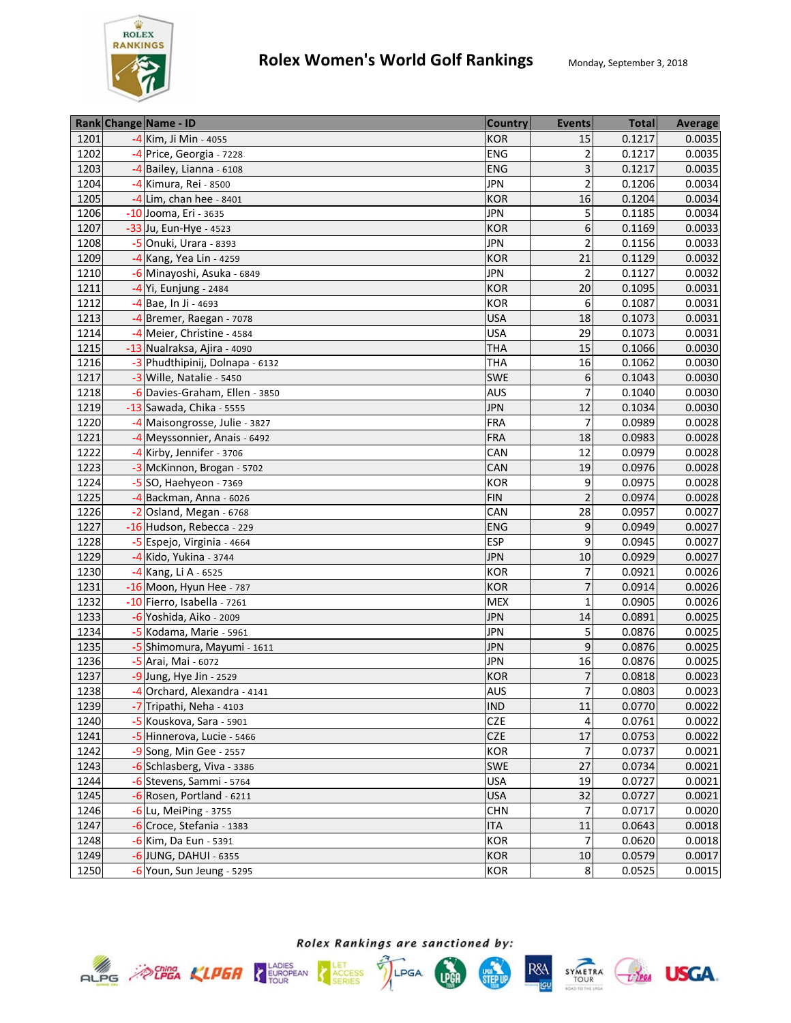

|      | Rank Change Name - ID           | <b>Country</b> | <b>Events</b>  | <b>Total</b> | <b>Average</b> |
|------|---------------------------------|----------------|----------------|--------------|----------------|
| 1201 | -4 Kim, Ji Min - 4055           | KOR            | 15             | 0.1217       | 0.0035         |
| 1202 | -4 Price, Georgia - 7228        | ENG            | $\overline{2}$ | 0.1217       | 0.0035         |
| 1203 | -4 Bailey, Lianna - 6108        | ENG            | 3              | 0.1217       | 0.0035         |
| 1204 | -4 Kimura, Rei - 8500           | <b>JPN</b>     | $\overline{2}$ | 0.1206       | 0.0034         |
| 1205 | -4 Lim, chan hee - 8401         | <b>KOR</b>     | 16             | 0.1204       | 0.0034         |
| 1206 | -10 Jooma, Eri - 3635           | <b>JPN</b>     | 5              | 0.1185       | 0.0034         |
| 1207 | -33 Ju, Eun-Hye - 4523          | <b>KOR</b>     | 6              | 0.1169       | 0.0033         |
| 1208 | $-5$ Onuki, Urara - 8393        | <b>JPN</b>     | $\overline{2}$ | 0.1156       | 0.0033         |
| 1209 | -4 Kang, Yea Lin - 4259         | <b>KOR</b>     | 21             | 0.1129       | 0.0032         |
| 1210 | -6 Minayoshi, Asuka - 6849      | <b>JPN</b>     | 2              | 0.1127       | 0.0032         |
| 1211 | -4 Yi, Eunjung - 2484           | <b>KOR</b>     | 20             | 0.1095       | 0.0031         |
| 1212 | -4 Bae, In Ji - 4693            | KOR            | 6              | 0.1087       | 0.0031         |
| 1213 | -4 Bremer, Raegan - 7078        | <b>USA</b>     | 18             | 0.1073       | 0.0031         |
| 1214 | -4 Meier, Christine - 4584      | <b>USA</b>     | 29             | 0.1073       | 0.0031         |
| 1215 | -13 Nualraksa, Ajira - 4090     | <b>THA</b>     | 15             | 0.1066       | 0.0030         |
| 1216 | -3 Phudthipinij, Dolnapa - 6132 | <b>THA</b>     | 16             | 0.1062       | 0.0030         |
| 1217 | -3 Wille, Natalie - 5450        | SWE            | 6              | 0.1043       | 0.0030         |
| 1218 | -6 Davies-Graham, Ellen - 3850  | <b>AUS</b>     | 7              | 0.1040       | 0.0030         |
| 1219 | -13 Sawada, Chika - 5555        | <b>JPN</b>     | 12             | 0.1034       | 0.0030         |
| 1220 | -4 Maisongrosse, Julie - 3827   | <b>FRA</b>     | $\overline{7}$ | 0.0989       | 0.0028         |
| 1221 | -4 Meyssonnier, Anais - 6492    | <b>FRA</b>     | 18             | 0.0983       | 0.0028         |
| 1222 | -4 Kirby, Jennifer - 3706       | CAN            | 12             | 0.0979       | 0.0028         |
| 1223 | -3 McKinnon, Brogan - 5702      | CAN            | 19             | 0.0976       | 0.0028         |
| 1224 | $-5$ SO, Haehyeon - 7369        | KOR            | 9              | 0.0975       | 0.0028         |
| 1225 | -4 Backman, Anna - 6026         | <b>FIN</b>     | $\overline{2}$ | 0.0974       | 0.0028         |
| 1226 | $-2$ Osland, Megan - 6768       | CAN            | 28             | 0.0957       | 0.0027         |
| 1227 | -16 Hudson, Rebecca - 229       | ENG            | 9              | 0.0949       | 0.0027         |
| 1228 | -5 Espejo, Virginia - 4664      | <b>ESP</b>     | 9              | 0.0945       | 0.0027         |
| 1229 | -4 Kido, Yukina - 3744          | <b>JPN</b>     | 10             | 0.0929       | 0.0027         |
| 1230 | -4 Kang, Li A - 6525            | <b>KOR</b>     | 7              | 0.0921       | 0.0026         |
| 1231 | -16 Moon, Hyun Hee - 787        | <b>KOR</b>     | 7              | 0.0914       | 0.0026         |
| 1232 | -10 Fierro, Isabella - 7261     | <b>MEX</b>     | 1              | 0.0905       | 0.0026         |
| 1233 | -6 Yoshida, Aiko - 2009         | <b>JPN</b>     | 14             | 0.0891       | 0.0025         |
| 1234 | -5 Kodama, Marie - 5961         | <b>JPN</b>     | 5              | 0.0876       | 0.0025         |
| 1235 | -5 Shimomura, Mayumi - 1611     | <b>JPN</b>     | 9              | 0.0876       | 0.0025         |
| 1236 | -5 Arai, Mai - 6072             | <b>JPN</b>     | 16             | 0.0876       | 0.0025         |
| 1237 | $-9$ Jung, Hye Jin - 2529       | <b>KOR</b>     | 7              | 0.0818       | 0.0023         |
| 1238 | -4 Orchard, Alexandra - 4141    | <b>AUS</b>     | $\overline{7}$ | 0.0803       | 0.0023         |
| 1239 | -7 Tripathi, Neha - 4103        | <b>IND</b>     | 11             | 0.0770       | 0.0022         |
| 1240 | -5 Kouskova, Sara - 5901        | <b>CZE</b>     | 4              | 0.0761       | 0.0022         |
| 1241 | -5 Hinnerova, Lucie - 5466      | CZE            | 17             | 0.0753       | 0.0022         |
| 1242 | -9 Song, Min Gee - 2557         | KOR            | 7              | 0.0737       | 0.0021         |
| 1243 | -6 Schlasberg, Viva - 3386      | SWE            | 27             | 0.0734       | 0.0021         |
| 1244 | -6 Stevens, Sammi - 5764        | <b>USA</b>     | 19             | 0.0727       | 0.0021         |
| 1245 | $-6$ Rosen, Portland - 6211     | <b>USA</b>     | 32             | 0.0727       | 0.0021         |
| 1246 | -6 Lu, MeiPing - 3755           | <b>CHN</b>     | 7              | 0.0717       | 0.0020         |
| 1247 | -6 Croce, Stefania - 1383       | <b>ITA</b>     | 11             | 0.0643       | 0.0018         |
| 1248 | -6 Kim, Da Eun - 5391           | KOR            | $\overline{7}$ | 0.0620       | 0.0018         |
| 1249 | $-6$ JUNG, DAHUI - 6355         | <b>KOR</b>     | 10             | 0.0579       | 0.0017         |
| 1250 | $-6$ Youn, Sun Jeung - 5295     | <b>KOR</b>     | $\bf 8$        | 0.0525       | 0.0015         |